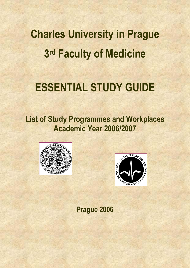**Charles University in Prague 3rd Faculty of Medicine** 

# **ESSENTIAL STUDY GUIDE**

**List of Study Programmes and Workplaces Academic Year 2006/2007** 





**Prague 2006**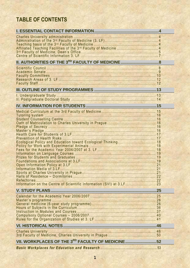# **TABLE OF CONTENTS**

| Ecological Policy and Education toward Ecological Thinking 18 |  |
|---------------------------------------------------------------|--|
|                                                               |  |
|                                                               |  |
|                                                               |  |
|                                                               |  |
| VII. WORKPLACES OF THE 3RD FACULTY OF MEDICINE52              |  |
|                                                               |  |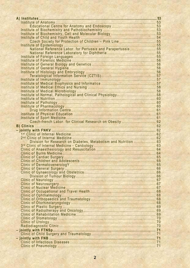| Czech Society for Protection of Children - Pink Line 55         |  |
|-----------------------------------------------------------------|--|
|                                                                 |  |
| National Reference Labor. for Pertussis and Parapertussis 55    |  |
|                                                                 |  |
|                                                                 |  |
|                                                                 |  |
|                                                                 |  |
|                                                                 |  |
|                                                                 |  |
|                                                                 |  |
|                                                                 |  |
|                                                                 |  |
|                                                                 |  |
|                                                                 |  |
|                                                                 |  |
| Institute of Normal, Pathological and Clinical Physiology 58    |  |
|                                                                 |  |
|                                                                 |  |
|                                                                 |  |
|                                                                 |  |
|                                                                 |  |
|                                                                 |  |
| Czech-french Labor. for Clinical Research on Obesity  62        |  |
|                                                                 |  |
|                                                                 |  |
|                                                                 |  |
|                                                                 |  |
|                                                                 |  |
| Division for Research on Diabetes, Metabolism and Nutrition  63 |  |
|                                                                 |  |
|                                                                 |  |
|                                                                 |  |
|                                                                 |  |
|                                                                 |  |
|                                                                 |  |
|                                                                 |  |
|                                                                 |  |
|                                                                 |  |
|                                                                 |  |
|                                                                 |  |
|                                                                 |  |
|                                                                 |  |
|                                                                 |  |
|                                                                 |  |
|                                                                 |  |
|                                                                 |  |
|                                                                 |  |
|                                                                 |  |
|                                                                 |  |
|                                                                 |  |
|                                                                 |  |
|                                                                 |  |
|                                                                 |  |
|                                                                 |  |
|                                                                 |  |
|                                                                 |  |
|                                                                 |  |
|                                                                 |  |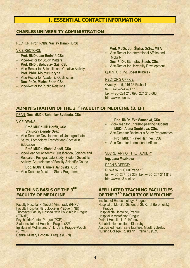# **I. ESSENTIAL CONTACT INFORMATION**

# **CHARLES UNIVERSITY ADMINISTRATION**

#### RECTOR: **Prof. RNDr. Václav Hampl, DrSc.**

#### VICE-RECTORS:

**Prof. RNDr. Jan Bednář, CSc.** 

- **-** Vice-Rector for Study Matters **Prof. RNDr. Bohuslav Gaš, CSc.**
- **Vice-Rector for Scientific and Creative Activity Prof. PhDr. Mojmír Horyna**
- Vice-Rector for Academic Qualification **Doc. PhDr. Michal Šobr, CSc.**
- **-** Vice-Rector for Public Relations

#### **Prof. MUDr. Jan Škrha, DrSc., MBA**

- Vice-Rector for International Affairs and **Mobility**
- **Doc. PhDr. Stanislav Štech, CSc. -** Vice-Rector for University Development

#### QUESTOR: **Ing. Josef Kubíček**

#### RECTOR'S OFFICE:

Ovocný trh 5, 116 36 Praha 1 tel.: +420–224 491 111 fax: +420–224 210 695, 224 210 663 http://www.cuni.cz

# ADMINISTRATION OF THE 3<sup>RD</sup> FACULTY OF MEDICINE (3. LF)

# DEAN: **Doc. MUDr. Bohuslav Svoboda, CSc.**

#### VICE-DEANS:

**Prof. MUDr. Jiří Horák, CSc.**  *Statutory Deputy Dean* 

**Vice-Dean for Development of Undergraduate** Study, Technology Transfer and Specialist **Education** 

#### **Prof. MUDr. Michal Anděl**, **CSc**.

 Vice-Dean for Academic Qualification, Science and Research, Postgraduate Study, Student Scientific Activity, Co-ordinator of Faculty Scientific Council

#### **Doc. MUDr. Daniela Janovská, CSc.**

Vice-Dean for Master´s Study Programme

# **TEACHING BASIS OF THE 3RD FACULTY OF MEDICINE**

Faculty Hospital Královské Vinohrady (FNKV) Faculty Hospital Na Bulovce in Prague (FNB) Thomayer Faculty Hospital with Policlinic in Prague (FTNsP)

Psychiatric Center Prague (PCP)

State Institute of Health in Prague (SZÚ)

Institute of Mother and Child Care, Prague–Podolí (ÚPMD)

Central Military Hospital, Prague (ÚVN)

**Doc. RNDr. Eva Samcová, CSc.** 

- **Vice-Dean for English-Speaking Students MUDr. Alena Doubková, CSc.**
- Vice-Dean for Bachelor´s Study Programmes **Prof. MUDr. Pavel Haninec, CSc.**
- Vice-Dean for International Affairs

# SECRETARY OF THE FACULTY

# **Ing. Jana Mužíková**

#### DEAN'S OFFICE:

Ruská 87, 100 00 Praha 10 tel.: +420–267 102 233, fax: +420–267 311 812 http://www.lf3.cuni.cz

# **AFFILIATED TEACHING FACILITIES OF THE 3<sup>RD</sup> FACULTY OF MEDICINE**

Institute of Endocrinology, Prague Hospital of Merciful Sisters of St. Karel Boromejský, Prague Hospital Na Homolce, Prague Hospital in Vysočany, Prague District Hospital in Pelhřimov Rehabilitation Institute, Kladruby Associated health care facilities, Mladá Boleslav Nursing College, Ruská 91, Praha 10 (SZŠ)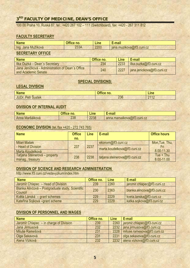# **3RD FACULTY OF MEDICINE, DEAN'S OFFICE**

100 00 Praha 10, Ruská 87, tel.: +420 267 102 – 111 (Switchboard), fax: +420 - 267 311 812

# **FACULTY SECRETARY**

| <b>Name</b>             | <b>Office no.</b> | Line | E-mail                    |
|-------------------------|-------------------|------|---------------------------|
| Ing.<br>. Jana Mužiková | 233A              | 2200 | jana.muzikova@lf3.cuni.cz |

# **SECRETARY OFFICE**

| <b>Name</b>                                                             | Office no. | Line | ∣ E-mail                   |
|-------------------------------------------------------------------------|------------|------|----------------------------|
| Ilka Ouzká – Dean's Secretary                                           | 234        | 2233 | ilka.ouzka@lf3.cuni.cz     |
| Jana Jeníčková - Administration of Dean's Office<br>and Academic Senate | 240        | 2227 | jana.jenickova@lf3.cuni.cz |

# **SPECIAL DIVISIONS:**

# **LEGAL DIVISION**

| <b>Name</b>                                                         | $\triangle$<br>n <sub>o</sub><br>ны∍<br>IIV. | <b>Line</b> |
|---------------------------------------------------------------------|----------------------------------------------|-------------|
| 11.1 <sub>2</sub><br>-<br>JUDr.<br>$\cdots$<br><b>SUSIEK</b><br>'ul | nnr<br><b>ZJD</b>                            | 0440<br>╌   |

# **DIVISION OF INTERNAL AUDIT**

| <b>Name</b>        | A ffi<br>no.<br>лісе. | $\mathsf{In} \mathsf{A}$<br>-1115 | пп<br>-mail<br>man<br>- 11                                |
|--------------------|-----------------------|-----------------------------------|-----------------------------------------------------------|
| Maršálková<br>Anna | റററ<br>೭ಎಂ            | 2238                              | $\bigcirc$<br>ш<br>ova@It3.cuni.cz<br>u.marsalkov<br>anna |

### **ECONOMIC DIVISION** (tel./fax +420 - 272 743 765)

| <b>Name</b>                   | <b>Office</b> | <b>Line</b> | E-mail                         | <b>Office hours</b>          |     |
|-------------------------------|---------------|-------------|--------------------------------|------------------------------|-----|
|                               | no.           |             |                                |                              |     |
| Milan Mašek                   |               |             | ekonom@lf3.cuni.cz             | Mon, Tue, Thu,               |     |
| - Head of Division            | 237           |             | 2237                           | marta.koudelkova@lf3.cuni.cz | Fri |
| Marta Koudelková              |               |             |                                | 8.00-11.30                   |     |
| Taťjana Steinerová – property | 238           | 2238        | tatjana.steinerova@lf3.cuni.cz | $Tue + Thu$                  |     |
| manag., treasury              |               |             |                                | 8.00-11.00                   |     |

# **DIVISION OF SCIENCE AND RESEARCH ADMINISTRATION**

http://www.lf3.cuni.cz/vedavyzkum/index.htm

| <b>Name</b>                                                 | Office no. | <b>Line</b> | E-mail                      |
|-------------------------------------------------------------|------------|-------------|-----------------------------|
| Jaromír Chlapec - Head of Division                          | 239        | 2260        | jaromir.chlapec@lf3.cuni.cz |
| Blanka Alinčová – Postgraduate study, Scientific<br>Council | 230        | 2363        | blanka.alincova@lf3.cuni.cz |
| Květa Lánská – grant schemes                                | 229        | 2229        | kveta.lanska@lf3.cuni.cz    |
| Kateřina Sojková - grant scheme                             | 229        | 2229        | katka.sojkova@lf3.cuni.cz   |

# **DIVISION OF PERSONNEL AND WAGES**

| <b>Name</b>                             | Office no. | <b>Line</b> | E-mail                             |
|-----------------------------------------|------------|-------------|------------------------------------|
| Jaromír Chlapec – in charge of Division | 239        |             | 2260   jaromir.chlapec@lf3.cuni.cz |
| Jana Jirmusová                          | 232        |             | 2232   jana.jirmusova@lf3.cuni.cz  |
| Miluše Ramešová                         | 231        |             | 2228   miluse.ramesova@lf3.cuni.cz |
| Olga Sekavová                           | 231        | 2231        | olga.sekavova@lf3.cuni.cz          |
| Alena Vízková                           | 232        |             | 2232 alena.vizkova@lf3.cuni.cz     |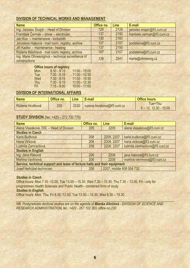# **DIVISION OF TECHNICAL WORKS AND MANAGEMENT**

| <b>Name</b>                                                         | Office no. | <b>Line</b> | E-mail                       |
|---------------------------------------------------------------------|------------|-------------|------------------------------|
| Ing. Jaroslav Šnajdr - Head of Division                             | 128        | 2128        | jaroslav.snajdr@lf3.cuni.cz  |
| František Čermák – driver – electrician                             | 137        | 2150        | frantisek.cermak@lf3.cuni.cz |
| Jan Kos - maintenance - locksmith                                   | 130        | 2160        |                              |
| Jaroslava Hájková - mail room, registry, archive                    | 107        | 2107        | podatelna@lf3.cuni.cz        |
| Jiří Kadlec - maintenance - heating                                 | 137        | 2150        |                              |
| Růžena Bělohlavá - mail room, registry, archive                     | 107        | 2107        | podatelna@lf3.cuni.cz        |
| Ing. Marie Ohnesorgová - technical surveillance of<br>constructions | 128        | 2541        | marie@ohnesorg.cz            |

|            | <b>Office hours of registry:</b> |                 |
|------------|----------------------------------|-----------------|
| <b>Mon</b> | $8:30 - 9:15$<br>18              | $11:00 - 15:00$ |
| <b>Tue</b> | $7:30 - 9:15$                    | $11:00 - 12:30$ |
| Wed        | $7:30 - 9:15$                    | $11:00 - 15:30$ |
| Thu        | $7:30 - 9:15$                    | $11:00 - 12:30$ |
| Fri I      | $7:15 - 9:00$                    | $10:00 - 11:00$ |

# **DIVISION OF INTERNATIONAL AFFAIRS**

| <b>Name</b>     | Office no. | <b>Line</b> | E-mail                      | <b>Office hours</b>                  |
|-----------------|------------|-------------|-----------------------------|--------------------------------------|
| Růžena Hrušková | 230        | 2230        | ruzena.hruskova@lf3.cuni.cz | Tue+Thu:<br>$8 - 12$ , 12.30 - 15.00 |

# **STUDY DIVISION** (fax: +420 – 272 730 776)

| <b>Name</b>                                                               | Office no. | Line                                  | E-mail                          |  |  |  |
|---------------------------------------------------------------------------|------------|---------------------------------------|---------------------------------|--|--|--|
| Alena Vlasáková, DiS. - Head of Division                                  | 205        | 2205                                  | alena.vlasakova@lf3.cuni.cz     |  |  |  |
| <b>Studies in Czech</b>                                                   |            |                                       |                                 |  |  |  |
| Karla Budková                                                             | 208        | 2208, 2207                            | karla.budkova@lf3.cuni.cz       |  |  |  |
| Hana Vlčková                                                              | 208        | 2208, 2207                            | hana.vlckova@lf3.cuni.cz        |  |  |  |
| Ludmila Zamrazilová                                                       | 208        | 2208, 2207                            | ludmila.zamrazilova@lf3.cuni.cz |  |  |  |
| <b>Studies in English</b>                                                 |            |                                       |                                 |  |  |  |
| Ing. Jana Hábová                                                          | 206        | 2206                                  | jana.habova@lf3.cuni.cz         |  |  |  |
| Martina Vavřinová                                                         | 206        | martina.vavrinova@lf3.cuni.cz<br>2206 |                                 |  |  |  |
| Service, technical support and lease of lecture halls and their equipment |            |                                       |                                 |  |  |  |
| Josef Nelhübel-technician                                                 | 208        | 2207, mobile 608 004 732              |                                 |  |  |  |

#### *Studies in Czech*

Office hours: Mon 7.30 -12.00, Tue 13.00 – 15.30, Wed 7.30 – 15.30, Thu 7.30 – 12.00, Fri - only for programmes Health Sciences and Public Health - combined form of study *Studies in English*  Office hours: Mon, Thu, Fri 8.30 -12.00, Tue 13.00 – 15.30, Wed 8.30 – 15.30

*NB: Postgraduate doctoral studies are on the agenda of Blanka Alinčová - DIVISION OF SCIENCE AND RESEARCH ADMINISTRATION, tel.: +420 - 267 102 363, office no.230*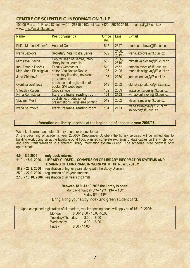# **CENTRE OF SCIENTIFIC INFORMATION 3. LF**

100 00 Praha 10, Ruská 87, tel.: +420 - 26710 2103, tel./fax: +420 - 26710 2519, e-mail: svi@lf3.cuni.cz www: http://wsvi.lf3.cuni.cz

| <b>Name</b>            | Position/agenda                                                 | <b>Office</b><br>no. | Line          | E-mail                                             |
|------------------------|-----------------------------------------------------------------|----------------------|---------------|----------------------------------------------------|
| PhDr. Martina Hábová   | <b>Head of Centre</b>                                           | 547                  | 2547          | martina.habova@lf3.cuni.cz                         |
| Ivana Ježková          | <b>Secretary, Vita Nostra Servis</b>                            | 532                  | 2106,<br>2519 | ivana.jezkova@lf3.cuni.cz                          |
| Miroslava Plecitá      | Deputy Head of Centre, inter-<br>library loans, journals        | 532                  | 2106,<br>2519 | miroslava.plecita@lf3.cuni.cz                      |
| Ing. Antonín Dvořák    | <b>Faculty webmaster</b>                                        | 519                  | 2552          | antonin.dvorak@lf3.cuni.cz                         |
| Mgr. Marie Fleissigová | editor, Vita Nostra Revue                                       | 105                  | 2105          | marie.fleissigova@lf3.cuni.cz                      |
| Jana Chlanová          | depository libraries, revisions,<br>grey literature             | 106                  | 2250          | jana.chlanova@lf3.cuni.cz                          |
| Oldřiška Jonáková      | purchase and registration of<br>books, SVI webpages             | 519                  | 2552          | oldriska.jonakova@lf3.cuni.cz                      |
| Vítězslav Kalous       | Copy service                                                    | 102                  | 2589          | vitezslav.kalous@lf3.cuni.cz                       |
| Ivana Konfrštová       | literature loans, reading room                                  | 104                  | 2103          | ivana.konfrstova@lf3.cuni.cz                       |
| <b>Vladimír Musil</b>  | publishing, production of<br>presentations, large-size printing | 519                  | 2532          | vladimir.musil@lf3.cuni.cz                         |
| Ivana Šturmová         | literature loans, reading room                                  | 104                  | 2103          | ivana.sturmova@lf3.cuni.cz<br>knihovna@lf3.cuni.cz |

#### **Information on library services at the beginning of academic year 2006/07**

We ask all current and future library users for benevolence.

At the beginning of academic year 2006/07 (September-October) the library services will be limited due to building work going on at the faculty ground floor, planned complete exchange of data cables on the whole floor and concurrent transition to a different library information system (Aleph). The schedule listed below is only approximate.

| $4.9. - 8.9.2006$  | only book returns                                                     |
|--------------------|-----------------------------------------------------------------------|
| 11.9. - 15.9. 2006 | <b>LIBRARY CLOSED-- CONVERSION OF LIBRARY INFORMATION SYSTEMS AND</b> |
|                    | <b>TRAINING OF LIBRARIANS IN WORK WITH THE NEW SYSTEM</b>             |
| 18.9. - 22.9. 2006 | registration of higher years along with the Study Division            |
| 25.9. - 27.9. 2006 | registration of 1 <sup>st-year</sup> students                         |
|                    | 2.10. - 13.10. 2006 registration of all years (no limit)              |

#### **Between 18.9.-13.10.2006 the library is open:**

Monday-Thursday **800 – 1200 1300 – 1500** 

Friday **800 – 1300** 

Bring along your study index and green student card.

|                  | Upon completed registration of all readers, regular opening hours will apply as of 16. 10. 2006: |
|------------------|--------------------------------------------------------------------------------------------------|
| Monday           | 8.00-12.00 - 13.00-16.00                                                                         |
| Tuesday+Thursday | $8.00 - 18.00$                                                                                   |
| Wednesday        | $8.00 - 16.00$                                                                                   |
| Friday           | $8.00 - 14.00$                                                                                   |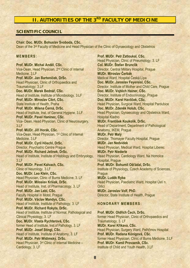# **II. AUTHORITIES OF THE 3RD FACULTY OF MEDICINE**

# **SCIENTIFIC COUNCIL**

**Chair***:* **Doc. MUDr. Bohuslav Svoboda, CSc.**  Dean of the 3<sup>rd</sup> Faculty of Medicine and Head Physician of the Clinic of Gynaecology and Obstetrics

#### **MEMBERS:**

**Prof. MUDr. Michal Anděl**, **CSc.**  Vice-Dean, Head Physician, 2nd Clinic of Internal Medicine, 3.LF **Prof. MUDr. Jan Bartoníček, DrSc.**  Head Physician, Clinic of Orthopaedics and Traumatology, 3.LF **Doc. MUDr. Marek Bednář, CSc.**  Head of Institute, Institute of Microbiology, 3.LF **Prof. MUDr. Miroslav Cikrt, CSc.**  State Institute of Health, Praha **Prof. MUDr. Milena Černá, DrSc.** Head of Institute, Inst. of General Hygiene, 3.LF **Prof. MUDr. Pavel Haninec, CSc.**  Vice- Dean, Head Physician, Clinic of Neurosurgery, 3.LF **Prof. MUDr. Jiří Horák, CSc.**  Vice-Dean, Head Physician, 1st Clinic of Internal Medicine, 3.LF **Prof. MUDr. Cyril Höschl, DrSc.**  Director, Psychiatric Centre Prague **Prof. MUDr. Richard Jelínek, DrSc.**  Head of Institute, Institute of Histology and Embryology, 3.LF **Prof. MUDr. Pavel Kalvach, CSc.**  Clinic of Neurology, 3.LF **Doc. MUDr. Leo Klein, CSc.**  Head Physician, Clinic of Burns Medicine, 3. LF **Prof. MUDr. Miloslav Kršiak, DrSc.**  Head of Institute, Inst. of Pharmacology, 3. LF **Prof. MUDr. Jan Lebl, CSc.**  Faculty Hospital in Motol, Prague **Prof. MUDr. Václav Mandys, CSc.**  Head of Institute, Institute of Pathology, 3. LF **Prof. MUDr. Richard Rokyta, DrSc.**  Head of Institute, Institute of Normal, Pathological and Clinical Physiology, 3. LF **Doc. MUDr. Vlasta Rychterová, CSc.**  former Head of Institute, Inst.of Pathology, 3. LF **Prof. MUDr. Josef Stingl, CSc.**  Head of Institute, Institute of Anatomy, 3. LF **Prof. MUDr. Petr Widimský, DrSc.**  Head Physician, 3<sup>rd</sup> Clinic of Internal Medicine -Cardiology, 3. LF

**Prof. MUDr. Petr Zatloukal, CSc.**  Head Physician, Clinic of Pneumology, 3. LF **Col. MUDr. Štefan Brunclík**  Director, Central Military Hospital, Prague **MUDr. Miroslav Čerbák**  Medical Ward, Hospital Česká Lípa **Doc. MUDr. Jaroslav Feyereisl, CSc.**  Director, Institute of Mother and Child Care, Prague **Doc. MUDr. Vojtěch Hainer, CSc.**  Director, Institute of Endocrinology, Prague **Doc. MUDr. Karel Havlíček, CSc.**  Head Physician, Surgical Ward, Hospital Pardubice **Doc. MUDr. Zdeněk Holub, CSc.**  Head Physician, Gynaecology and Obstetrics Ward, Hospital Kladno **MUDr. František Koukolík, DrSc.**  Head of Department, Department of Pathological Anatomy, IKEM, Prague **MUDr. Petr Malý**  Director, Thomayer Faculty Hospital, Prague **MUDr. Jan Nedvídek**  Head Physician, Medical Ward, Hospital Liberec **MUDr. Petr Niederle**  Head Physician, Cardiology Ward, Na Homolce Hospital, Prague **Prof. MUDr. Bohumil Ošťádal, DrSc.**  Institute of Physiology, Czech Academy of Sciences, **Prague MUDr. Luděk Ryba**  Head Physician, Paediatric Ward, Hospital Ústí n. **Orlicí MUDr. Jaroslav Volf, PhD.**  Director, State Institute of Health, Prague

# **HONORARY MEMBERS:**

**Prof. MUDr. Oldřich Čech, DrSc.**  former Head Physician, Clinic of Orthopaedics and Traumatology, 3. LF **MUDr. Karel Křikava, CSc.**  Head Physician, Surgery Ward, Pelhřimov Hospital **Prof. MUDr. Radana Königová, CSc.**  former Head Physician, Clinic of Burns Medicine, 3.LF **Prof. MUDr. Kamil Provazník, CSc.**  Institute of Child and Youth Health, 3.LF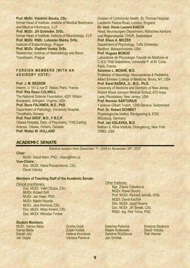**Prof. MUDr. Vlastimil Slouka, CSc.**  former Head of Institute, Institute of Medical Biophysics and Medical Informatics, 3.LF **Prof. MUDr. Jiří Schindler, DrSc.**  former Head of Institute, Institute of Microbiology, 3.LF **Prof. MUDr. RNDr. Luboslav Stárka, DrSc.**  Institute of Endocrinology, Prague **Prof. MUDr. Vladimír Vonka, DrSc.**  Researcher, Institute of Haematology and Blood Transfusion, Prague

#### **FOREIGN MEMBERS (WITH AN ADVISORY VOTE):**

**Prof. J. M. BESSON**  Inserm, U 161-2 rue D` Alesia, Paris, France **Prof. Rita Rossi COLWELL**  The National Science Foundation, 4201 Wilson Boulevard, Arlington, Virginia, USA **Prof. Sture FALKMER, M.D., PhD.**  Department of Pathology, University Hospital, Trondheim, Norway **Prof. Paul GROF, M.D., F.R.C.P.**  Ottawa Hospital, Dept. of Psychiatry, 1145 Carling Avenue, Ottawa, Ontario, Canada **Prof. Walter W. HOLLAND** 

Division of Community Health, St. Thomas Hospital, Lamberth Palace Road, London, England **Dr. med. Denis Laurent KAECH**  Head, Neurosurgery Department, Rätisches Kantons und Regionalspital, CHUR, Switzerland **Prof. Klaus A. MICZEK**  Department of Psychology, Tufts University, Medford, Massachussets, USA **Prof. Hugues MONOD**  Laboratoire de Physiologie, Faculté de Medicine et C.H.U. Pitié Salpetriére, Université P. et M. Curie, Paris, France **Solomon L. MOSHÉ, M.D.**  Professor of Neurology, Neuroscience & Pediatrics, Albert Einstein College of Medicine, Bronx, NY, USA **Prof. Karel RAŠKA, Jr., M.D., Ph.D.**  University of Medicine and Dentistry of New Jersey, Robert Wood Johnson Medical School, 675 Hoes Lane, Piscataway, New Jersey, USA **Prof. Norman SARTORIUS**  1 avenue Gilbert Trolich, 1209 Geneva, Switzerland **Prof. Dr. Robert SCHMIDT**  Physiologische Institut, Röntgenring 9, 8700 Würzburg, Germany **Prof. Jan VOLAVKA, M.D.**  Nathan S. Kline Institute, Orangeburg, New York 10962, USA

# **ACADEMIC SENATE**

*Elective session from December 1st, 2004 to November 30th, 2007*

#### **Chair***:*

MUDr. David Marx, PhD. - marx@fnkv.cz **Vice-Chairs:** Doc. MUDr. Hana Provazníková, CSc. David Vrbický

#### **Members of Teaching Staff of the Academic Senate:**

#### Clinical practitioners:

Doc. MUDr. Valér Džupa, CSc. MUDr. Robert Grill MUDr. Jan Hajer, PhD. MUDr. Martin Havrda MUDr. Jara Hornová, CSc. Doc. MUDr. Milan Kment, CSc. Doc. MUDr. Miroslav Tvrdek

#### **Student Members:**

MUDr. Václav Báča Daniel Bárta Daniel Joly Jan Gojda

Ondřej Gojiš Zoltán Kokeš Helena Krumlová Václava Pavlová

#### **Other Institutes:** Mgr. Zdena Čábelková MUDr. Pavel Dlouhý Prof. MUDr. Richard Jelínek, DrSc. MUDr. David Kachlík Doc. MUDr. Jozef Rosina Doc. MUDr. Jiří Šimek, CSc. RNDr. Ing. Petr Tůma, PhD.

Kateřina Pokorná Radek Rutkowski Karoline Růžičková Jan Smíšek

Kristýna Straková David Vrbický Petr Werner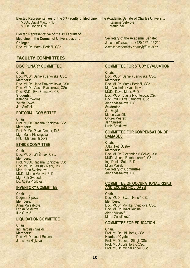**Elected Representatives of the 3rd Faculty of Medicine in the Academic Senate of Charles University:**  MUDr. David Marx, PhD. MUDr. Robert Grill Kateřina Šebková Martin Žák

**Elected Representative of the 3rd Faculty of Medicine in the Council of Universities and Colleges:** 

Doc. MUDr. Marek Bednář, CSc.

# **FACULTY COMMITTEES**

#### **DISCIPLINARY COMMITTEE**

**Chair:**  Doc. MUDr. Daniela Janovská, CSc. **Members:**  Doc. MUDr. Hana Provazníková, CSc. Doc. MUDr. Vlasta Rychterová, CSc. Doc. RNDr. Eva Samcová, CSc. **Students:**  Kateřina Pokorná Zoltán Kokeš Jan Smíšek

#### **EDITORIAL COMMITTEE**

**Chair:**  Prof. MUDr. Radana Königová, CSc. **Members:**  Prof. MUDr. Pavel Gregor, DrSc. Mgr. Marie Fleissigová PhDr. Martina Hábová

#### **ETHICS COMMITTEE**

**Chair:**  Doc. MUDr. Jiří Šimek, CSc. **Members:**  Prof. MUDr. Radana Königová, CSc. Doc. MUDr. Ladislav Mertl, CSc. Mgr. Hana Svobodová MUDr. Martin Votava, PhD. Mgr. Petr Svoboda Bc. Agata Pibilová

#### **INVENTORY COMMITTEE**

**Chair:**  Dagmar Šípová **Members:**  Anna Maršálková Lenka Saláková Ilka Ouzká

#### **LIQUIDATION COMMITTEE**

**Chair:** 

Ing. Jaroslav Šnajdr **Members:**  Doc. MUDr. Jozef Rosina Jaroslava Hájková

**Secretary of the Academic Senate:**  Jana Jeníčková, tel.: +420-267 102 229 *e-mail: akademicky.senat@lf3.cuni.cz*

#### **COMMITTEE FOR STUDY EVALUATION**

**Chair***:*  Doc. MUDr. Daniela Janovská, CSc. **Members:**  Doc. MUDr. Marek Bednář, CSc. Mgr. Vladimíra Kvasnicová MUDr. David Marx, PhD. Doc. MUDr. Vlasta Rychterová, CSc. Doc. RNDr. Eva Samcová, CSc. Alena Vlasáková, DiS **Students***:*  Jan Gojda Martin Lvončík Ondřej Měšťák Jan Smíšek Lucie Šmídková

#### **COMMITTEE FOR COMPENSATION OF DAMAGES**

**Chair***:*  JUDr. Petr Šustek **Members:**  Doc. MUDr. Alexander.M.Čelko, CSc. MUDr. Jolana Rambousková, CSc. Ing. Daniel Šuta, PhD. Milan Mašek **Secretary of Committee:**  Alena Vlasáková, DiS

#### **COMMITTEE OF OCCUPATIONAL RISKS AND EXCESS HOLIDAYS**

**Chair***:*  Doc. MUDr. Evžen Hrnčíř, CSc. **Members:**  Doc. MUDr. Monika Kneidlová, CSc. Doc. MUDr. Jozef Rosina Alena Vízková Marta Zezuláková

#### **COMMITTEE FOR EDUCATION**

**Chair***:*  Prof. MUDr. Jiří Horák, CSc. **Heads of Cycles:**  Prof. MUDr. Josef Stingl, CSc. Prof. MUDr. Jiří Horák, CSc. Prof. MUDr. Michal Anděl, CSc.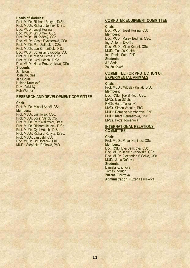#### **Heads of Modules:**

Prof. MUDr. Richard Rokyta, DrSc. Prof. MUDr. Richard Jelínek, DrSc. Doc. MUDr. Jozef Rosina Doc. MUDr. Jiří Šimek, CSc. Prof. PhDr. Jiří Kožený, CSc. Doc. MUDr. Vlasta Rychterová, CSc. Prof. MUDr. Petr Zatloukal, CSc. Prof. MUDr. Jan Bartoníček, DrSc. Doc. MUDr. Bohuslav Svoboda, CSc. Prof. MUDr. Milena Černá, DrSc. Prof. MUDr. Cyril Höschl, DrSc. Doc. MUDr. Hana Provazníková, CSc. **Students***:*  Jan Broulík

Josh Douglas Jan Gojda Helena Krumlová David Vrbický Petr Werner

#### **RESEARCH AND DEVELOPMENT COMMITTEE**

#### **Chair:**

Prof. MUDr. Michal Anděl, CSc. **Members:**  Prof. MUDr. Jiří Horák, CSc. Prof. MUDr. Josef Stingl, CSc. Prof. MUDr. Petr Widimský, DrSc. Prof. MUDr. Richard Jelínek, DrSc. Prof. MUDr. Cyril Höschl, DrSc. Prof. MUDr. Richard Rokyta, DrSc. Prof. MUDr. Jan Lebl, CSc. Doc. MUDr. Jiří Horáček, PhD. MUDr. Štěpánka Průhová, PhD.

#### **COMPUTER EQUIPMENT COMMITTEE**

#### **Chair:**

Doc. MUDr. Jozef Rosina, CSc. **Members:**  Doc. MUDr. Marek Bednář, CSc. Ing. Antonín Dvořák Doc. MUDr. Milan Kment, CSc. MUDr. Tomáš Kostrhun Ing. Daniel Šuta, PhD. **Students:**  Jiří Šedo Zoltán Kokeš

#### **COMMITTEE FOR PROTECTION OF EXPERIMENTAL ANIMALS**

#### **Chair:**

Prof. MUDr. Miloslav Kršiak, DrSc. **Members:**  Doc. RNDr. Pavel Rödl, CSc. MVDr. Ivan Štácha RNDr. Hana Tejkalová MVDr. Šimon Vaculín, PhD. MUDr. Romana Šlamberová, PhD. MUDr. Klára Bernášková, CSc. MVDr. Petra Tomanová

#### **INTERNATIONAL RELATIONS COMMITTEE**

#### **Chair:**

Prof. MUDr. Pavel Haninec, CSc. **Members:**  Doc. RNDr.Eva Samcová, CSc. Doc. MUDr.Daniela Janovská, CSc. Doc. MUDr. Alexander M.Čelko, CSc. MUDr. Jana Dáňová **Students:**  Daniela Kulichová Tomáš Indruch Zuzana Elbertová **Administration:** Růžena Hrušková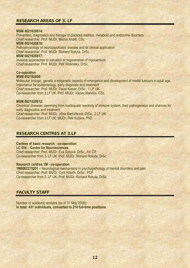# **RESEARCH AREAS OF 3. LF**

#### **MSM 0021620814:**

Prevention, diagnostics and therapy of diabetes mellitus, metabolic and endocrine disorders Chief researcher: Prof. MUDr. Michal Anděl, CSc.

#### **MSM 0021620816:**

Pathophysiology of neuropsychiatric disease and its clinical application Chief researcher: Prof. MUDr. Richard Rokyta, DrSc.

#### **MSM 0021620817:**

Invasive approaches to salvation or regeneration of myocardium Chief researcher: Prof. MUDr. Petr Widimský, DrSc.

#### **Co-operation MSM 002162808:**

Molecular biologic, genetic a epigenetic aspects of emergence and development of model tumours in adult age. Importance for epidemiology, early diagnosis and treatment Chief researcher: Prof. MUDr. Pavel Klener, DrSc., 1.LF UK Co-researcher from 3.LF UK: Prof. MUDr. Václav Mandys, CSc.

#### **MSM 0021620812:**

Chronical diseases stemming from inadequate reactivity of immune system, their pathogenesis and chances for early diagnostics and treatment Chief researcher: Prof. MUDr. Jiřina Bartůňková, DrSc., 2.LF UK Co-researcher from 3.LF UK: MUDr. Petr Kučera, PhD.

# **RESEARCH CENTRES AT 3.LF**

#### **Centres of basic research - co-operation**

**LC 554** – **Centre for Neurosciences** 

Chief researcher: Prof. MUDr. Eva Syková, DrSc., AV ČR Co-researcher from 3. LF UK: Prof. MUDr. Richard Rokyta, DrSc.

#### **Research centres 1M - co-operation**

**1M0002375201** – Neurological mechanisms in psychopathology of mental disorders and pain Chief researcher: Prof. MUDr. Cyril Höschl, DrSc., PCP Co-researcher from 3. LF UK: Prof. MUDr. Richard Rokyta, DrSc.

# **FACULTY STAFF**

Number of academic workers (as of 31 May 2006): **In total: 431 individuals, converted to 214 full-time positions**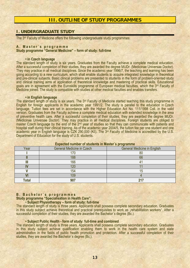# **III. OUTLINE OF STUDY PROGRAMMES**

# **I. UNDERGRADUATE STUDY**

The 3rd Faculty of Medicine offers the following undergraduate study programmes:

#### **A. Master´s programme**

#### **Study programme "General Medicine" – form of study: full-time**

#### **• in Czech language**

The standard length of study is six years. Graduates from the Faculty achieve a complete medical education. After a successful completion of their studies, they are awarded the degree MUDr. (Medicinae Universae Doctor). They may practice in all medical disciplines. Since the academic year 1996/7, the teaching and learning has been going according to a new curriculum, which shall enable students to acquire integrated knowledge in theoretical and pre-clinical subjects. Basic clinical problems are presented to students in the form of problem-oriented study and clinical training aims at application of theoretical knowledge and mastering of practical skills. Educational goals are in agreement with the Euroskills programme of European medical faculties, which the 3<sup>rd</sup> Faculty of Medicine joined. The study is compatible with studies at other medical faculties and enables transfers.

#### **• in English language**

The standard length of study is six years. The 3<sup>rd</sup> Faculty of Medicine started teaching this study programme in English for foreign applicants in the academic year 1991/2. The study is parallel to the education in Czech language. Tuition fees are set in accordance with the Higher Education Act No. 111/1998 Coll. in the valid version. Graduates from the Faculty achieve a complete medical education with extended knowledge in the area of preventive health care. After a successful completion of their studies, they are awarded the degree MUDr. (Medicinae Universae Doctor). They may practice in all medical disciplines. Foreign students are obliged to master Czech language by the end of the 2<sup>nd</sup> year of studies so that they can communicate with patients and hospital staff during their clinical training. As of the academic year 2004/5, the tuition fee per one student and one academic year in English language is CZK 290.000 (Kč). The 3rd Faculty of Medicine is accredited by the U.S. Department of Education for the study of U.S. students.

|       | <b>Expected number of students in master s programme</b> |                                    |
|-------|----------------------------------------------------------|------------------------------------|
| Year  | <b>General Medicine in Czech</b>                         | <b>General Medicine in English</b> |
|       |                                                          | ou                                 |
|       | 188                                                      | 66                                 |
|       | 166                                                      |                                    |
|       |                                                          |                                    |
|       | 154                                                      |                                    |
|       | 109                                                      |                                    |
| Total | 907                                                      |                                    |

# Expected number of students in Master's pro

#### **B. Bachelor´s programmes**

**Study programme "Specialisation in Health Care":** 

#### • **Subject Physiotherapy – form of study: full-time**

The standard length of study is three years. Applicants shall possess complete secondary education. Graduates in this study subject achieve theoretical and practical prerequisites to work as "rehabilitation workers". After a successful completion of their studies, they are awarded the Bachelor´s degree (Bc.).

#### **• Subject Public Health - form of study: full-time and combined**

The standard length of study is three years. Applicants shall possess complete secondary education. Graduates in this study subject achieve qualification enabling them to work in the health care system and state administration in the fields of public health promotion and protection. After a successful completion of their studies, they are awarded the Bachelor´s degree (Bc.).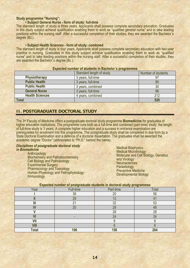### **Study programme "Nursing":**

#### **• Subject General Nurse - form of study: full-time**

The standard length of study is three years. Applicants shall possess complete secondary education. Graduates in this study subject achieve qualification enabling them to work as "qualified general nurse" and to take leading positions within the nursing staff. After a successful completion of their studies, they are awarded the Bachelor´s degree (Bc.).

#### **• Subject Health Sciences - form of study: combined**

The standard length of study is four years. Applicants shall possess complete secondary education with two-year practice in nursing. Graduates in this study subject achieve qualification enabling them to work as "qualified nurse" and to take leading positions within the nursing staff. After a successful completion of their studies, they are awarded the Bachelor´s degree (Bc.).

| Expected number of students in Bachelor's programmes |                    |  |  |  |  |
|------------------------------------------------------|--------------------|--|--|--|--|
| Standard length of study                             | Number of students |  |  |  |  |
| 3 years, full-time                                   | 97                 |  |  |  |  |
| 3 years, full-time                                   | 85                 |  |  |  |  |
| 3 years, combined                                    | 30                 |  |  |  |  |
| 3 years, full-time                                   | 96                 |  |  |  |  |
| 4 years, combined                                    | 212                |  |  |  |  |
|                                                      | 520                |  |  |  |  |
|                                                      |                    |  |  |  |  |

# **II. POSTGRADUATE DOCTORAL STUDY**

The 3rd Faculty of Medicine offers a postgraduate doctoral study programme **Biomedicine** for graduates of higher education institutions. The programme runs both as a full-time and combined (part-time) study; the length of full-time study is 3 years. A complete higher education and a success in entrance examination are prerequisites for enrolment into this programme. The postgraduate study shall be completed in due form by a State Doctoral Examination and a defence of a doctoral dissertation. The graduates shall be awarded the academic degree "Doctor" (abbreviated to "Ph.D." behind the name).

#### *Disciplines of postgraduate doctoral study in Biomedicine*

Anthropology Biochemistry and Pathobiochemistry Cell Biology and Pathobiology Experimental Surgery Pharmacology and Toxicology Human Physiology and Pathophysiology Immunology

Medical Biophysics Medical Microbiology Molecular and Cell Biology, Genetics and Virology **Neurosciences Parasitology** Preventive Medicine Developmental Biology

| __________   | ___<br>---<br>. | .<br>_____     | .<br>__ |
|--------------|-----------------|----------------|---------|
| Year         | Full-time       | Part-time      | Total   |
|              | 36              | 20             | 56      |
|              | 29              | 1 <sub>0</sub> |         |
| Ш            | $\sim$          | 32             | 53      |
| w            | $\Omega$        | 28             | 48      |
|              |                 | 28             | 28      |
|              |                 | 24             | 24      |
| VII          |                 |                |         |
| <b>VIII</b>  |                 |                |         |
| <b>Total</b> | 106             | 158            | 264     |

#### **Expected number of postgraduate students in doctoral study programmes**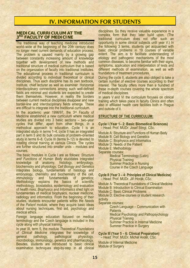# IV. INFORMATION FOR STUDENTS

#### **MEDICAL CURRICULUM AT THE 3RD FACULTY OF MEDICINE**

The traditional way of teaching medicine introduced world–wide at the beginning of the 20th century does no longer meet current demands of education process. The problem is caused mainly by a growing gap between constantly increasing amount of knowledge together with development of new methods and traditional structure of medical curriculum that is based on the organization of faculty into traditional Institutes. The educational process in traditional curriculum is divided according to individual theoretical or clinical disciplines. Thus each discipline has its own textbook, Institute, chief lecturer as well as examiner. Horizontal interdisciplinary connections among such well-defined fields are minimal and students are expected to create them themselves. However, in reality the borders between current medical disciplines disappear and new border-line and interdisciplinary fields emerge. These are difficult to integrate into the traditional curriculum.

In the academic year 1996/97, the 3rd Faculty of Medicine established a new curriculum where medical studies are divided into 3 basic sections – two–year cycles that differ, apart from other things, in a methodical approach to education. Cycle I is an integrated study in terms 1–4, cycle II has an integrated part in term 5 and its bulk consists of problem–oriented study in terms 6–8. Cycle III (terms 9–12) is devoted to rotating clinical training at various Clinics. The cycles are further structured into smaller units – modules and courses.

The basic modules in Cycle I are as follows: *Structure and Functions of Human Body* elucidates integrated knowledge of anatomy, histology, embryology, biochemistry and physiology; *Cell Biology and Genetics* integrates biology, fundamentals of histology and embryology, chemistry and biochemistry of the cell, immunology and fundamentals of genetics; *Methodology* explains the basics of scientific methodology, biostatistics, epidemiology and evaluation of health risks; *Biophysics and Informatics* shed light on fundamentals of medical biophysics, nuclear medicine, radiology and informatics. From the beginning of their studies, students encounter patients within the *Needs of the Patient* module, where they acquire basic ideas about nursing techniques, first aid, psychology and medical ethics.

Foreign language education focused on medical terminology and the Czech language is included in this cycle along with physical training.

In year III, term 5, the module *Theoretical Foundations of Clinical Medicine* integrates the knowledge of general pathology, pathological physiology, microbiology, immunology, genetics and pharmacology. Besides, students are introduced to basic clinical examination techniques step-by-step in all clinical

disciplines. So they receive valuable experience in a complex form that they later build upon. (The traditional curriculum does not offer such an opportunity in some clinical subjects until year V.) In the following 3 terms, students get acquainted with basic clinical problems in 19 courses of variable extent. The aim is to facilitate understanding of etiology and pathogenic mechanisms of the most common diseases, to become familiar with their signs, symptoms, application and interpretation of tests and different methods of examination, as well as with foundations of treatment procedures.

During the cycle II, students are also obliged to take a certain number of elective courses according to their interest. The faculty offers more than a hundred of these in-depth courses covering the whole spectrum of medical disciplines.

In years V and VI the curriculum focuses on clinical training which takes place in faculty Clinics and often also in affiliated health care facilities both in Prague and outside of it.

#### **STRUCTURE OF THE CURRICULUM:**

**Cycle I (Year 1– 2: Basic Biomedical Sciences)**  – Head: Prof. MUDr. Josef Stingl, CSc.

Module A: Structure and Functions of Human Body

Module B: Cell Biology and Genetics

Module C: Biophysics and Informatics

Module D: Needs of the Patient

Module E: Methodology

Separate courses: Medical Terminology (Latin) Physical Training Summer Practice in Nursing Course in the Czech Language

**Cycle II (Year 3 – 4: Principles of Clinical Medicine)**  – Head: Prof. MUDr. Jiří Horák, CSc.

Module A: Theoretical Foundations of Clinical Medicine

Module B: Introduction to Clinical Examination

Module C: Basic Clinical Problems

Module D: Elective courses or student research activity

Separate courses:

 Czech Language – Communication with **Patients** Medical Psychology and Pathopsychology

Physical Training

 Summer Practice in Internal Medicine Summer Practice in Surgery

**Cycle III (Year 5 – 6: Clinical Preparation)**  – Head: Prof. MUDr. Michal Anděl, CSc.

Module of Internal Medicine Module of Surgery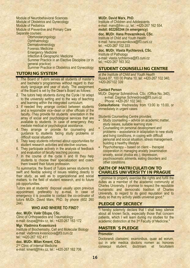Module of Neurobehavioral Sciences Module of Obstetrics and Gynecology Module of Pediatrics Module of Preventive and Primary Care Separate courses:

**Otorhinolaryngology Ophthalmology Dermatovenerology**  Forensic Medicine Emergency Medicine Infection & Geographic Medicine Summer Practice in an Elective Discipline (or in general practice) Summer Practice in Obstetrics and Gynecology

# **TUTORING SYSTEM**

- 1. The Board of Tutors serves all students of master's and bachelor's programmes without regard to their study language and year of study. The assignment of the Board is set by the Dean's Board as follows:
- 2. The tutors help students during the Cycle I to adapt to the university setting and to the way of teaching and learning within the integrated curriculum.
- 3. If needed they arrange contact between students and a responsible vice–dean or other officials of the faculty. They provide for students´ orientation in the array of social and psychological services that are available to students. In case of emergency they mediate medical or psychological assistance.
- 4. They arrange or provide for counseling and guidance to students facing study problems or difficult social situation.
- 5. They keep students informed about opportunities for student research activities and elective courses.
- 6. They participate actively in the analysis of feedback and evaluation of faculty teaching process.
- 7. In the course of the cycle II and III they help students to choose their specialization and coach them toward their future profession.

To summarize, the Board of Tutors serves students for swift and flexible solving of issues relating directly to their study, as well as to organizational and social matters, to the field of student research, and to future job opportunities.

Tutors are at students' disposal usually upon previous appointment, preferably by e–mail. In case of emergency it is possible to contact the co-ordinator of tutors MUDr. David Marx, PhD. by phone (602 260 244).

### **WHO AND WHERE TO FIND?**

#### **doc. MUDr. Valér Džupa, CSc.**

Clinic of Orthopaedics and Traumatology e-mail: dzupa@fnkv.cz, tel.: +420-267 163 172

#### **Mgr. Vladimíra Kvasnicová**

Institute of Biochemistry, Cell and Molecular Biology e-mail: vladimira.kvasnicova@lf3.cuni.cz tel.: +420-267 102 411

# **doc. MUDr. Milan Kment, CSc.**

2<sup>nd</sup> Clinic of Internal Medicine e-mail: kment@fnkv.cz, tel.: +420-267 162 706

#### **MUDr. David Marx, PhD.**

Institute of Children and Adolescents e-mail: marx@fnkv.cz, tel.: +420-267 162 554, **mobil: 602260244 (in emergency)** 

# **doc. MUDr. Hana Provazníková, CSc.**

Institute of Child and Youth Health e-mail: hana.provaznikova@lf3.cuni.cz tel.: +420-267 102 333

#### **doc. MUDr. Vlasta Rychterová, CSc.**  Institute of Pathology

e-mail: vlasta.rychterova@lf3.cuni.cz tel.: +420-267 163 302

# **STUDENT COUNSELLING CENTRE**

*at the Institute of Child and Youth Health*  Ruská 87, 100 00 Praha 10, tel: +420-267 102 340, +420-267102 339

#### **Contact Person**

MUDr. Dagmar Schneidrová, CSc. (Office No. 340), e-mail: Dagmar.Schneidrova@lf3.cuni.cz Phone: +420-267 102 340

**Consultations**: Wednesday from 13:00 to 15:00, or immediately in urgent cases

Students Counselling Centre provides:

- Study counselling advice on academic matter, study issues, suitable learning style
- Counselling on personal development and problems – assisstance in adaptation to new study and living conditions, in coping with difficult personal and social situation, stress management, building a healthy lifestyle
- Psychotherapy based on client therapist cooperation in managing anxiety (examination anxiety, social phobia etc.), depression, psychosomatic ailments, eating disorders and other conditions

### **OATH OF MATRICULATION TO CHARLES UNIVERSITY IN PRAGUE**

"I promise to properly exercise the rights and fulfill the duties as a member of the academic community at Charles University. I promise to respect the reputable humanistic and democratic tradition of Charles University, to regard to its good reputation and to study so that my activity yields universal good."

# **PLEDGE OF SECRECY**

"I hereby solemnly declare that I shall keep silence about all known facts, especially those that concern patients, which I will learn during my studies for the academic distinction at the 3rd Faculty of Medicine."

### **MASTER´S PLEDGE**

#### **Promotor:**

Doctorandi clarissimi, examinibus, quae ad eorum, qui in arte medica doctoris nomen ac honores consequi student, doctrinam et facultatem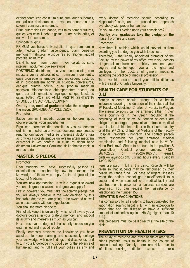explorandam lege constituta sunt, cum laude superatis, nos adiistis desiderantes, ut vos eo honore in hoc solemni consessu ornaremus.

Prius autem fides est danda, vos tales semper futuros, quales vos esse iubebit dignitas, quam obtinueritis, et nos vos fore speramus.

Spondebitis igitur

PRIMUM vos huius Universitatis, in qua summum in arte medica gradum ascenderitis, piam perpetuo memoriam habituros, eiusque res ac rationes, quoad poteritis, adiuturos:

DEIN honorem eum, quem in vos collaturus sum, integrum incolumemque servaturos:

POSTREMO doctrinam, qua vos nunc polletis, cum industria vestra culturos et cum omnibus incrementis, quae progrediente tempore haec ars ceperit, aucturos et in prosperitatem hominum studiose conversuros, denique cunctis officiis, quae probum medicum sponsioni Hippocraticae obtemperantem decent, ea quae par est humanitate erga quemcunque functuros esse; HAEC VOS EX ANIMI VESTRI SENTENTIA SPONDEBITIS AC POLLICEBIMINI?

**One by one, medical graduates take the pledge on the mace:** SPONDEO AC POLLICEOR

#### **Promotor:**

Itaque iam nihil impedit, quominus honores quos obtinere cupitis, vobis impertiamus.

Ergo ego promotor rite constitutus vos ex decreto ordinis mei medicinae universae doctores creo, creatos renuntio omniaque medicinae universae doctoris iura ac privilegia potestatemque universam artem medicam exercendi in vos confero. In cuius rei fidem haec diplomata Universitatis Carolinae sigillo firmata vobis in manus trado.

### **MASTER´S PLEDGE**

#### **Promotor:**

Dear students, you have successfully passed all examinations prescribed by law to examine the knowledge of those who apply for the degree of the Doctor of Medicine.

You are now approaching us with a request to award you on this great occasion the degree you apply for.

Firstly, however, you must take the solemn pledge that you will always behave in the way enjoined by this honorable degree you are going to be awarded as well as in accordance with our expectations.

You shall therefore pledge to:

First of all, keep this university, which shall award you a doctor's degree, in your grateful memory, and support its activity and interests as much as you can;

Next, preserve the degree I shall shortly bestow on you untarnished and in good repute.

Finally, earnestly advance the knowledge you have acquired, to keep learning and ceaselessly enlarge your knowledge with new findings and discoveries, and to turn your knowledge into good use for the advance of humankind, and to fulfill all your duties as any and

every doctor of medicine should according to Hippocrates' oath, and to proceed and approach everybody with proper humanness.

Do you take this pledge upon your conscience?

**One by one, graduates take the pledge on the mace**: I promise and swear.

#### **Promotor:**

Now there is nothing which would prevent us from awarding you the degree you wish to achieve.

Therefore, I, the legally appointed promotor of the Faculty, by the power of my office award you doctors of general medicine and publicly announce your degree and confer upon you all the rights and privileges of the doctors of general medicine, including the practice of medical profession.

To prove this, please accept your official diplomas with the seal of Charles University.

#### **HEALTH CARE FOR STUDENTS OF 3.LF**

Foreign students should arrange for a health insurance covering the duration of their study at the 3<sup>rd</sup> Faculty of Medicine, Charles University in Prague. The insurance policy can be arranged either in their home country or in the Czech Republic at the beginning of their study. All foreign students are obliged to undergo a preventive entrance medical examination at this time, either in their home country or at the 2<sup>nd</sup> Clinic of Internal Medicine of the Faculty Hospital Královské Vinohrady. The contact person there responsible for your entrance medical examination and following medical care is MUDr. Hana Bartaková. She is to be found in the pavillion S (groundfloor). Contact phone numbers: +420- 267162702 or +420-267162751, e-mail: bartakov@yahoo.com. Visiting hours every Tuesday 13:00-15:00.

Fees are paid in full at the clinic. Receipts will be given so that students may be reimbursed by their health insurance fund. For case of urgent illnesses when the patient cannot get himself/herself to a doctor and when transport to a medical facility and fast treatment is essential, ambulance services are organised. You can request their assistance by telephoning the number 155.

#### **HEPATITIS B VACCINATIONS**

It is compulsory for all students to have completed the vaccination against hepatitis B (with an exception to those that had the disease or have a sufficient amount of antibodies against HbsAg higher than 10  $IUI.$ )

This procedure must be paid directly at the site of the clinic.

# **PREVENTION OF HEALTH RISKS**

The study of medicine and other health-related fields brings potential risks to health in the course of practical training. Namely there are risks due to infections, ionizing radiation, exposure to toxic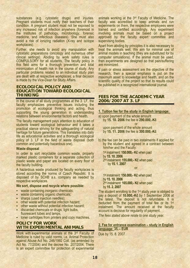substances (e.g. cytostatic drugs) and injuries. Pregnant students must notify their teachers of their condition. A pregnant student must not be exposed to any increased risk of infection anywhere (foremost in the Institutes of pathology, microbiology, forensic medicine, and infectious diseases). She must also avoid a risk of ionizing radiation (X-ray and isotope workplaces).

Further, she needs to avoid any manipulation with cytostatic preparations (oncology and numerous other clinical settings). Abiding by work safety rules is COMPULSORY for all students. The faculty policy in this field aims for a thorough prevention and total minimization of health risk in the course of study. Any particular problems related to an individual study plan are dealt with at respective workplaces, a final decision is made by the Vice-Dean for Study Affairs.

# **ECOLOGICAL POLICY AND EDUCATION TOWARD ECOLOGICAL THINKING**

In the course of all study programmes at the 3. LF, the faculty emphasizes preventive issues including the promotion of ecological thinking and acting, thus supporting the young generation in understanding relations between environmental factors and health.

The faculty management pays attention to education of students toward ecological behaviour and it takes a practical stance striving for the safeguarding of natural heritage for future generations. This translates into daily life as educational activities and a thorough ecological policy of 3. LF in the field of waste disposal (both common and potentially hazardous one).

#### **Waste disposal**

In order to sort recyclable common waste, properly marked plastic containers for a separate collection of plastic waste and paper are located on every floor of the faculty building.

A hazardous waste produced by faculty workplaces is stored according the norms of Czech Republic. It is disposed of by SCHB a.s. company as needed by respective workplaces.

#### **We sort, dispose and recycle where possible:**

- waste containing inorganic chemicals;
- waste containing organic chemicals;
- sharps (used injection needles);
- other waste with potential infection hazard;
- other waste without potential infection hazard;
- discarded chemicals or drugs, light bulbs, fluorescent tubes and lamps;
- toner cartridges from printers and copy machines.

# **POLICY FOR WORK WITH EXPERIMENTAL ANIMALS**

Work with experimental animals at the 3rd Faculty of Medicine is ruled by valid norms, i.e. Animal Protection against Abuse Act No. 246/1992 Coll. (as amended by Act No. 77/2004) and the decree No. 207/2004. There is an expert committee for protection of experimental

animals working at the 3rd Faculty of Medicine. The faculty was accredited to keep animals and run experiments on them, the respective employees were trained and certified accordingly. Any experiment involving animals must be based on a project approved by the faculty expert committee and supervising bodies.

Apart from abiding by principles it is also necessary to treat the animals well. We aim for minimal use of animal models in teaching (they are substituted for by computer simulations). If the animal must be used, then experiments are designed so that pain/suffering are minimized.

If pain or stress assessment are the objective of the research, then a special emphasis is put on the maximum asset to knowledge and health, and on the scientific quality of the project so that its results could be published in a recognized international journal.

#### **FEES FOR THE ACADEMIC YEAR 2006/2007 AT 3. LF**

**1. Tuition fee for the study in English language:** 

a) upon payment of the whole amount by **15. 10. 2006** the fee is **290.000,-Kč** or upon payment of the whole amount by **15. 11. 2006** the fee is **300.000,-Kč** 

b) the fee can be paid in two instalments if applied for by the student and agreed in a contract between him/her and the Faculty:

1st instalment: **150.000,- Kč** when paid by **15. 10. 2006** 

2nd instalment: **155.000,- Kč** when paid by **15. 1. 2007**

or:

1st instalment: **150.000,- Kč** when paid by **15. 10. 2006**  2nd instalment: **165.000,- Kč** when paid by **15. 2. 2007** 

The student enrolling to the 1<sup>st</sup> study year is obliged to pay a deposit of **10.000,-Kč** by 1 September 2006 at the latest. The deposit is not refundable. It is deducted from the payment of total fee or its 1<sup>st</sup> instalment. The amount received at the faculty account is decisive for regularity of payment.

*The fees stated above relate to one study year.* 

#### **2. Fee for entrance examination – study in English language: 35,-- EUR**

Due by 15. 8. 2007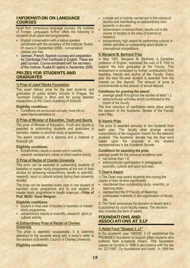### **INFORMATION ON LANGUAGE COURSES**

Apart from compulsory language courses, the Institute of Foreign Languages further offers the following to students of all years and programmes:

- **English conversation with a native speaker** (enrolment with the secretary of the Institute, Ruská 91 opens in September 2006) - conversation classes are free;
- **German, French, Spanish courses and preparation** for Cambridge First Certificate in English. These are paid courses. Course enrolment with the secretary of the Institute, Ruská 91 opens in September 2006.

# **PRIZES FOR STUDENTS AND GRADUATES**

# **1) Prize of Josef Hlávka Foundation**

The Josef Hlávka prize for the best students and graduates of public tertiary schools in Prague, the Technical College in Brno and for young talented researchers at the Czech Academy of Science.

#### **Eligibility conditions:**

 Conditions are announced annually, more info on www.hlavkovanadace.cz

#### **2) Prize of Minister of Education, Youth and Sports**

The prize of Minister of Education, Youth and Sports is awarded to outstanding students and graduates in bachelor, master or doctoral study programmes.

The award consists of a diploma and a material or financial gift.

#### **Eligibility conditions:**

 Extraordinary results in studies and in scientific, research, development, artistic or other creative activity

#### **3) Prize of Rector of Charles University**

This prize can be awarded to outstanding students of bachelor or master study programme at the end of their studies for achieving extraordinary results in scientific, research, sport or cultural activity during their university studies.

The prize can be awarded every year to one student of bachelor study programme and to one student of master study programme in health sciences **– Prize of Prof. MUDr. Karel Weigner.** 

#### **Eligibility conditions:**

- student in final year of studies in bachelor or master study programme
- extraordinary results in scientific, research, sport or cultural activity

#### **4) Extraordinary Prize of Rector of Charles University**

The prize is awarded occasionally. It is solemnly delivered to the laureate along with a rector's letter at the session of Scientific Council of Charles University.

#### **Eligibility conditions:**

- a single act or activity carried out in the course of studies and manifesting an extraordinary civic audacity or devotion
- achievement of extraordinary results out in the course of studies in the area of science or research
- extraordinary high award for performing cultural or artistic activities or outstanding sport results in international competitions

#### **5) Margaret M. Bertrand Prize**

In May 1991, Margaret M. Bertrand, a Canadian professor of English, bestowed the sum of \$ 1000 to support the best graduates at the Faculty. This endowment is increased by further contributions from teachers, friends and alumni of the Faculty. Every year the best 6th-year student is awarded from the interest on this deposit. The amount of prize is commensurate to the amount of actual deposit.

#### **Conditions for granting the award:**

- average grade throughout the studies at least 1.2
- extracurricular activities which contributed to the credit of the faculty

The final selection of candidates takes place during the session of the Academic Senate of the Faculty every May.

#### **6) Vesmír Prize**

The prize is awarded annually to two students from each year. The faculty shall arrange annual subscriptions of the magazine Vesmír for the selected students. The Academic Senate has the final word based upon the proposal of the student representatives in the Academic Senate.

#### **Conditions for awarding the prize:**

average grade for the previous academic year

- not worse than 1.8
- extracurricular participation in pedagogical, scientific, cultural and sport activities

#### **7) Dean's Award**

1) The Dean may award students who during the course of their studies significantly:

- **EXECUTE:** manifested their outstanding study, scientific, or teaching skills;
- represented the 3rd Faculty of Medicine;
- participated markedly in the organisation of faculty life.

2) The Dean announces his decision to award and it is published by usual faculty means. The decision also includes the form of award.

# **FOUNDATIONS AND ASSOCIATIONS AT 3.LF**

#### **1) Relief Fund "Student 3. LF"**

In the academic year 1992/93, 3. LF established the PROBIMED foundation to support gifted students who suffered from a material misery. This foundation ceased its function in 1998 in accordance with the law no. 227/1997 "On foundations and funds". In 1999 the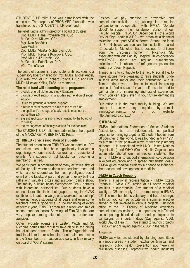STUDENT 3. LF relief fund was established with the same aim. The property of PROBIMED foundation was transferred to the STUDENT 3. LF relief fund.

The relief fund is administered by a board of trustees:

Doc. MUDr. Hana Provazníková, CSc. MUDr. Karel Křikava, CSc. Mgr. Ivan Boháček Ivan Medek Doc. MUDr. Vlasta Rychterová, CSc. Prof. MUDr. Radana Königová, CSc. Prof. MUDr. Jiří Horák, CSc. MUDr. Jitka Patočková, PhD. Věra Tomášková

The board of trustees is responsible for its activities to a supervisory board chaired by Prof. MUDr. Michal Anděl, CSc. with Prof. MUDr. Richard Rokyta, DrSc. and Prof. MUDr. Miloslav Kršiak, DrSc. as members.

**The relief fund will according to its programme:** 

- **Provide one-off aid to buy study literature;**
- provide one-off support in a sudden aggravation of social situation.
- Rules for granting a financial support:
- a request must conform to aims of the relief fund;
- the applicant's average of study results must not be worse than 2,0;
- a grant application is submitted in writing to the board of trustees;
- the management of faculty is asked for their opinion.

The STUDENT 3. LF relief fund administers the deposit of the MARGARET M. BERTRAND Prize.

#### **2) TRIMED - civic association of students**

The student organisation TRIMED was founded in 1997 and since then it has been significantly involved in organising various social, cultural and educational events. Any student of out faculty can become a member of Trimed.

We participate in organisation of many activities, first of all faculty balls where students and teachers meet and which are considered as the most prestigious social event of the faculty. A part and parcel of every ball is a raffle with valuable prizes and a student dance show. The faculty building hosts Wednesday Tea - debates with interesting personalities. Our students have a chance to exhibit their photographs at regular CVAK exhibitions. In autumn we go on a weekend "school trip" where numerous students of all years and even some teachers have a good time. In the beginning of every academic year, TRIMED organises a week-long sale of second-hand textbooks. Showings of Film Club that are very popular among students are also under our auspices.

Other favourite events are Easter, Witch and St. Nicholas parties that regularly take place in the dining hall of student dorms in Podolí. The unforgettable and traditional item in our schedule of entertainment events is the Steamboat - a masquerade party in May usually on board of "Odra" steamer.

Besides, we pay attention to preventive and humanitarian activities – e.g. we organise a regular competition in co-operation with IFMSA "Donate blood!" to support the Transfusion Station of our Faculty Hospital FNKV. On December 1 - the World Day of Fight against AIDS - we organise a financial collection to support AIDS sufferers. Around the feast of St. Nicholas we run another collection called "Chocolate for Nicholas" that is destined for children from the children's home in Říčanská St., associated with our Faculty Hospital. In co-operation with IFMSA, there are regular humanitarian collections for inhabitants of refugee camps on the territory of Czech Republic.

Trimed aims to contribute to the faculty social life, to make studies more pleasant, to raise students´ pride in their alma mater and their satisfaction with it. Trimed brings you a chance to meet interesting people, to find a space for your self-assertion and to gain a plenty of interesting and useful experience, which you can apply even in your future demanding employment.

Our office is in the main faculty building. We are happy to answer any enquiries by e-mail: trimed@centrum.cz or on our website http://trimed.lf3.cuni.cz/

### **3) IFMSA CZ**

IFMSA - International Federation of Medical Students Associations is an independent, non-political organisation bringing together 92 student bodies from 88 countries of the world. It was founded in May 1951 as a result of the post-war wave of friendship among students. It is associated with UNO (United Nations Organisation) and WHO (World Health Organisation) as an international forum of medical students. The aim of IFMSA is to support international co-operation in expert education and to spread humanistic ideals. IFMSA gives medical students a chance to influence the practice and development in medicine.

#### **IFMSA in Czech Republic**

There is a national representation - IFMSA Czech Republic (IFMSA CZ), acting at all seven medical faculties in our republic. Any student of a medical faculty in CR can apply for a membership in IFMSA CZ. The membership is voluntary and free of charge. With us, you can participate in a summer elective abroad or get involved in various projects. Our local office at the 3<sup>rd</sup> Faculty of Medicine organises humanitarian collections, it co-operates with Trimed on supporting blood donation and participates in campaigns on important days (Day against AIDS, World Day of Health…). We intend to launch projects "First Aid" and "Playing against AIDS" in the future.

#### **Structure**

IFMSA activities are steered by standing committees in various areas - student exchange (clinical and research), public health (prevention not merely of civilisation diseases), reproductive health including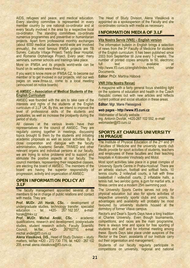AIDS, refugees and peace, and medical education. Every standing committee is represented in every member country by one national co-ordinator and at every faculty involved n the area by a respective local co-ordinator. The standing committees co-ordinate numerous programmes and preventive or humanitarian projects. Apart form professional monthly exchanges (about 6000 medical students world-wide are involved annually), the most famous IFMSA projects are TB Survey, Calcutta Village Project, Teddy Bear Hospital, and Romania Orphanage Project. Every year, many seminars, summer schools and trainings take place.

More on IFMSA and its projects world-wide can be found on its website www.ifmsa.org.

If you want to know more on IFMSA CZ, to become our member or to get involved in our projects, visit our web pages on www.ifmsa.cz, come to a local meeting (announced on notice boards)

#### **4) AMSEC – Association of Medical Students of the English Curriculum**

AMSEC was founded with the aim to take care of the interests and rights of the students at the English curriculum of 3.LF UK. By this, we intend to improve the level of professional skills of the students and graduates, as well as increase the prosperity during the period of study.

All classes at the various levels have their representatives in the council of AMSEC. They are regularly coming together in meetings, discussing topics brought to them by the students and initiating academic proposals as well as social activities. By a close cooperation and dialogue with the faculty administration, Academic Senate, TRIMED and other relevant organs and individual persons at our faculty, we are trying to solve problems and to support and stimulate the positive aspects at our faculty. The council members, representing their respective classes, are electing the board of AMSEC. The members of the board are having the superior responsibility of progression, activity and organization of AMSEC.

#### **OPEN INFORMATION POLICY AT 3.LF**

The faculty management appointed several of its members to be in charge of public relations and contact with media. They are:

**Prof. MUDr. Jiří Horák, CSc.** - development of undergraduate studies, technology transfer, specialist education - tel. +420- 267 162 357, e-mail: horak@fnkv.cz

**Prof. MUDr. Michal Anděl, CSc.** - academic qualifications, research and development, postgraduate studies, student research activity, Faculty Scientific Council, tel./fax: +420- 267162710, e-mail: michal.andel@lf3.cuni.cz

**Alena Vlasáková, DiS.,** Head of Study Division – study matters, tel/fax +420 - 272 730 776, tel. +420 - 267 102 205, e-mail: alena.vlasakova@lf3.cuni.cz.

The Head of Study Division, Alena Vlasáková is appointed as a spokesperson of the Faculty and she co-ordinates contacts with media as necessary.

### **INFORMATION MEDIA OF 3.LF**

#### **Vita Nostra Servis (VNS) – English version**

The information bulletin in English brings a selection of news from the 3rd Faculty of Medicine for students of the English curriculum. It has been published since 2003 from September till June every 1-2 weeks. The number of printed copies amounts to 50, electronic full text is available at http://www.lf3.cuni.cz/english/index.html, under Documents.

**Editor**: PhDr. Martina Hábová

#### **VNR (Vita Nostra Revue)**

A magazine with a fairly general focus shedding light on the systems of education and health in the Czech Republic comes out with new articles and reflects current political and social situation in these areas.

**Editor:** Mgr. Marie Fleissigová

#### **web pages - http://www.lf3.cuni.cz**

Webmaster of faculty website Ing. Antonín Dvořák, +420-267 102 552, e–mail: webmaster@lf3.cuni.cz

#### **SPORTS AT CHARLES UNIVERSITY IN PRAGUE**

The Institute of Physical Education of the 2<sup>nd</sup> and 3<sup>rd</sup> Faculties of Medicine and the university sports club Medik provide for sport activities of students, teachers and employees of these faculties and their teaching hospitals in Královské Vinohrady and Motol.

Most sport activities take place in a great complex of University Sports Centre in Praha-Hostivař. There are an athletic stadium, football and softball fields, 10 tennis courts, 2 volleyball courts, a hall with three basketball / volleyball courts, 2 inflatable halls, a tennis hall, two aerobic gyms, a gym for martial arts, a fitness centre and a modern 25m swimming pool.

The University Sports Centre serves not only for physical education but also for sports activities of respective university sports clubs and unions. Its advantages and availability will probably be most favoured by university students housed at the dormitory of former Vltava campus.

Rector's and Dean's Sports Days have a long tradition at Charles University. Even though tournaments, competitions, and races are the main programme, there is always time and space for free sporting of students and staff and for informal meeting among these. Sports Days take place under auspices of the Rector or the Dean; assistants of our Institute carry out their organisation and management.

Students of our faculty regularly participate in competitions on university, regional and national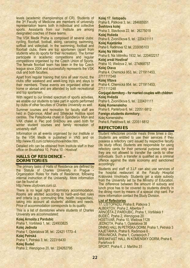levels (academic championships of CR). Students of the 3rd Faculty of Medicine are members of university representation teams both in individual and collective sports. Assistants from our Institute are among designated coaches of these teams.

The VSK Medik Praha is composed of several clubs: cycling, floorball, football, skiing, canoeing, swimming, softball and volleyball. In the swimming, football and floorball clubs, there are top sportsmen (apart from students who do sports for their recreation). The former participate in academic competitions and regular competitions organised by the Czech Union of Sports. The female floorball team has been in the top Czech league since 2004 and successfully represents the VSK club and both faculties.

Apart from regular training that runs all year round, the clubs offer weekend and week-long trips and stays to their members. These events are organised either at home or abroad and are attended by both recreational and top sportsmen.

With regard to our limited spectrum of sports activities. we enable our students to take part in sports performed by clubs of other faculties of Charles University as well.

Summer courses and recreation for faculty staff are held in Dobronice, Albeř and Střelecké Hoštice sport centres. The Patejdlovka chalet in Špindlerův Mlýn and VAK chalet in Pec pod Sněžkou are used both for winter student courses and family recreation of university staff.

Information on all events organised by our Institute or by the VSK Medik is published in VNS and on http://www.lf3.cuni.cz/telovychova/index.htm.

Detailed info can be obtained from Institute staff in their office on Bruslařská 10, Praha 10 - Hostivař.

#### **HALLS OF RESIDENCE – DORMITORIES**

The primary tasks of Halls of Residence are defined by the Statute of Charles University in Prague - Organization Rules for Halls of Residence, following internal instruction of the University. More information can be found at

http://www.ubytovani.cuni.cz.

There is no legal right to dormitory accommodation. Rooms are allotted according to hard–and–fast rules and criteria (e.g. commuting time, health incapacities), taking into account all students' abilities and needs. Price of accommodation corresponds to its quality.

This is a list of dormitories where students of Charles University are accommodated:

#### **Kolej Arnošta z Pardubic**

Praha 1, Voršilská 1, tel.: 224933825 **Kolej Jednota**  Praha 1, Opletalova 38, tel.: 22421 1773–4 **Kolej Petrská**  Praha 1, Petrská 3, tel.: 222316430 **Kolej Budeč** Praha 2, Wenzigova 20, tel.: 224262795

**Kolej 17. listopadu**  Praha 8, Pátkova 3, tel.: 284685551 **Švehlova kolej**  Praha 3, Slavíkova 22, tel.: 26275018 **Kolej Hvězda**  Praha 6, Zvoníčkova 5, tel.: 220431111 **Kolej Kajetánka**  Praha 6, Radimova 12, tel.: 233095103 **Kolej Na Větrník**  Praha 6, Na Větrníku 1932, tel.: 220402217 **Kolej areál Hostivař** Praha 10, Weilova 2, tel.: 274868757 **Kolej Otava**  Praha 4, Chemická 953, tel.: 271911453, 2711111348 **Kolej Vltava**  Praha 4, Chemická 954. tel.: 271911453, 2711111248 **Conjugal dormitory – for married couples with children: Kolej Hvězda**  Praha 6, Zvoníčkova 5, tel.: 220431111 **Kolej Komenského**  Praha 6, Parléřova 6, tel.: 22051 6812 **Foreign students dormitory:**  Kolej Komenského Praha 6, Parléřova 6, tel.: 22051 6812

#### **REFECTORIES**

Student refectories provide meals three times a day. Students are entitled to use their services if they possess a refectory card issued by respective faculty (its study office) Students are responsible for using refectory cards for their personal purpose only and they are not allowed to transfer the cards to other individuals. Such a transfer is qualified as a criminal offence against the state economy and sanctioned accordingly.

Students and staff of 3.LF can also use services of the hospital restaurant at the Faculty Hospital Královské Vinohrady. Students get a state subsidy from the University set by the Ministry of Education. The difference between the amount of subsidy and lunch price has to be covered by students directly in the dining room by means of a special chip card. For more information contact the Study Division.

#### **List of Refectories**

17. LISTOPADU, Praha 8, Pátkova 3 ALBERTOV, Praha 2, Albertov 7 ARNOŠTA Z PARDUBIC, Praha 1, Voršilská 1 BUDEČ, Praha 2, Wenzigova 20 HOSTIVAŘ, Praha 10, Weilova 1128 JEDNOTA, Praha 1, Opletalova 38 DINING HALL IN PETRSKA DORM, Praha 1, Petrská 3<br>KAJETÁNKA, Praha 6, Radimova 6 PRÁVNICKÁ, Praha 1, Curieových 7 BREAKFAST HALL IN KOMENSKY DORM, Praha 6, Parléřova 6 SPORT, Praha 6, J. Martího 31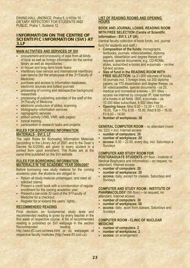DINING HALL JINONICE, Praha 5, U Kříže 10 DIETARY REFECTORY FOR STUDENTS AND PUBLIC, Praha 1, Spálená 12

#### **INFORMATION ON THE CENTRE OF SCIENTIFIC INFORMATION (SVI) AT 3.LF**

#### **MAIN ACTIVITIES AND SERVICES OF SVI**

- procurement and processing of data from all kinds of local as well as foreign information for the central library as well as depositories
- in–house and long–term book–loans
- interlibrary loan service and international interlibrary loan service (for the employees of the 3rd Faculty of Medicine)
- **Purchase and access to information databases.** electronic sources and fulltext journals
- processing of running and retrospective background researches
- processing of publishing activities of the staff of the 3rd Faculty of Medicine
- **EXECTE EXECTED electronic production of slides, scanning**
- bibliography–information services
- reprographic services
- edition activity (VNS, VNR, web pages)
- topical training
- participation in research tasks and projects

#### **RULES FOR BORROWING INFORMATION MATERIALS - SVI 3. LF**

The valid Rules for Borrowing Information Materials (according to the Library Act of 2001 and to the Dean´s Decree No.6/2006) are given to every student in a printed form upon enrolment. The Rules are at the same time published on the SVI website.

#### **RULES FOR BORROWING INFORMATION MATERIALS IN THE ACADEMIC YEAR 2006/2007**

Before borrowing new study material for the coming academic year, the students are obliged to:

- Return all study material undamaged, and meet all solicited claims:
- **Present a credit book with a corroboration of regular** enrollment for the coming academic year;
- **Present a bar-code ID card of the 3rd Faculty of** Medicine for a checkout;
- **-** Register for or extend the users' rights.

#### **RECOMMENDED READING**

Final decision on fundamental study texts and recommended reading is given by every teacher in the first week of respective course. A list of recommended reading is published on SVI webpage in the section Recommended reading

http://wsvi.lf3.cuni.cz/news.html or on webpages of respective faculty Institutes (http://www.lf3.cuni.cz).

#### **LIST OF READING ROOMS AND OPENING HOURS**

#### **BOOK AND JOURNAL LOANS, READING ROOM WITH FREE SELECTION (Centre of Scientific Information - SVI 3. LF UK)**

(central faculty collection of book funds, incl. journal fund for students and staff.)

- **Composition of the funds:** monographs, textbooks, journals, videocassettes, diploma papers, dissertation and degree theses on request, special documents, e.g. CD-ROMs, slides, subscribed e-books and e-journals – on-line full-text access
- **Size of fund in the READING ROOM WITH FREE SELECTION:** ca 21.000 volumes of books, 55 journals incl. 3 foreign ones, ca 200 diploma papers, ca 170 dissertation and degree theses, ca 58 videocassettes, special documents - ca 25, medical and biomedical e-books – 301 titles – access via Internet by computer IP, total number of e-books in all fields 1800, e-journals – ca 10.000 titles subscribed, 6 000 titles free
- **Opening hours:** Mon 8.00 12.00 + 13.00 16.00, Tue + Thu 8.00 – 18.00, Wed 8.00 – 16.00, Fri 8.00 – 14.00
- **Number of workplaces: 36**

# **GENERAL COMPUTER ROOM** – no attendant (room

no. 222) + incl. Internet access

- **number of computers: 20**
- **number of workplaces: 20**
- **access:** 6.00 22.00, every day, incl. Saturdays a **Sundays**

#### **COMPUTER AND STUDY ROOM FOR**

**POSTGRADUATE STUDENTS (6th floor - Institute of** Medical Biophysics and Informatics) – on request, no attendant, Internet access

- **number of computers: 20**
- **number of workplaces: 20**
- **access:** daily, except for classes, Saturdays and **Sundays**

#### **COMPUTER AND STUDY ROOM - INSTITUTE OF**

**PHARMACOLOGY** (5th floor) – on request, no attendant, Internet access

- **number of computers: 30**
- **number of workplaces: 50**
- **access:** daily, apart from classes, Saturdays and Sundays

#### **COMPUTER ROOM - CLINIC OF NUCLEAR MEDICINE**

- **number of computers: 2**
- **number of workplaces: 2**
- **access:** on arrangement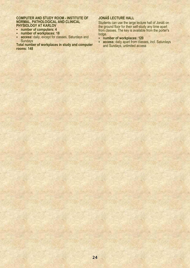#### **COMPUTER AND STUDY ROOM - INSTITUTE OF NORMAL, PATHOLOGICAL AND CLINICAL PHYSIOLOGY AT KARLOV**

- **number of computers: 4**
- **number of workplaces: 18**
- **access:** daily, except for classes, Saturdays and **Sundays**

**Total number of workplaces in study and computer rooms: 148** 

# **JONÁŠ LECTURE HALL**

Students can use the large lecture hall of Jonáš on the ground floor for their self-study any time apart from classes. The key is available from the porter's lodge.

- **number of workplaces: 120**
- **access:** daily apart from classes, incl. Saturdays and Sundays, unlimited access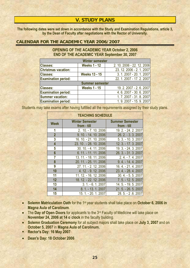# **V. STUDY PLANS**

**The following dates were set down in accordance with the Study and Examination Regulations, article 3, by the Dean of Faculty after negotiations with the Rector of University.** 

# **CALENDAR FOR THE ACADEMIC YEAR 2006/2007**

# **OPENING OF THE ACADEMIC YEAR October 2, 2006 END OF THE ACADEMIC YEAR September 30, 2007**

| <b>Winter semester</b>     |                        |                            |  |  |  |  |
|----------------------------|------------------------|----------------------------|--|--|--|--|
| <b>Classes:</b>            | <b>Weeks 1 - 12</b>    | 2. 10. 2006 - 22. 12. 2006 |  |  |  |  |
| <b>Christmas vacation:</b> |                        | 23. 12. 2006 - 2. 1. 2007  |  |  |  |  |
| <b>Classes:</b>            | <b>Weeks 13 - 15</b>   | 3. 1. 2007 - 20. 1. 2007   |  |  |  |  |
| <b>Examination period:</b> |                        | 22. 1. 2007 - 17. 2. 2007  |  |  |  |  |
|                            | <b>Summer semester</b> |                            |  |  |  |  |
| <b>Classes:</b>            | <b>Weeks 1 - 15</b>    | 19.2.2007 - 2.6.2007       |  |  |  |  |
| <b>Examination period:</b> |                        | 4.6.2007 - 30.6.2007       |  |  |  |  |
| <b>Summer vacation:</b>    |                        | 1.7.2007 - 31.8.2007       |  |  |  |  |
| <b>Examination period:</b> |                        | 1.9.2007 - 15.9.2007       |  |  |  |  |

Students may take exams after having fulfilled all the requirements assigned by their study plans.

|                         | <b>TEACHING SCHEDULE</b>              |                                       |  |  |  |  |  |
|-------------------------|---------------------------------------|---------------------------------------|--|--|--|--|--|
| <b>Week</b>             | <b>Winter Semester</b><br>from - till | <b>Summer Semester</b><br>from - till |  |  |  |  |  |
| 1                       | 2. 10. - 7. 10. 2006                  | 19. 2. - 24. 2. 2007                  |  |  |  |  |  |
| $\overline{2}$          | 9. 10. - 14. 10. 2006                 | 26. 2. - 3. 3. 2007                   |  |  |  |  |  |
| 3                       | 16. 10. - 21. 10. 2006                | 5. 3. - 10. 3. 2007                   |  |  |  |  |  |
| $\overline{\mathbf{4}}$ | 23. 10. - 28. 10. 2006                | 12. 3. - 17. 3. 2007                  |  |  |  |  |  |
| 5                       | 30, 10, -4, 11, 2006                  | 19. 3. - 24. 3. 2007                  |  |  |  |  |  |
| $6\phantom{a}$          | 6. 11. - 11. 11. 2006                 | 26. 3. - 31. 3.2007                   |  |  |  |  |  |
| $\overline{7}$          | 13. 11. - 18. 11. 2006                | $2.4. - 7.4.2007$                     |  |  |  |  |  |
| 8                       | 20. 11. - 25. 11. 2006                | 9.4. - 14.4.2007                      |  |  |  |  |  |
| 9                       | 27. 11. - 2. 12. 2006                 | 16.4. - 21.4.2007                     |  |  |  |  |  |
| 10                      | 4. 12. - 9. 12. 2006                  | 23. 4. - 28. 4. 2007                  |  |  |  |  |  |
| 11                      | 11. 12. - 16. 12. 2006                | 30.4. - 5.5.2007                      |  |  |  |  |  |
| 12                      | 18. 12. - 22. 12. 2006                | 7.5. - 12.5.2007                      |  |  |  |  |  |
| 13                      | $3.1 - 6.1$ . 2007                    | 14.5. - 19.5.2007                     |  |  |  |  |  |
| 14                      | 8. 1. - 13. 1. 2007                   | 21.5. - 26.5.2007                     |  |  |  |  |  |
| 15                      | 15. 1. - 20. 1. 2007                  | 28.5. - 2.6.2007                      |  |  |  |  |  |

- **Solemn Matriculation Oath** for the 1<sup>st</sup> year students shall take place on October 6, 2006 in **Magna Aula of Carolinum**.
- The **Day of Open Doors** for applicants to the 3<sup>rd</sup> Faculty of Medicine will take place on **November 24, 2006 at 14 o´clock** in the faculty building.
- **Solemn Graduation Ceremony** for all subject majors shall take place on **July 3, 2007** and on **October 5, 2007** in **Magna Aula of Carolinum.**
- **Rector's Day: 16 May 2007**

• **Dean's Day: 18 October 2006**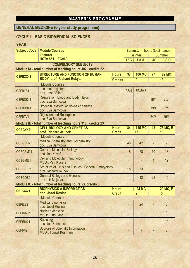# **MASTER´S PROGRAMME**

# **GENERAL MEDICINE (6-year study programme)**

# **CYCLE I – BASIC BIOMEDICAL SCIENCES**

# **YEAR I**

| <b>Subject Code</b>        | <b>Module/Courses</b>                                                               |                               | Semester - hours (total number) |                     |                |                 |  |
|----------------------------|-------------------------------------------------------------------------------------|-------------------------------|---------------------------------|---------------------|----------------|-----------------|--|
|                            | <b>Lecturer</b>                                                                     |                               | <b>Winter</b>                   |                     | <b>Summer</b>  |                 |  |
|                            | HCT=851 EC=60                                                                       |                               | L/IC                            | P/S/D               | L/IC           | P/S/D           |  |
| <b>COMPULSORY SUBJECTS</b> |                                                                                     |                               |                                 |                     |                |                 |  |
|                            | Module IA - total number of teaching hours 302, credits 22                          |                               |                                 |                     |                |                 |  |
| <b>CSFBXX41</b>            | <b>STRUCTURE AND FUNCTION OF HUMAN</b><br><b>BODY prof. Richard Rokyta</b>          | <b>Hours</b>                  | 37                              | <b>106 MC</b>       | 77             | <b>82 MC</b>    |  |
|                            |                                                                                     | <b>Credits</b>                |                                 | 9                   |                | 13              |  |
|                            | <b>Module Courses</b>                                                               |                               |                                 |                     |                |                 |  |
| <b>CSFBLS41</b>            | Locomotor system<br>prof. Josef Stingl                                              |                               | 33/4                            | 55/8/43             |                |                 |  |
| CSFBDK41                   | <b>Respiration. Blood and Body Fluids</b><br>doc. Eva Samcová                       |                               |                                 |                     | 18/4           | $20/-$          |  |
| <b>CSFBUS41</b>            | Urogenital system. Acido-basic balance.<br>doc. Eva Samcová                         |                               |                                 |                     | 19/4           | 22/6            |  |
| CSFBTV41                   | <b>Digestion and Resorption</b><br>doc. Eva Samcová                                 |                               |                                 |                     | 24/8           | 25/9            |  |
|                            | Module IB - total number of teaching hours 316, credits 23                          |                               |                                 |                     |                |                 |  |
| CCBGXX21                   | <b>CELL BIOLOGY AND GENETICS</b><br>prof. Richard Jelínek                           | <b>Hours</b><br><b>Credit</b> | 84                              | <b>115 MC</b><br>13 | 42             | 75 MC, E<br>10  |  |
|                            | <b>Module Courses</b>                                                               |                               |                                 |                     |                |                 |  |
| CCBGCH21                   | <b>Medical Chemistry and Biochemistry</b><br>doc. Eva Samcová                       |                               | 48                              | 42                  |                |                 |  |
| CCBGBM21                   | <b>Cell and Molecular Biology</b><br>doc. Jan Kovář                                 |                               | 18                              | 28                  | 10             | 18              |  |
| CCBGMI21                   | <b>Cell and Molecular Immunology</b><br><b>MUDr. Petr Kučera</b>                    |                               |                                 |                     | $\overline{4}$ | 12              |  |
| <b>CCBGSE21</b>            | <b>Structure of Cells and Tissues . General Embryology</b><br>prof. Richard Jelínek |                               | 18                              | 33                  |                |                 |  |
| CCBGOB21                   | <b>General Biology and Genetics</b><br>prof. Jiří Mejsnar                           |                               |                                 | 12                  | 28             | 45              |  |
|                            | Module IC - total number of teaching hours 53, credits 5                            |                               |                                 |                     |                |                 |  |
| <b>CBPIXX21</b>            | <b>BIOPHYSICS A INFORMATICS</b>                                                     | <b>Hours</b>                  |                                 | <b>24 MC</b>        |                | <b>29 MC, E</b> |  |
|                            | doc. Jozef Rosina                                                                   | <b>Credit</b>                 |                                 | $\overline{2}$      |                | 3               |  |
|                            | <b>Module Courses</b>                                                               |                               |                                 |                     |                |                 |  |
| <b>CBPILB21</b>            | <b>Medical Biophysics</b><br>doc. Jozef Rosina                                      |                               |                                 | 24                  |                | $6\overline{6}$ |  |
| CBPINM21                   | <b>Nuclear Medicine</b><br><b>MUDr. Otto Lang</b>                                   |                               |                                 |                     |                | 8               |  |
| <b>CBPIRA21</b>            | Radiology<br>doc. Jan Šprindrich                                                    |                               |                                 |                     |                | 10              |  |
| CBPIVI21                   | <b>Sources of Scientific Information</b><br>MUDr. Tomáš Kostrhun                    |                               |                                 |                     |                | $5\phantom{.0}$ |  |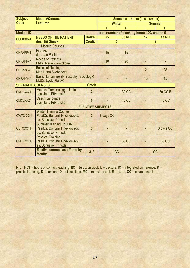| <b>Subject</b>          | <b>Module/Courses</b>                                                                |                | <b>Semester</b> - hours (total number) |              |                                               |                |  |
|-------------------------|--------------------------------------------------------------------------------------|----------------|----------------------------------------|--------------|-----------------------------------------------|----------------|--|
| <b>Code</b>             | <b>Lecturer</b>                                                                      |                | <b>Winter</b>                          |              | <b>Summer</b>                                 |                |  |
|                         |                                                                                      |                |                                        | P            |                                               | P              |  |
| <b>Module ID</b>        |                                                                                      |                |                                        |              | total number of teaching hours 120, credits 5 |                |  |
| <b>CSFBXX41</b>         | <b>NEEDS OF THE PATIENT</b>                                                          | <b>Hours</b>   | 25                                     | <b>35 MC</b> | 17                                            | <b>43 MC</b>   |  |
|                         | doc. Jiří Šimek                                                                      | <b>Credit</b>  |                                        | 3            |                                               | $\overline{2}$ |  |
|                         | <b>Module Courses</b>                                                                |                |                                        |              |                                               |                |  |
| CNPAPP41                | <b>First Aid</b><br>doc. Jan Pachl                                                   |                | 15                                     | 15           |                                               |                |  |
| CNPAPN41                | <b>Needs of Patients</b><br>PhDr. Marie Zvoníčková                                   |                | 10                                     | 20           | L,                                            |                |  |
| CNPAZO41                | <b>Basics of Nursing</b><br>Mgr. Hana Svobodová                                      |                |                                        |              | $\overline{2}$                                | 28             |  |
| CNPAHV41                | <b>Basic Humanities (Philosophy, Sociology)</b><br>MUDr. Lydie Fialová               |                |                                        |              | 15                                            | 15             |  |
| <b>SEPARATE COURSES</b> |                                                                                      | <b>Credit</b>  |                                        |              |                                               |                |  |
| CMTLXX21                | <b>Medical Terminology - Latin</b><br>doc. Jana Přívratská                           | $\overline{2}$ |                                        | 30 CC        |                                               | <b>30 CC E</b> |  |
| CMCLXX21                | <b>Czech Language</b><br>doc. Jana Přívratská                                        | $\mathbf{0}$   |                                        | <b>45 CC</b> |                                               | <b>45 CC</b>   |  |
|                         |                                                                                      |                | <b>ELECTIVE SUBJECTS</b>               |              |                                               |                |  |
| CWTCXX11                | <b>Winter Training Course</b><br>PaedDr. Bohumil Hněvkovský,<br>as. Bohuslav Příhoda | $\overline{3}$ | 8 days CC                              |              |                                               |                |  |
| CSTCXX11                | <b>Summer Training Course</b><br>PaedDr. Bohumil Hněvkovský,<br>as. Bohuslav Příhoda | 3              |                                        |              |                                               | 8 days CC      |  |
| CPHTXX61                | <b>Physical Training</b><br>PaedDr. Bohumil Hněvkovský,<br>as. Bohuslav Příhoda      | $\overline{3}$ |                                        | <b>30 CC</b> |                                               | <b>30 CC</b>   |  |
|                         | <b>Elective courses as offered by</b><br>faculty                                     | 3, 3           | <b>CC</b>                              |              | <b>CC</b>                                     |                |  |

N.B.: **HCT** = hours of contact teaching, **EC** = European credit, **L =** Lecture, **IC** = integrated conference, **P** = practical training, **S** = seminar, **D** = dissections, **MC** = module credit, **E** = exam, **CC** = course credit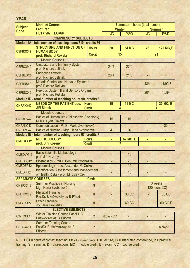| <b>Subject</b>          | <b>Module/ Course</b>                                                                      |                               |                |                   | Semester - hours (total number) |                 |
|-------------------------|--------------------------------------------------------------------------------------------|-------------------------------|----------------|-------------------|---------------------------------|-----------------|
| <b>Code</b>             | <b>Lecturer</b>                                                                            |                               |                | <b>Winter</b>     | <b>Summer</b>                   |                 |
|                         | <b>HCT=587</b><br>EC=60                                                                    |                               | <b>L/IC</b>    | <b>P/S/D</b>      | <b>L/IC</b>                     | <b>P/S/D</b>    |
|                         | <b>COMPULSORY SUBJECTS</b><br>Module IA - total number of teaching hours 310, credits 36   |                               |                |                   |                                 |                 |
|                         | <b>STRUCTURE AND FUNCTION OF</b>                                                           |                               |                |                   |                                 |                 |
| <b>CSFBXX42</b>         | <b>HUMAN BODY</b>                                                                          | <b>Hours</b>                  | 60             | <b>54 MC</b>      | 76                              | <b>120 MC,E</b> |
|                         | prof. Richard Rokyta                                                                       | <b>Credit</b>                 |                | 15                | 21                              |                 |
|                         | <b>Module Courses</b>                                                                      |                               |                |                   |                                 |                 |
| CSFBOS42                | <b>Circulatory and Immunity System</b><br>prof. Richard Jelínek                            |                               | 24/4           | 27/0              |                                 |                 |
| CSFBES42                | <b>Endocrine System</b><br>prof. Richard Jelinek                                           |                               | 28/4           | 21/6              | $-1$                            |                 |
| <b>CSFBNS42</b>         | Motoric Control and Nervous System I<br>prof. Richard Rokyta                               |                               |                |                   | 48/4                            | 41/9/45         |
| CSFBSO42                | <b>Nervous System II and Sensory Organs</b><br>prof. Richard Rokyta                        |                               |                |                   | 20/4                            | 16/9/           |
|                         | Module ID - total number of teaching hours 90, credits 8                                   |                               |                |                   |                                 |                 |
| <b>CNPAXX42</b>         | <b>NEEDS OF THE PATIENT doc.</b><br>Jiří Šimek                                             | <b>Hours</b><br><b>Credit</b> | 19             | <b>41 MC</b><br>4 | 4                               | 30 MC, E        |
|                         | <b>Module Courses</b>                                                                      |                               |                |                   |                                 |                 |
| CNPAHV42                | Basics of Humanities (Philosophy, Sociology)<br>MUDr. Lydie Fialová                        |                               | 15             | 15                |                                 |                 |
| CNPAKO42                | Communication - PhDr. Marie Zvoníčková                                                     |                               |                |                   |                                 | 30              |
| CNPAZO42                | Basics of Nursing - Mgr. Hana Svobodová                                                    |                               | $\overline{4}$ | 26                |                                 |                 |
|                         | Module IE - total number of teaching hours 67, credits 7                                   |                               |                |                   |                                 |                 |
| <b>CMEDXX12</b>         | <b>METHODOLOGY</b><br>prof. Jiří Kožený                                                    | <b>Hours</b><br><b>Credit</b> | ٠              | 67 MC, E<br>7     | ×,                              | ٠               |
|                         | <b>Module Courses</b>                                                                      |                               |                |                   |                                 |                 |
| CMEDVM12                | <b>Basic Scientific Methodology</b><br>prof. Jiří Kožený                                   |                               |                | 16                |                                 |                 |
| CMEDBS12                | Biostatistics - RNDr. Bohumír Procházka                                                    |                               |                | 20                |                                 |                 |
| CMEDEP12                | Epidemiology - doc. Alexander M. Čelko                                                     |                               |                | 15                |                                 |                 |
| CMEDIK12                | <b>Identification, Assessment and Management</b><br>of Health Risks - prof. Miroslav Cikrt |                               |                | 16                |                                 |                 |
| <b>SEPARATE COURSES</b> |                                                                                            | <b>Credit</b>                 |                |                   |                                 |                 |
| CNSPXX12                | <b>Summer Practice in Nursing</b><br>Mgr. Hana Svobodová                                   | $\overline{9}$                |                |                   | 3 weeks<br>(120hours CC)        |                 |
| CPHTXX62                | <b>Physical Training</b><br>PaedDr. B. Hněvkovský, as. B. Příhoda                          | $\mathbf{0}$                  |                | <b>30 CC</b>      |                                 | 30 CC           |
| CMCLXX22                | <b>Czech Language</b><br>doc. Jana Přívratská                                              | $\mathbf{0}$                  |                | <b>60 CC</b>      |                                 | 60 CC E         |
|                         | <b>ELECTIVE SUBJECTS</b>                                                                   |                               |                |                   |                                 |                 |
| CWTCXX11                | Winter Training Course PaedDr. B.<br>Hněvkovský, as. B. Příhoda                            | $\overline{2}$                | 8 days CC      |                   |                                 |                 |
| CSTCXX11                | <b>Summer Training Course</b><br>PaedDr. B. Hněvkovský, as. B.<br>Příhoda                  | $\overline{2}$                |                |                   |                                 | 8 days CC       |

**YEAR II** 

N.B.: **HCT** = hours of contact teaching, **EC** = European credit, **L =** Lecture, **IC** = integrated conference, **P** = practical training, **S** = seminar, **D** = dissections, **MC** = module credit, **E** = exam, **CC** = course credit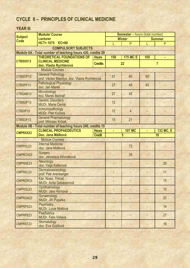# **CYCLE II – PRINCIPLES OF CLINICAL MEDICINE**

# **YEAR III**

|                               | <b>Module/ Course</b>                                       |               |     | <b>Semester</b> - hours (total number) |                |               |
|-------------------------------|-------------------------------------------------------------|---------------|-----|----------------------------------------|----------------|---------------|
| <b>Subject</b><br><b>Code</b> | <b>Lecturer</b>                                             |               |     | <b>Winter</b>                          |                | <b>Summer</b> |
|                               | HCT= 1075 EC=60                                             |               |     | P                                      |                | P             |
|                               | <b>COMPULSORY SUBJECTS</b>                                  |               |     |                                        |                |               |
|                               | Module IIA - Total number of teaching hours 430, credits 29 |               |     |                                        |                |               |
|                               | <b>THEORETICAL FOUNDATIONS OF</b>                           | <b>Hours</b>  | 150 | <b>175 MC E</b>                        | 105            |               |
| CTBSXX13                      | <b>CLINICAL MEDICINE</b>                                    |               | 22  |                                        | $\overline{7}$ |               |
|                               | doc. Vlasta Rychterová<br><b>Module Courses</b>             |               |     |                                        |                |               |
|                               | <b>General Pathology</b>                                    |               |     |                                        |                |               |
| CTBSOP13                      | prof. Václav Mandys, doc. Vlasta Rychterová                 |               | 57  | 60                                     | 60             |               |
|                               | <b>Pathological Physiology</b>                              |               |     |                                        |                |               |
| CTBSPF13                      | doc. Jan Mareš                                              |               | 27  | 45                                     | 45             |               |
| CTBSMB13                      | Microbiology                                                |               | 27  | 45                                     |                |               |
|                               | doc. Marek Bednář                                           |               |     |                                        |                |               |
| CTBSGP13                      | <b>Genetic Disorders</b>                                    |               | 12  |                                        |                |               |
|                               | <b>MUDr. Marie Černá</b><br>Immunopathology                 |               |     |                                        |                |               |
| CTBSIP13                      | <b>MUDr. Petr Kučera</b>                                    |               | 12  | $\overline{4}$                         |                |               |
|                               | <b>General Pharmacology</b>                                 |               |     |                                        |                |               |
| CTBSOF13                      | prof. Miloslav Kršiak                                       |               | 15  | 21                                     |                |               |
|                               | Module IIB - Total number of teaching hours 240, credits 15 |               |     |                                        |                |               |
| <b>CMPRXX23</b>               | <b>CLINICAL PROPAEDEUTICS</b>                               | <b>Hours</b>  | ٠   | <b>107 MC</b>                          | ٠              | 133 MC, E     |
|                               |                                                             |               |     |                                        |                |               |
|                               | Doc. Jana Málková                                           | <b>Credit</b> |     | 5                                      |                | 10            |
|                               | <b>Module Courses</b>                                       |               |     |                                        |                |               |
| <b>CMPRVL23</b>               | <b>Internal Medicine</b>                                    |               |     | 72                                     |                |               |
|                               | doc. Jana Málková                                           |               |     |                                        |                |               |
| <b>CMPRCH23</b>               | <b>Surgery</b>                                              |               |     | 35                                     |                |               |
|                               | doc. Jaroslava Hrivnáková                                   |               |     |                                        |                |               |
| <b>CMPRNE23</b>               | Neurology<br>doc. Valja Kellerová                           |               |     |                                        |                | 20            |
|                               | Dermatovenerology                                           |               |     |                                        |                |               |
| <b>CMPRKL23</b>               | prof. Petr Arenberger                                       |               |     |                                        |                | 11            |
| <b>CMPROR23</b>               | Ear, Nose, Throat                                           |               |     |                                        |                | 15            |
|                               | <b>MUDr. Azita Gebauerová</b>                               |               |     |                                        |                |               |
| <b>CMPROL23</b>               | Ophthalmology                                               |               |     |                                        |                | 10            |
|                               | MUDr. Jara Hornová                                          |               |     |                                        |                |               |
| CMPRGN23                      | Gynaecology                                                 |               |     |                                        |                | 20            |
|                               | MUDr. Jiří Popelka<br><b>Psychiatry</b>                     |               |     |                                        |                |               |
| <b>CMPRPS23</b>               | <b>MUDr. Lucie Motlová</b>                                  |               |     |                                        |                | 14            |
|                               | <b>Paediatrics</b>                                          |               |     |                                        |                |               |
| CMPRPE23                      | <b>MUDr. Felix Votava</b>                                   |               |     |                                        |                | 27            |
| CMPRST23                      | Stomatology<br>doc. Eva Gojišová                            |               |     |                                        |                | 16            |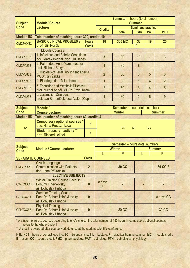|                 |                                                                              |               |                           | <b>Semester</b> - hours (total number) |                           |            |                          |  |
|-----------------|------------------------------------------------------------------------------|---------------|---------------------------|----------------------------------------|---------------------------|------------|--------------------------|--|
| <b>Subject</b>  | <b>Module/ Course</b>                                                        |               | <b>Summer</b>             |                                        |                           |            |                          |  |
| <b>Code</b>     | <b>Lecturer</b>                                                              |               | <b>Credits</b>            |                                        | <b>Seminars, practice</b> |            |                          |  |
|                 |                                                                              |               |                           | total                                  | <b>PMC</b>                | <b>PAT</b> | <b>PTH</b>               |  |
|                 | Module IIC - Total number of teaching hours 300, credits 10                  |               |                           |                                        |                           |            |                          |  |
| <b>CMCPXX33</b> | <b>BASIC CLINICAL PROBLEMS</b>                                               | <b>Hours</b>  | 10                        | <b>300 MC</b>                          | 33                        | 19         | 25                       |  |
|                 | prof. Jiří Horák                                                             | <b>Credit</b> |                           |                                        | 10                        |            |                          |  |
|                 | <b>Module Courses</b>                                                        |               |                           |                                        |                           |            |                          |  |
| <b>CMCP0133</b> | 1. Infectious and Febrile Conditions<br>doc. Marek Bednář, doc. Jiří Beneš   |               | 3                         | 90                                     | 10                        |            | $\overline{3}$           |  |
| <b>CMCP0233</b> | 2. Pain - doc. Anna Yamamotová,<br>prof. Richard Rokyta                      |               |                           | 30                                     | 8                         |            |                          |  |
| <b>CMCP0833</b> | 3. Disorders of Renal Function and Edema<br>MUDr. Jiří Žabka                 |               | $\overline{2}$            | 60                                     | $6\overline{6}$           | 5          | $6\overline{6}$          |  |
| <b>CMCP0933</b> | 4. Bleeding - doc. Milan Kment                                               |               |                           | 30                                     | $\mathbf 1$               | 4          | $\overline{\mathcal{L}}$ |  |
| <b>CMCP1133</b> | 5. Endocrine and Metabolic Diseases<br>prof. Michal Anděl, MUDr. Pavel Kraml |               | $\boldsymbol{\mathsf{p}}$ | 60                                     | $6\overline{6}$           | 4          | 5                        |  |
| <b>CMCP1233</b> | <b>6. Locomotion Disorders</b><br>prof. Jan Bartoníček, doc. Valér Džupa     |               |                           | 30                                     | $\overline{2}$            | 6          | 9                        |  |

| <b>Subject</b> | Module /                                                       | <b>Semester</b> – hours (total number) |               |               |    |  |
|----------------|----------------------------------------------------------------|----------------------------------------|---------------|---------------|----|--|
| Code           | <b>Course Lecturer</b>                                         |                                        | <b>Winter</b> | <b>Summer</b> |    |  |
|                | Module IID - Total number of teaching hours 60, credits 4      |                                        |               |               |    |  |
|                | <b>Compulsory optional courses *</b><br>doc. Hana Provazníková | 4                                      | CC.           | 60            | CC |  |
| <b>or</b>      | <b>Student research activity **</b><br>prof. Richard Jelínek   | 4                                      |               |               |    |  |

|                               |                                                                                      |                  |                     |               | <b>Semester</b> - hours (total number) |                |  |
|-------------------------------|--------------------------------------------------------------------------------------|------------------|---------------------|---------------|----------------------------------------|----------------|--|
| <b>Subject</b><br><b>Code</b> | <b>Module / Course Lecturer</b>                                                      |                  |                     | <b>Winter</b> | <b>Summer</b>                          |                |  |
|                               |                                                                                      |                  |                     | P             |                                        | P              |  |
| <b>SEPARATE COURSES</b>       |                                                                                      | <b>Credit</b>    |                     |               |                                        |                |  |
| CMCLXX23                      | Czech Language -<br><b>Communication with Patients</b><br>doc. Jana Přívratská       | $\overline{2}$   |                     | <b>30 CC</b>  |                                        | <b>30 CC E</b> |  |
|                               | <b>ELECTIVE SUBJECTS</b>                                                             |                  |                     |               |                                        |                |  |
| CWTCXX11                      | <b>Winter Training Course PaedDr.</b><br>Bohumil Hněvkovský,<br>as. Bohuslav Příhoda | $\boldsymbol{0}$ | 8 days<br><b>CC</b> |               |                                        |                |  |
| CSTCXX11                      | <b>Summer Training Course</b><br>PaedDr. Bohumil Hněvkovský,<br>as. Bohuslav Příhoda | $\boldsymbol{0}$ |                     |               |                                        | 8 days CC      |  |
| CPHTXX63                      | <b>Physical Training</b><br>PaedDr. Bohumil Hněvkovský,<br>as. Bohuslav Příhoda      | $\bf{0}$         |                     | 30 CC         |                                        | 30 CC          |  |

\* A student enrols to courses according to one´s choice; the total number of 150 hours in compulsory optional courses refers to the whole Cycle II

\*\* A credit is awarded after course work defence at the student scientific conference.

N.B.: **HCT** = hours of contact teaching, **EC** = European credit, **L =** Lecture, **P** = practical training/seminar, **MC** = module credit, **E** = exam, **CC** = course credit, **PMC** = pharmacology, **PAT** = pathology, **PTH** = pathological physiology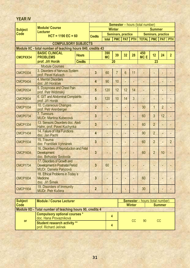| <b>YEAR IV</b>  |                                                                                                 |                |                         |                  |                           |                |                |                                        |                           |                |                |
|-----------------|-------------------------------------------------------------------------------------------------|----------------|-------------------------|------------------|---------------------------|----------------|----------------|----------------------------------------|---------------------------|----------------|----------------|
|                 | <b>Module/ Course</b>                                                                           |                |                         |                  |                           |                |                | <b>Semester</b> - hours (total number) |                           |                |                |
| <b>Subject</b>  | <b>Lecturer</b>                                                                                 |                |                         | <b>Winter</b>    |                           |                |                | <b>Summer</b>                          |                           |                |                |
| <b>Code</b>     | $HCT = 1190 EC = 60$                                                                            |                | <b>Credits</b>          |                  | <b>Seminars, practice</b> |                |                |                                        | <b>Seminars, practice</b> |                |                |
|                 |                                                                                                 |                |                         | total            | <b>PMC</b>                | <b>PAT PTH</b> |                | <b>TOTAL</b>                           | <b>PMC</b>                | <b>PAT</b>     | <b>PTH</b>     |
|                 | <b>COMPULSORY SUBJECTS</b>                                                                      |                |                         |                  |                           |                |                |                                        |                           |                |                |
|                 | Module IIC - total number of teaching hours 840, credits 43                                     |                |                         |                  |                           |                |                |                                        |                           |                |                |
| <b>CMCPXX34</b> | <b>BASIC CLINICAL</b><br><b>PROBLEMS</b>                                                        | <b>Hours</b>   |                         | 390<br><b>MC</b> | 39                        | 32             | 28             | 450<br><b>MCE</b>                      | 12                        | 24             | $\overline{2}$ |
|                 | prof. Jiří Horák                                                                                | <b>Credits</b> |                         |                  | 20                        |                |                |                                        | 23                        |                |                |
|                 | <b>Module Courses</b>                                                                           |                |                         |                  |                           |                |                |                                        |                           |                |                |
| <b>CMCP0334</b> | 3. Disorders of Nervous System<br>prof. Pavel Kalvach                                           |                | $\overline{3}$          | 60               | $\overline{7}$            | $6\phantom{1}$ | 11             |                                        |                           |                |                |
| <b>CMCP0434</b> | 4. Mental Disorders<br>doc. Jiří Horáček                                                        |                | 4                       | 90               | 10                        |                |                |                                        |                           |                |                |
| <b>CMCP0534</b> | 5. Dyspnoea and Chest Pain<br>prof. Petr Widimský                                               |                | 5                       | 120              | 12                        | 12             | 14             |                                        |                           |                |                |
| <b>CMCP0634</b> | 6. GIT and Abdominal Complaints<br>prof. Jiří Horák                                             |                | 5                       | 120              | 10                        | 14             | $\overline{3}$ |                                        |                           |                |                |
| <b>CMCP1034</b> | 10. Cutaneous Changes<br>prof. Petr Arenberger                                                  |                | $\overline{2}$          |                  |                           |                |                | 30                                     | $\mathbf{1}$              | $\overline{2}$ |                |
| <b>CMCP0734</b> | 7. Tumours<br><b>MUDr. Martina Kubecová</b>                                                     |                | $\overline{3}$          |                  |                           |                |                | 60                                     | $\overline{3}$            | 12             |                |
| <b>CMCP1334</b> | 13. Sensoric Disorders doc. Aleš<br>Hahn, prof. Pavel Kuchynka                                  |                | $\overline{3}$          |                  | ٠                         |                | L,             | 60                                     | $\overline{2}$            |                |                |
| <b>CMCP1434</b> | 14. Failure of Vital Functions<br>doc. Jan Pachl                                                |                | $\overline{\mathbf{4}}$ |                  | ٠                         |                |                | 90                                     | $\overline{2}$            |                |                |
| <b>CMCP1534</b> | 15. Trauma<br>doc. František Vyhnánek                                                           |                | $\overline{3}$          |                  | ٠                         |                | ٠              | 60                                     | $\overline{2}$            |                | $\overline{2}$ |
| <b>CMCP1634</b> | 16. Disorders of Reproduction and Fetal<br><b>Development</b><br>doc. Bohuslav Svoboda          |                | $\overline{3}$          |                  |                           |                |                | 60                                     | $\overline{2}$            | 10             |                |
| <b>CMCP1734</b> | 17. Disorders of Growth and<br><b>Development in Postnatal Period</b><br>MUDr. Daniela Palyzová |                | $\overline{3}$          | 60               |                           |                |                |                                        |                           |                |                |
| <b>CMCP1834</b> | 18. Ethical Problems in Today's<br><b>Medicine</b><br>doc. Jiří Šimek                           |                | $\overline{\mathbf{3}}$ |                  |                           |                | ٠              | 60                                     |                           |                |                |
| <b>CMCP1934</b> | 19. Disorders of Immunity<br><b>MUDr. Petr Kučera</b>                                           |                | $\overline{2}$          |                  |                           |                |                | 30                                     |                           |                |                |

| <b>Subject</b> | Module / Course Lecturer                                     |   |               | <b>Semester</b> – hours (total number) |
|----------------|--------------------------------------------------------------|---|---------------|----------------------------------------|
| Code           |                                                              |   | <b>Winter</b> | <b>Summer</b>                          |
|                | Module IID - Total number of teaching hours 90, credits 4    |   |               |                                        |
|                | Compulsory optional courses *<br>doc. Hana Provazníková      | 4 |               |                                        |
| or             | <b>Student research activity **</b><br>prof. Richard Jelínek | 4 | CC.           | 90<br>CC.                              |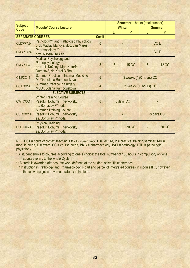|                               |                                                                                                                   |               |           | <b>Semester</b> - hours (total number) |               |                 |  |
|-------------------------------|-------------------------------------------------------------------------------------------------------------------|---------------|-----------|----------------------------------------|---------------|-----------------|--|
| <b>Subject</b><br><b>Code</b> | <b>Module/ Course Lecturer</b>                                                                                    |               |           | <b>Winter</b>                          | <b>Summer</b> |                 |  |
|                               |                                                                                                                   |               |           | P                                      |               | P               |  |
| <b>SEPARATE COURSES</b>       |                                                                                                                   | <b>Credit</b> |           |                                        |               |                 |  |
| CMCPPA34                      | Pathology*** and Pathologic Physiology<br>prof. Václav Mandys, doc. Jan Mareš                                     | $\bf{0}$      |           |                                        |               | CC <sub>E</sub> |  |
| CMCPFA34                      | Pharmacology ***<br>prof. Miloslav Kršiak                                                                         | $\bf{0}$      |           |                                        |               | CC <sub>E</sub> |  |
| <b>CMCPLP4</b>                | <b>Medical Psychology and</b><br>Pathopsychology<br>prof. Jiří Kožený, Mgr. Katarína<br>Durecová, dr. Karel Bláha | 3             | 15        | <b>15 CC</b>                           | 6             | <b>12 CC</b>    |  |
| CINPXX14                      | <b>Summer Practice in Internal Medicine</b><br>MUDr. Jolana Rambousková                                           | 6             |           | 3 weeks (120 hours) CC                 |               |                 |  |
| CCIPXX14                      | <b>Summer Practice in Surgery</b><br>MUDr. Jolana Rambousková                                                     | 4             |           | 2 weeks (80 hours) CC                  |               |                 |  |
|                               | <b>ELECTIVE SUBJECTS</b>                                                                                          |               |           |                                        |               |                 |  |
| CWTCXX11                      | <b>Winter Training Course</b><br>PaedDr. Bohumil Hněvkovský,<br>as. Bohuslav Příhoda                              | $\bf{0}$      |           | 8 days CC                              |               |                 |  |
| CSTCXX11                      | <b>Summer Training Course</b><br>PaedDr. Bohumil Hněvkovský,<br>as. Bohuslav Příhoda                              | $\bf{0}$      | 8 days CC |                                        |               |                 |  |
| CPHTXX24                      | <b>Physical Training</b><br>PaedDr. Bohumil Hněvkovský,<br>as. Bohuslav Příhoda                                   | 0             |           | <b>30 CC</b>                           |               | <b>30 CC</b>    |  |

N.B.: **HCT** = hours of contact teaching, **EC** = European credit, **L =** Lecture, **P** = practical training/seminar, **MC** = module credit, **E** = exam, **CC** = course credit, **PMC** = pharmacology, **PAT** = pathology, **PTH** = pathologic physiology

\* A student enrols to courses according to one´s choice; the total number of 150 hours in compulsory optional courses refers to the whole Cycle II

\*\* A credit is awarded after course work defence at the student scientific conference.

\*\*\* Instruction in Pathology and Pharmacology is part and parcel of integrated courses in module II C, however, these two subjects have separate examinations.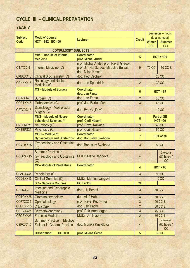# **CYCLE III – CLINICAL PREPARATION**

# **YEAR V**

|                 |                                                    |                                         | <b>Semester</b> – hours |                                |
|-----------------|----------------------------------------------------|-----------------------------------------|-------------------------|--------------------------------|
| <b>Subject</b>  | <b>Module/ Course</b>                              | <b>Lecturer</b>                         | <b>Credit</b>           | (total number)                 |
| <b>Code</b>     | $HCT = 922$ EC= 60                                 |                                         |                         | <b>Winter</b><br><b>Summer</b> |
|                 |                                                    |                                         |                         | <b>CSP</b><br><b>CSP</b>       |
|                 | <b>COMPULSORY SUBJECTS</b>                         |                                         |                         |                                |
|                 | <b>MIM - Module of Internal</b>                    | <b>Coordinator</b>                      | 12                      | $HCT = 190$                    |
|                 | <b>Medicine</b>                                    | prof. Michal Anděl                      |                         |                                |
|                 |                                                    | prof. Michal Anděl, prof. Pavel Gregor, |                         |                                |
| CINTXX45        | Internal Medicine (C)                              | prof. Jiří Horák, doc. Miroslav Bulvas, | 9                       | <b>70 CC E</b><br><b>70 CC</b> |
|                 |                                                    | doc. Milan Kment                        |                         |                                |
| CKBCXX15        | <b>Clinical Biochemistry (C)</b>                   | doc. Petr Čechák                        | $\overline{1}$          | <b>20 CC</b>                   |
| CRNKXX15        | Radiology and Nuclear<br>Medicine (C)              | doc. Jan Šprindrich                     | $\overline{2}$          | <b>30 CC</b>                   |
|                 | MS - Module of Surgery                             | <b>Coordinator</b>                      | $6\phantom{1}6$         | $HCT = 87$                     |
|                 |                                                    | doc. Jan Fanta                          |                         |                                |
| CCIRXX45        | Surgery (C)                                        | doc. Jan Fanta                          | $\overline{2}$          | 30 CC                          |
| CORTXX45        | Orthopaedics (C)                                   | prof. Jan Bartoníček                    | 3                       | <b>45 CC</b>                   |
| CSTOXX15        | Stomatology - Maxillo-facial<br>Surgery (C)        | doc. Eva Gojišová                       | $\mathbf{1}$            | <b>12 CC</b>                   |
|                 | <b>MNS - Module of Neuro-</b>                      | <b>Coordinator</b>                      |                         | <b>Part of SE</b>              |
|                 | <b>behavioral Sciences **</b>                      | prof. Cyril Höschl                      | $6\phantom{1}$          | $HCT = 90$                     |
| <b>CNBENE25</b> | Neurology (C)                                      | prof. Pavel Kalvach                     | 3                       | <b>40 CC</b>                   |
| CNBEPS25        | Psychiatry (C)                                     | prof. Cyril Höschl                      | $\overline{3}$          | <b>50 CC</b>                   |
|                 | MGO - Module of                                    | <b>Coordinator</b>                      |                         |                                |
|                 | <b>Gynaecology and Obstetrics</b>                  | doc. Bohuslav Svoboda                   | $\overline{7}$          | $HCT = 130$                    |
| CGYOXX35        | <b>Gynaecology and Obstetrics</b><br>(C)           | doc. Bohuslav Svoboda                   | $\overline{3}$          | <b>50 CC</b>                   |
|                 | <b>Summer Practice in</b>                          |                                         |                         | 2 weeks                        |
| CGOPXX15        | <b>Gynaecology and Obstetrics</b>                  | <b>MUDr. Marie Bendová</b>              | $\overline{4}$          | $(80$ hours)                   |
|                 | (C)                                                |                                         |                         | <b>CC</b>                      |
|                 | MP- Module of Paediatrics                          | <b>Coordinator</b>                      | 4                       | $HCT = 60$                     |
|                 | CPADXX35 Paediatrics (C)                           |                                         | $\mathbf{3}$            | <b>50 CC</b>                   |
| CCGEXX15        | <b>Clinical Genetics (C)</b>                       | <b>MUDr. Martina Langová</b>            | 1                       | <b>10 CC</b>                   |
|                 | <b>SC - Separate Courses</b>                       | $HCT = 335$                             | 20                      |                                |
| CITRXX25        | <b>Infection and Geographic</b><br><b>Medicine</b> | doc. Jiří Beneš                         | 3                       | <b>50 CC E</b>                 |
| COTOXX25        | Otorhinolaryngology                                | doc. Aleš Hahn                          | $\overline{3}$          | 50 CC E                        |
| COFTXX25        | Ophthalmology                                      | prof. Pavel Kuchynka                    | $\mathbf{3}$            | <b>50 CC E</b>                 |
| CEMEXX25        | <b>Critical Care</b>                               | doc. Jan Pachl                          | $\overline{2}$          | 30 CC E                        |
| CDEVXX25        | Dermatovenerology                                  | prof. Petr Arenberger                   | $\overline{3}$          | <b>45 CC E</b>                 |
| CFORXX25        | <b>Forensic Medicine</b>                           | MUDr. Jiří Hladík                       | $\overline{2}$          | 30 CC E                        |
|                 | <b>Summer Practice in Elective</b>                 |                                         |                         | 2 weeks                        |
| CSPCXX15        | <b>Field or in General Practice</b>                | doc. Monika Kneidlová                   | 4                       | $(80$ hours)                   |
|                 |                                                    |                                         |                         | CC                             |
|                 | Dissertation*<br><b>HCT=30</b>                     | prof. Milena Černá                      | 5                       | 30 CC                          |
|                 |                                                    |                                         |                         |                                |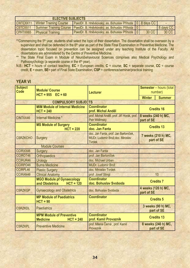| <b>ELECTIVE SUBJECTS</b> |                                        |                                                                          |  |       |           |  |
|--------------------------|----------------------------------------|--------------------------------------------------------------------------|--|-------|-----------|--|
|                          | <b>CWTCXX11 Winter Training Course</b> | PaedDr. B. Hněvkovský, as. Bohuslav Příhoda   0   8 days CC              |  |       |           |  |
| CSTCXX11                 |                                        | Summer Training Course   PaedDr. B. Hněvkovský, as. Bohuslav Příhoda   0 |  |       | 8 days CC |  |
| CPHTXX65                 | <b>Physical Training</b>               | PaedDr. B. Hněvkovský, as. Bohuslav Příhoda   0                          |  | 30 CC | 30 CC     |  |

- \*\*Commencing the 5<sup>th</sup> year, students shall select the topic of their dissertation. The dissertation shall be overseen by a supervisor and shall be defended in the 6<sup>th</sup> year as part of the State Final Examination in Preventive Medicine. The dissertation topic focused on prevention can be assigned under any teaching Institute of the Faculty. All dissertations are administered by the Centre of Preventive Medicine.
- \*\* The State Final Exam in Module of Neurobehavioural Sciences comprises also Medical Psychology and Pathopsychology (a separate course in the 4<sup>th</sup> year).
- N.B.: **HCT** = hours of contact teaching, **EC** = European credits, **C** = course, **SC** = separate course, **CC** = course credit, **E** = exam, **SE**= part of Final State Examination, **CSP** = conference/seminar/practical training

# **YEAR VI**

| <b>Subject</b><br><b>Code</b> | <b>Module/ Course</b><br>$HCT = 955$ $EC = 60$                    | <b>Lecturer</b>                                                                             | <b>Semester</b> - hours (total<br>number) |
|-------------------------------|-------------------------------------------------------------------|---------------------------------------------------------------------------------------------|-------------------------------------------|
|                               |                                                                   |                                                                                             | <b>Winter</b><br><b>Summer</b>            |
|                               | <b>COMPULSORY SUBJECTS</b>                                        |                                                                                             |                                           |
|                               | <b>MIM Module of Internal Medicine</b><br>$HCT = 240$             | <b>Coordinator</b><br>prof. Michal Anděl                                                    | <b>Credits 16</b>                         |
| CINTXX46                      | Internal Medicine *                                               | prof. Michal Anděl, prof. Jiří Horák, prof.<br>Petr Widimský                                | 8 weeks (240 h) MC,<br>part of SE         |
|                               | <b>MS Module of Surgery</b><br>$HCT = 220$                        | <b>Coordinator</b><br>doc. Jan Fanta                                                        | <b>Credits 13</b>                         |
| <b>CSRZKCHO</b>               | <b>Surgery</b>                                                    | doc. Jan Fanta, prof. Jan Bartoníček,<br>MUDr. Ludomír Brož, doc. Miroslav<br><b>Tyrdek</b> | 7 weeks (210 h) MC,<br>part of SE         |
|                               | <b>Module Courses</b>                                             |                                                                                             |                                           |
| CCIRXX46                      | <b>Surgery</b>                                                    | doc. Jan Fanta                                                                              |                                           |
| <b>CCIROT46</b>               | <b>Orthopaedics</b>                                               | prof. Jan Bartoníček                                                                        |                                           |
| <b>CCIRUR46</b>               | <b>Urology</b>                                                    | doc. Michael Urban                                                                          |                                           |
| <b>CCIRPO46</b>               | <b>Burns Medicine</b>                                             | <b>MUDr. Ludomír Brož</b>                                                                   |                                           |
| <b>CCIRPL46</b>               | <b>Plastic Surgery</b>                                            | doc. Miroslav Tyrdek                                                                        |                                           |
| <b>CCIRAN46</b>               | <b>Clinical Anatomy</b>                                           | prof. Josef Stingl                                                                          | 10                                        |
|                               | <b>MGO Module pf Gynaecology</b><br>$HCT = 120$<br>and Obstetrics | <b>Coordinator</b><br>doc. Bohuslav Svoboda                                                 | <b>Credits 7</b>                          |
| <b>CSRZKGP</b>                | <b>Gynaecology and Obstetrics</b>                                 | doc. Bohuslav Svoboda                                                                       | 4 weeks (120 h) MC,<br>part of SE         |
|                               | <b>MP Module of Paediatrics</b><br>$HCT = 90$                     | <b>Coordinator</b>                                                                          | <b>Credits 5</b>                          |
| <b>CSRZKDL</b>                | <b>Paediatrics</b>                                                |                                                                                             | 3 weeks (90 h) MC,<br>part of SE          |
|                               | <b>MPM Module of Preventive</b><br><b>Medicine</b><br>$HCT = 240$ | <b>Coordinator</b><br>prof. Kamil Provazník                                                 | <b>Credits 13</b>                         |
| <b>CSRZKPL</b>                | <b>Preventive Medicine</b>                                        | prof. Milena Černá, prof. Kamil<br>Provazník                                                | 8 weeks (240 h) MC,<br>part of SE         |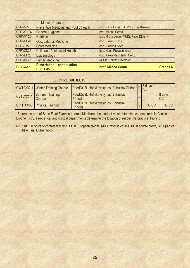|                      | <b>Module Courses</b>                            |                                          |                  |
|----------------------|--------------------------------------------------|------------------------------------------|------------------|
| CPRVVZ26             | <b>Preventive Medicine and Public Health</b>     | prof. Kamil Provazník, PhDr. Eva Křížová |                  |
| CPRVOH26             | <b>General Hygiene</b>                           | prof. Milena Černá                       |                  |
| CPRVVY26             | <b>Nutrition</b>                                 | prof. Michal Anděl, MUDr. Pavel Dlouhý   |                  |
| CPRVPL26             | <b>Occupational Medicine</b>                     | doc. Evžen Hrnčíř                        |                  |
| CPRVTV26             | <b>Sport Medicine</b>                            | doc. Vladimír Štich                      |                  |
| CPRVZD <sub>26</sub> | <b>Child and Adolescent Health</b>               | doc. Hana Provazníková                   |                  |
| CPRVEP26             | Epidemiology                                     | doc. Alexander Martin Čelko              |                  |
| CPRVRL26             | <b>Family Medicine</b>                           | MUDr. Helena Hovorová                    |                  |
| CDISXX46             | <b>Dissertation - continuation</b><br>$HCT = 45$ | prof. Milena Černá                       | <b>Credits 6</b> |

| <b>ELECTIVE SUBJECTS</b> |                                        |                                                     |  |       |              |
|--------------------------|----------------------------------------|-----------------------------------------------------|--|-------|--------------|
|                          | <b>CWTCXX11</b> Winter Training Course | PaedDr. B. Hněvkovský, as. Bohuslav Příhod 0 8 days |  |       |              |
| CSTCXX11                 | <b>Summer Training</b><br>Course       | PaedDr. B. Hněvkovský, as. Bohuslav<br>Příhoda      |  |       | 8 days<br>CC |
|                          | CPHTXX66 Physical Training             | PaedDr. B. Hněvkovský, as. Bohuslav<br>Příhoda      |  | 30 CC | 30 CC        |

\*Before the part of State Final Exam in Internal Medicine, the student must obtain the course credit in Clinical Biochemistry. Pre-clinical and clinical departments determine the location of respective practical training.

N.B.: **HCT** = hours of contact teaching, **EC** = European credits, **MC** = module course, **CC** = course credit, **SE** = part of **State Final Examination**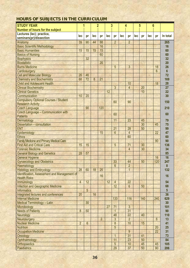| <b>STUDY YEAR</b>                               |                |                 | $\overline{2}$ |                | 3   |                       |            | 4                    |     | 5   | 6          |                 |                 |
|-------------------------------------------------|----------------|-----------------|----------------|----------------|-----|-----------------------|------------|----------------------|-----|-----|------------|-----------------|-----------------|
| Number of hours for the subject                 |                |                 |                |                |     |                       |            |                      |     |     |            |                 |                 |
| Lectures (lec); practice,                       |                |                 |                |                |     |                       |            |                      |     |     |            |                 |                 |
| seminars(pr)/dissection                         | lec            | pr              | <b>lec</b>     | pr             | lec | pr                    | <b>lec</b> | pr                   | lec | pr  | <b>lec</b> | pr              | In total        |
| Anatomy                                         | 39             | 90              | 44             | 88             |     | $\overline{2}$        |            | $\overline{2}$       |     |     |            |                 | 265             |
| <b>Basic Scientific Methodology</b>             |                |                 |                | 16             |     |                       |            |                      |     |     |            |                 | 16              |
| <b>Basic Humanities</b>                         | 15             | 15              | 15             | 15             |     |                       |            |                      |     |     |            |                 | 60              |
| <b>Basics of Nursing</b>                        |                |                 |                | 60             |     |                       |            |                      |     |     |            |                 | 60              |
| <b>Biophysics</b>                               |                | 32              |                |                |     |                       |            |                      |     |     |            |                 | 32              |
| <b>Biostatistic</b>                             |                |                 |                | 20             |     |                       |            |                      |     |     |            |                 | 20              |
| <b>Burns Medicine</b>                           |                |                 |                |                |     | 5                     |            | 3                    |     |     |            | 18              | 26              |
| Cardiosurgery                                   |                |                 |                |                |     |                       |            |                      |     |     |            | 6               | $6\phantom{a}$  |
| <b>Cell and Molecular Biology</b>               | 26             | 46              |                |                |     |                       |            |                      |     |     |            |                 | 72              |
| <b>Chemistry and Biochemistry</b>               | 68             | 72              | 8              | 21             |     |                       |            |                      |     |     |            |                 | 169             |
| <b>Child and Adolescent Health</b>              |                |                 |                |                |     |                       |            | 10                   |     |     |            | 18              | 28              |
| <b>Clinical Biochemistry</b>                    |                |                 |                |                |     | 3                     |            | $\overline{4}$       |     | 20  |            |                 | 27              |
| <b>Clinical Genetics</b>                        |                |                 |                |                | 12  |                       |            |                      |     | 10  |            |                 | 22              |
| Communication                                   | 10             | 20              |                |                |     |                       |            |                      |     |     |            |                 | 30              |
| <b>Compulsory Optional Courses / Student</b>    |                |                 |                |                |     |                       |            |                      |     |     |            |                 |                 |
| <b>Research Activity</b>                        |                |                 |                |                |     | 60                    |            | 90                   |     |     |            |                 | 150             |
| <b>Czech Language</b>                           |                | 90              |                | 120            |     |                       |            |                      |     |     |            |                 | 210             |
| Czech Language - Communication with             |                |                 |                |                |     |                       |            |                      |     |     |            |                 |                 |
| <b>Patients</b>                                 |                |                 |                |                |     | 60                    |            |                      |     |     |            |                 | 60              |
| Dermatology                                     |                |                 |                |                |     | 11                    |            | 23                   |     | 45  |            |                 | 79              |
| Dissertation - consultation                     |                |                 |                |                |     |                       |            |                      |     | 30  |            | 45              | 75              |
| <b>ENT</b>                                      |                |                 |                |                |     | 21                    |            | 28                   |     | 50  |            |                 | 99              |
| Epidemiology                                    |                |                 |                | 15             |     | $6\overline{6}$       |            | $\overline{4}$       |     |     |            | 22              | 47              |
| <b>Ethics</b>                                   |                |                 |                |                |     |                       |            | 60                   |     |     |            |                 | 60              |
| <b>Family Medicine and Primary Medical Care</b> |                |                 |                |                |     |                       |            |                      |     |     |            | 90              | 90              |
| <b>First Aid and Critical Care</b>              | 15             | 15              |                |                |     | 5                     |            | 71                   |     | 30  |            |                 | 136             |
| <b>Forensic Medicine</b>                        |                |                 |                |                |     |                       |            | $\overline{4}$       |     | 30  |            |                 | 34              |
| <b>General Biology and Genetics</b>             | 28             | 57              |                |                |     |                       |            |                      |     |     |            |                 | 85              |
| <b>General Hygiene</b>                          |                |                 |                |                |     |                       |            |                      |     |     |            | 16              | 16              |
| <b>Gynaecology and Obstetrics</b>               |                |                 |                |                |     | 33                    |            | 44                   |     | 50  |            | 120             | 247             |
| Haematology                                     |                |                 |                |                |     | $6\overline{}$        |            | $\overline{2}$       |     |     |            |                 | 8               |
| <b>Histology and Embryology</b>                 | 28             | 60              | 18             | 25             |     |                       |            | $\mathbf{1}$         |     |     |            |                 | 132             |
| Identification, Assessment and Management of    |                |                 |                |                |     |                       |            |                      |     |     |            |                 |                 |
| <b>Health Risks</b>                             |                |                 |                | 16             |     |                       |            |                      |     |     |            |                 | 16              |
| Immunology                                      | $\overline{4}$ | 12              |                |                | 12  | $\overline{4}$        |            | 22                   |     |     |            |                 | 54              |
| <b>Infection and Geographic Medicine</b>        |                |                 |                |                |     | 12                    |            | 6                    |     | 50  |            |                 | 68              |
| <b>Informatics</b>                              |                | $5\overline{5}$ |                |                |     |                       |            |                      |     |     |            |                 | $5\phantom{.0}$ |
| Integrated lectures and conferences             | 20             |                 | 16             |                |     |                       |            |                      |     |     |            |                 | 36              |
| <b>Internal Medicine</b>                        |                |                 |                |                |     | 133                   |            | 116                  |     | 140 |            | 240             | 629             |
| Medical Terminology - Latin                     |                | 30              |                |                |     |                       |            |                      |     |     |            |                 | 30              |
|                                                 |                |                 |                |                | 27  |                       |            | 3                    |     |     |            |                 | 101             |
| Microbiology                                    | 8              | 50              |                |                |     | 71<br>$\overline{1}$  |            | 31                   |     |     |            |                 |                 |
| <b>Needs of Patients</b>                        |                |                 |                |                |     |                       |            |                      |     |     |            |                 | 90              |
| Neurology                                       |                |                 |                |                |     | 48<br>3               |            | 22<br>$\overline{2}$ |     | 40  |            |                 | 110             |
| Neurosurgery                                    |                |                 |                | $\overline{2}$ |     |                       |            |                      |     |     |            | $6\phantom{1}6$ | 13              |
| <b>Nuclear Medicine</b>                         | $\overline{2}$ | $6\phantom{1}$  |                |                |     | $\boldsymbol{\delta}$ |            | 10                   |     | 15  |            |                 | 41              |
| <b>Nutrition</b>                                |                |                 |                |                |     | 5                     |            |                      |     |     |            | 20              | 25              |
| <b>Occupation Medicine</b>                      |                |                 |                |                |     |                       |            | $\overline{9}$       |     |     |            | 22              | 31              |
| Oncology                                        |                |                 |                |                |     | $\overline{1}$        |            | 31                   |     | 41  |            |                 | 73              |
| Ophthalmology                                   |                |                 |                |                |     | 11                    |            | 23                   |     | 50  |            |                 | 84              |
| Orthopaedics                                    |                |                 |                |                |     | $5\overline{)}$       |            | 10                   |     | 45  |            | 45              | 105             |
| <b>Paediatrics</b>                              |                |                 |                |                |     | 29                    |            | 37                   |     | 50  |            | 90              | 206             |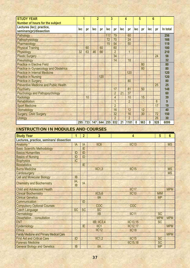| <b>STUDY YEAR</b>                             |     |     | $\overline{2}$ |     | 3   |                |            | 4              |                  | 5   |          | 6   |          |
|-----------------------------------------------|-----|-----|----------------|-----|-----|----------------|------------|----------------|------------------|-----|----------|-----|----------|
| Number of hours for the subject               |     |     |                |     |     |                |            |                |                  |     |          |     |          |
| Lectures (lec); practice,                     | lec | pr  | lec            | pr  | lec | pr             | <b>lec</b> | pr             | lec              | pr  | lec      | pr  | In total |
| seminars(pr)/dissection                       |     |     |                |     |     |                |            |                |                  |     |          |     |          |
| Pathology                                     |     |     |                |     | 117 | 79             |            | 60             |                  |     |          |     | 256      |
| Pathophysiology                               |     |     |                |     | 72  | 70             |            | 24             |                  |     |          |     | 166      |
| Pharmacology                                  |     |     |                |     | 15  | 54             |            | 50             |                  |     |          |     | 119      |
| <b>Physical Training</b>                      |     | 60  |                | 60  |     | 60             |            |                |                  |     |          |     | 180      |
| Physiology                                    | 32  | 63  | 46             | 66  |     | $\overline{2}$ |            | $\overline{1}$ |                  |     |          |     | 210      |
| <b>Plastic Surgery</b>                        |     |     |                |     |     | 34             |            |                |                  |     |          | 24  | 58       |
| Pneumology                                    |     |     |                |     |     | 14             |            | 18             |                  |     |          |     | 32       |
| <b>Practice in Elective Field</b>             |     |     |                |     |     |                |            |                |                  | 80  |          |     | 80       |
| <b>Practice in Gynaecology and Obstetrics</b> |     |     |                |     |     |                |            |                |                  | 80  |          |     | 80       |
| <b>Practice in Internal Medicine</b>          |     |     |                |     |     |                |            | 120            |                  |     |          |     | 120      |
| <b>Practice in Nursing</b>                    |     |     |                | 120 |     |                |            |                |                  |     |          |     | 120      |
| <b>Practice in Surgery</b>                    |     |     |                |     |     |                |            | 80             |                  |     |          |     | 80       |
| <b>Preventive Medicine and Public Health</b>  |     |     |                |     |     |                |            |                |                  |     |          | 25  | 25       |
| <b>Psychiatry</b>                             |     |     |                |     |     | 17             |            | 81             |                  | 50  |          |     | 148      |
| <b>Psychology and Pathopsychology</b>         |     |     |                |     |     | $\overline{2}$ | 21         | 37             |                  |     |          |     | 60       |
| Radiology                                     |     | 10  |                |     |     | 4              |            | 10             |                  | 15  |          |     | 39       |
| <b>Rehabilitation</b>                         |     |     |                |     |     |                |            | $\overline{2}$ |                  |     |          | 6   | 9        |
| <b>Sport Medicine</b>                         |     |     |                |     |     | $\overline{2}$ |            |                |                  |     |          | 17  | 19       |
| Stomatology                                   |     |     |                |     |     | 16             |            | 12             |                  | 12  |          |     | 40       |
| Surgery, Child Surgery                        |     |     |                |     |     | 32             |            | 16             |                  | 30  |          | 72  | 150      |
| <b>Urology</b>                                |     |     |                |     |     | $\overline{2}$ |            | $\overline{2}$ |                  |     |          | 26  | 30       |
|                                               | 295 | 733 | 147            | 644 | 255 | 932            | 21         | 1181           | $\boldsymbol{0}$ | 963 | $\bf{0}$ | 928 | 6099     |

# **INSTRUCTION IN MODULES AND COURSES**

| <b>Study Year</b>                               | $\overline{\mathbf{1}}$ | $\overline{2}$ | $\overline{3}$      | 4               | 5          | $6\phantom{a}$ |
|-------------------------------------------------|-------------------------|----------------|---------------------|-----------------|------------|----------------|
| Lectures, practice, seminars/ dissection        |                         |                |                     |                 |            |                |
| Anatomy*                                        | IA                      | IA             | IIC <sub>6</sub>    | IC13            |            | <b>MS</b>      |
| <b>Basic Scientific Methodology</b>             |                         | IE             |                     |                 |            |                |
| <b>Basics Humanities</b>                        | ID                      | ID             |                     |                 |            |                |
| <b>Basics of Nursing</b>                        | ID                      | ID             |                     |                 |            |                |
| <b>Biophysics</b>                               | IC                      |                |                     |                 |            |                |
| <b>Biostatistics</b>                            |                         | IE             |                     |                 |            |                |
| <b>Burns Medicine</b>                           |                         |                | IIC1,3              | IC15            |            | <b>MS</b>      |
| Cardiosurgery                                   |                         |                |                     |                 |            | <b>MS</b>      |
| <b>Cell and Molecular Biology</b>               | <b>IB</b>               |                |                     |                 |            |                |
| <b>Chemistry and Biochemistry</b>               | IA;<br><b>IB</b>        | IA             |                     |                 |            |                |
| <b>Child and Adolescent Health</b>              |                         |                |                     | IIC17           |            | <b>MPM</b>     |
| <b>Clinical Biochemistry</b>                    |                         |                | IIC5,6              | <b>IIC10</b>    | <b>MIM</b> |                |
| <b>Clinical Genetics</b>                        |                         |                | <b>IIA</b>          |                 | <b>MP</b>  |                |
| Communication                                   |                         | ID             |                     |                 |            |                |
| <b>Compulsory Optional Courses</b>              |                         |                | COC                 | COC             |            |                |
| <b>Czech Language</b>                           | <b>SC</b>               | <b>SC</b>      | <b>SC</b>           |                 |            |                |
| Dermatology                                     |                         |                | IIB                 | IC11            | <b>SC</b>  |                |
| Dissertation - consultation                     |                         |                |                     |                 | <b>MPM</b> | <b>MPM</b>     |
| <b>ENT</b>                                      |                         |                | <b>IIB</b> ; IIC3,4 | <b>IIC13,15</b> | <b>SC</b>  |                |
| Epidemiology                                    |                         | IE             | IIC1                | <b>IIC12,17</b> |            | <b>MPM</b>     |
| <b>Ethics</b>                                   |                         |                | IC12                | <b>IIC18</b>    |            |                |
| <b>Family Medicine and Primary Medical Care</b> |                         |                |                     |                 |            | <b>MPM</b>     |
| <b>First Aid and Critical Care</b>              | ID                      |                | IIC1,2              | IC15            | <b>SC</b>  |                |
| <b>Forensic Medicine</b>                        |                         |                |                     | <b>IIC15,18</b> | <b>SC</b>  |                |
| <b>General Biology and Genetics</b>             | <b>IB</b>               |                | <b>IIA</b>          |                 | <b>MP</b>  |                |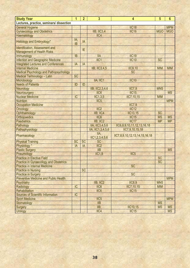| <b>Study Year</b>                             | $\mathbf 1$ | $\overline{2}$ | $\overline{\mathbf{3}}$ | 4                             | $5\phantom{1}$ | $6\phantom{1}6$ |
|-----------------------------------------------|-------------|----------------|-------------------------|-------------------------------|----------------|-----------------|
| Lectures, practice, seminars/ dissection      |             |                |                         |                               |                |                 |
| <b>General Hygiene</b>                        |             |                |                         | <b>IIC18</b>                  |                | <b>MPM</b>      |
| <b>Gynaecology and Obstetrics</b>             |             |                | IIB; IIC3,4             | IIC <sub>16</sub>             | <b>MGO</b>     | <b>MGO</b>      |
| Haematology                                   |             |                | IIC4                    |                               |                |                 |
|                                               | IA;         |                |                         |                               |                |                 |
| <b>Histology and Embryology*</b>              | <b>IB</b>   | IA             |                         |                               |                |                 |
| <b>Identification, Assessment and</b>         |             |                |                         |                               |                |                 |
| <b>Management of Health Risks</b>             |             | IE             |                         |                               |                |                 |
| Immunology                                    | <b>IB</b>   |                | <b>IIA</b>              | <b>IIC19</b>                  |                |                 |
| <b>Infection and Geographic Medicine</b>      |             |                | IC1                     | IC10                          | <b>SC</b>      |                 |
| <b>Integrated Lectures and Conferences</b>    | IA          | IA             |                         |                               |                |                 |
| <b>Internal Medicine</b>                      |             |                | <b>IIB</b> ; IIC3,4,5   | <b>IIC9,10</b>                | <b>MIM</b>     | <b>MIM</b>      |
| <b>Medical Psychology and Pathopsychology</b> |             |                |                         | <b>SC</b>                     |                |                 |
| <b>Medical Terminology - Latin</b>            | <b>SC</b>   |                |                         |                               |                |                 |
| Microbiology                                  |             |                | IIA; IIC1               | IC10                          |                |                 |
| <b>Needs of Patients</b>                      | ID          | ID             |                         |                               |                |                 |
| Neurology                                     |             |                | IIB; IIC2,3,4,6         | IIC7,9                        | <b>MNS</b>     |                 |
| Neurosurgery                                  |             |                | IIC <sub>6</sub>        | IC15                          |                | <b>MS</b>       |
| <b>Nuclear Medicine</b>                       | IC          |                | IC1,3,5                 | IIC7, 10, 15                  | <b>MIM</b>     |                 |
| <b>Nutrition</b>                              |             |                | IIC <sub>5</sub>        |                               |                | <b>MPM</b>      |
| <b>Occupation Medicine</b>                    |             |                |                         | IIC7,9                        |                |                 |
| Oncology                                      |             |                | IIC <sub>2</sub>        | IIC12                         |                |                 |
| Ophthalmology                                 |             |                | IIB; IIC4               | <b>IIC13,15</b>               | <b>SC</b>      |                 |
| Orthopaedics                                  |             |                | IIC <sub>6</sub>        | IC15                          | <b>MS</b>      | <b>MS</b>       |
| <b>Paediatrics</b>                            |             |                | <b>IIB</b> ; IIC2       | IIC <sub>17</sub>             | <b>MP</b>      | <b>MP</b>       |
| Pathology                                     |             |                | IIA; IIC3,4,5,6         | IIC6,8,9,10,11,12,13,16,18    |                |                 |
| Pathophysiology                               |             |                | IIA; IIC1,3,4,5,6       | IIC7,9,10,15,18               |                |                 |
| Pharmacology                                  |             |                | IIA;                    | IIC7,8,9,10,12,13,14,15,16,18 |                |                 |
|                                               |             |                | IC1, 2, 3, 4, 5, 6      |                               |                |                 |
| <b>Physical Training</b>                      | <b>SC</b>   | <b>SC</b>      | <b>SC</b>               |                               |                |                 |
| Physiology*                                   | IA          | IA             | IIC <sub>2</sub>        |                               |                |                 |
| <b>Plastic Surgery</b>                        |             |                | IIB                     |                               |                | <b>MS</b>       |
| Pneumology                                    |             |                | IC1,9                   | IIC <sub>5</sub>              |                |                 |
| <b>Practice in Elective Field</b>             |             |                |                         |                               | <b>SC</b>      |                 |
| Practice in Gynaecology and Obstetrics        |             |                |                         |                               | <b>SC</b>      |                 |
| <b>Practice in Internal Medicine</b>          |             |                |                         | <b>SC</b>                     |                |                 |
| <b>Practice in Nursing</b>                    |             | <b>SC</b>      |                         |                               |                |                 |
| <b>Practice in Surgery</b>                    |             |                |                         | <b>SC</b>                     |                |                 |
| <b>Preventive Medicine and Public Health</b>  |             |                |                         |                               |                | <b>MPM</b>      |
| <b>Psychiatry</b>                             |             |                | IIB; IIC2               | <b>IIC8,9</b>                 | <b>MNS</b>     |                 |
| Radiology                                     | IC          |                | IIC <sub>6</sub>        | IIC7, 10, 15                  | <b>MIM</b>     |                 |
| Rehabilitation                                |             |                | IIC <sub>6</sub>        | IC15                          |                |                 |
| <b>Sources of Scientific Information</b>      | IC          |                |                         |                               |                |                 |
| <b>Sport Medicine</b>                         |             |                | IIC <sub>5</sub>        |                               |                | <b>MPM</b>      |
| Stomatology                                   |             |                | IIB                     |                               | <b>MS</b>      |                 |
| <b>Surgery</b>                                |             |                | $IIB$ ;                 | <b>IIC10,15</b>               | <b>MS</b>      | <b>MS</b>       |
| <b>Urology</b>                                |             |                | IIC4                    | IC15                          |                | <b>MS</b>       |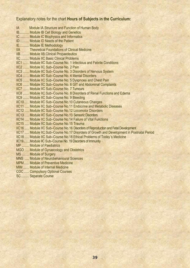### Explanatory notes for the chart **Hours of Subjects in the Curriculum:**

IA Module IA Structure and Function of Human Body IB........... Module IB Cell Biology and Genetics IC .......... Module IC Biophysics and Informatics ID .......... Module ID Needs of the Patient IE........... Module IE Methodology IIA Theoretical Foundations of Clinical Medicine IIA THEORETICAL POINGLIGHTS OF CHING<br>IIB.......... Module IIB Clinical Propaedeutics IIC ......... Module IIC Basic Clinical Problems IIC1 ....... Module IIC Sub–Course No. 1 Infectious and Febrile Conditions IIC2 ....... Module IIC Sub–Course No. 2 Pain IIC3 ....... Module IIC Sub–Course No. 3 Disorders of Nervous System IIC4 ....... Module IIC Sub–Course No. 4 Mental Disorders IIC5 ....... Module IIC Sub–Course No. 5 Dyspnoea and Chest Pain IIC6 ....... Module IIC Sub–Course No. 6 GIT and Abdominal Complaints IIC7 ....... Module IIC Sub–Course No. 7 Tumours IIC8 ....... Module IIC Sub–Course No. 8 Disorders of Renal Functions and Edema IIC9 ....... Module IIC Sub–Course No. 9 Bleeding IIC10 ..... Module IIC Sub–Course No.10 Cutaneous Changes IIC11 ..... Module IIC Sub–Course No.11 Endocrine and Metabolic Diseases IIC12 ..... Module IIC Sub–Course No.12 Locomotor Disorders IIC13 ..... Module IIC Sub–Course No.13 Sensoric Disorders IIC14 ..... Module IIC Sub–Course No.14 Failure of Vital Functions IIC15 ..... Module IIC Sub–Course No.15 Trauma IIC16 ..... Module IIC Sub–Course No.16 Disorders of Reproduction and Fetal Development IIC17 ..... Module IIC Sub–Course No.17 Disorders of Growth and Development in Postnatal Period IIC18 ..... Module IIC Sub–Course No.18 Ethical Problems of Today´s Medicine IIC19.........Module IIC Sub–Course No. 19 Disorders of Immunity MP ........ Module of Paediatrics MGO ..... Module of Gynaecology and Obstetrics MS ........ Module of Surgery MNS ..... Module of Neurobehavioural Sciences MPM...... Module of Preventive Medicine MIM ....... Module of Internal Medicine COC ...... Compulsory Optional Courses

SC ......... Separate Course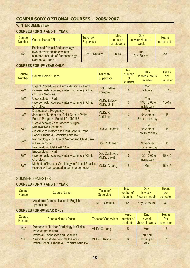# **COMPULSORY OPTIONAL COURSES – 2006/2007**

### WINTER SEMESTER

### **COURSES FOR 3RD AND 4TH YEAR**

| Course<br><b>Number</b> | Course Name / Place                                                                                                                   | Teacher/<br>Supervisor | Min.<br>number<br>of students | Dav<br>in week /hours in<br>week | <b>Hours</b><br>per semester |
|-------------------------|---------------------------------------------------------------------------------------------------------------------------------------|------------------------|-------------------------------|----------------------------------|------------------------------|
| 1/N                     | <b>Basic and Clinical Endocrinology</b><br>(two-semester course; winter +<br>summer) Institute of Endocrinology<br>Národní 8, Praha 1 | Dr. R. Kančeva         | $5 - 15$                      | Tue/<br>At 4:30 p.m.             | 30                           |

### **COURSES FOR 4TH YEAR ONLY**

| Course<br><b>Number</b> | <b>Course Name / Place</b>                                                                                                                            | Teacher/<br>Supervisor               | Min.<br>number<br><sub>of</sub><br><b>students</b> | Day<br>in week /hours<br>in week                 | <b>Hours</b><br>per<br>semester |
|-------------------------|-------------------------------------------------------------------------------------------------------------------------------------------------------|--------------------------------------|----------------------------------------------------|--------------------------------------------------|---------------------------------|
| 2/N                     | Urgent Procedures in Burns Medicine - Part I<br>(two-semester course; winter + summer) / Clinic<br>of Burns Medicine                                  | Prof. Radana<br>Königová             | $6\phantom{1}6$                                    | <b>Mon</b><br>2 hours                            | $45 + 45$                       |
| 3/N                     | Urooncology - Part I<br>(two-semester course; winter + summer) / Clinic<br>of Urology                                                                 | MUDr. Záleský,<br><b>MUDr. Grill</b> | $\overline{3}$                                     | <b>Thu</b><br>14:30-16:00 or<br>individually     | $15 + 15$                       |
| 4/N                     | <b>Diabetes and Pregnancy</b><br>/Institute of Mother and Child Care in Praha-<br>Podolí, Prague 4, Podolské nábř.157                                 | MUDr. K.<br>Andělová                 | $6\overline{6}$                                    | <b>Thu</b><br><b>November</b><br>3 hours per day | 15                              |
| 5/N                     | Urogynaecology and Modern Surgical<br>Miniinvasive Treatment-<br>/ Institute of Mother and Child Care in Praha-<br>Podolí Prague 4, Podolské nábř.157 | Doc. J. Feyereisl                    | $5\overline{)}$                                    | <b>Tue</b><br><b>November</b><br>3hours per day  | 15                              |
| 6/N                     | Neonatology / Institute of Mother and Child Care<br>in Praha-Podolí<br>Prague 4, Podolské nábř.157                                                    | Doc. Z.Straňák                       | $6\overline{6}$                                    | Thu<br><b>November</b><br>3 hours per day        | 15                              |
| 7/N                     | Endourology - Part I<br>(two-semester course; winter + summer) / Clinic<br>of Urology                                                                 | Doc. Zachoval,<br><b>MUDr. Lukeš</b> | 5                                                  | <b>Thu</b><br>14:30-16:00 or<br>individually     | $15 + 15$                       |
| 8/N                     | <b>Methods of Nuclear Cardiology in Clinical Practice</b><br>(course will be repeated in summer semester)                                             | MUDr. O.Lang                         | 5                                                  | <b>Mon</b>                                       | $15 + 15$                       |

### SUMMER SEMESTER

### **COURSES FOR 3RD AND 4TH YEAR**

| Course        | Course Name                                              | Teacher/       | Max.<br>number of | Dav<br>in week | <b>Hours</b><br>per |
|---------------|----------------------------------------------------------|----------------|-------------------|----------------|---------------------|
| <b>Number</b> |                                                          | Supervisor     | students          | hours in week  | semester            |
| $*1/S$        | <b>Academic Communication in English</b><br>(repetition) | Mr. T. Secrest | 12                | Any / 2 hours  | 30                  |

### **COURSES FOR 4TH YEAR ONLY**

| Course<br><b>Number</b> | <b>Course Name / Place</b>                                                                                                       | <b>Teacher/ Supervisor</b> | Max.<br>number of<br>students | Day<br>in week<br>/hours in week | <b>Hours</b><br>Per<br>semester |
|-------------------------|----------------------------------------------------------------------------------------------------------------------------------|----------------------------|-------------------------------|----------------------------------|---------------------------------|
| $*2/S$                  | <b>Methods of Nuclear Cardiology in Clinical</b><br>Practice (repetition)                                                        | MUDr. O. Lang              | 5                             | Mon                              | 15                              |
| $*3/S$                  | <b>Prenatal Diagnostics and Genetics</b><br>/ Institute of Mother and Child Care in<br>Praha-Podolí, Prague 4, Podolské nábř.157 | MUDr. L.Krofta             | 6                             | Thu April<br>3hours per<br>day   | 15                              |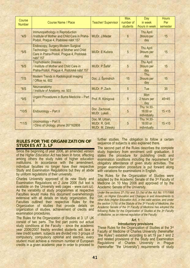| Course<br><b>Number</b> | <b>Course Name / Place</b>                                                                                                                      | <b>Teacher/ Supervisor</b>                            | Max.<br>number of<br>students | Day<br>in week<br>/hours in week       | <b>Hours</b><br>Per<br>semester |
|-------------------------|-------------------------------------------------------------------------------------------------------------------------------------------------|-------------------------------------------------------|-------------------------------|----------------------------------------|---------------------------------|
| $*4/S$                  | Immunopathology in Reproduction<br>/Institute of Mother and Child Care in Praha-<br>Podolí, Prague 4, Podolské nábř.157                         | MUDr. J.Madar                                         | $6\phantom{1}$                | <b>Thu April</b><br>3hours per<br>day  | 15                              |
| $*5/S$                  | Endoscopy, Surgery-Modern Surgical<br><b>Technology / Institute of Mother and Child</b><br>Care in Praha-Podolí, Prague 4, Podolské<br>nábř.157 | MUDr. E.Kučera                                        | 5                             | <b>Thu April</b><br>3hours per<br>day  | 15                              |
| $*6/S$                  | <b>Trophoblastic Disease</b><br>/ Institute of Mother and Child Care in<br>Praha-Podolí, Prague 4, Podolské nábř.157                            | MUDr. P.Šafář                                         | 5                             | Thu April<br>3hours per<br>day         | 15                              |
| $*7/S$                  | Modern Trends in Radiological Imaging<br>/ Office no. 602                                                                                       | Doc. J. Šprindrich                                    | 15                            | Thu<br>3hours per<br>day               | 15                              |
| $*8/S$                  | Neuroanatomy<br>/ Institute of Anatomy, no. 503                                                                                                 | MUDr. P. Zach                                         | 5                             | Tue                                    | 35                              |
| *9/S                    | Urgent Procedures in Burns Medicine - Part<br>Ш                                                                                                 | Prof. R. Königová                                     | 5                             | Mon<br>2 hours per<br>day              | $45 + 45$                       |
| *10/S                   | Endourology - Part II                                                                                                                           | Doc. Zachoval,<br><b>MUDr. Lukeš</b>                  | 5                             | Thu 14:30-<br>16:00 or<br>individually | $15 + 15$                       |
| $*11/S$                 | Urooncology - Part II<br>Clinic of Urology, phone 267162808                                                                                     | Doc. M. Urban,<br>MUDr. R. Grill,<br>MUDr. M. Záleský | 5                             | Thu 14:30-<br>16:00 or<br>individually | $15 + 15$                       |

### **RULES FOR THE ORGANIZATION OF STUDIES AT 3. LF**

Since the beginning of year 2006, an amended version of the *Higher Education Act* has been in force, affecting among others the study rules of higher education institutions. In accordance with the amendment, individual faculties no longer have their respective Study and Examination Regulations but they all abide by uniform regulations of their university.

Charles University approved of its new Study and Examination Regulations on 2 June 2006 (full text is available on the University web pages - www.cuni.cz). As the variability of study programmes at respective Faculties would make this document overwhelmingly extensive with all details on study organization, the Faculties outlined their respective Rules for the Organization of studies that provide details on organization of studies, achievement of credits and examination procedures.

The Rules for the Organization of Studies at 3. LF UK consist of two parts. The first part points out actual study conditions at the Faculty – since the academic year 2006/2007 freshly enrolled students will face a new credit system, subjects are divided into 3 groups of compulsory, compulsory optional and elective, every student must achieve a minimum number of European credits in a given academic year in order to proceed to

further studies. The obligation to follow a certain sequence of subjects is also explained there.

The second part of the Rules describes the complete study trajectory from enrolment until graduation. It states the procedure for publishing credit and examination conditions including the requirement for obligatory attendance of given study activities. The proper examination procedure is put forward along with variations for examinations in English.

The Rules for the Organization of Studies were adopted by the Academic Senate of the 3rd Faculty of Medicine on 10 May 2006 and approved of by the Academic Senate of the University.

*Under the sections 27 (1b) and 33 (1e) of the Act No. 111/1998 Coll., on Higher Education and Changes in and Amendments to other Acts (Higher Education Act), in the valid version, and under the section 3 (1b) of the Statute of the 3rd Faculty of Medicine, the Academic Senate of the 3rd Faculty of Medicine has adopted the following Rules for the Organization of Studies at the 3rd Faculty of Medicine, as an internal regulation of the Faculty:* 

#### **Art. 1**

#### **Introductory provisions**

These Rules for the Organization of Studies at the 3rd Faculty of Medicine of Charles University (hereinafter "the Rules") establish according to art.19 par.1 and 2 and related provisions of the Study and Examination Regulations of Charles University in Prague (hereinafter "the University") requirements of study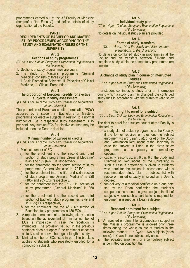programmes carried out at the 3rd Faculty of Medicine (hereinafter "the Faculty") and define details of study organization at the Faculty.

#### **PART I**

#### **REQUIREMENTS OF BACHELOR AND MASTER STUDY PROGRAMMES ACCORDING TO THE STUDY AND EXAMINATION RULES OF THE UNIVERSITY**

#### **Art. 2**

#### **Sections of study programmes**

*(Cf. art. 4 par. 5 of the Study and Examination Regulations of the University)* 

1. Sections of study programmes are years.

2. The study of Master's programme "General Medicine" consists of three cycles:

I. Basic Biomedical Sciences, II. Principles of Clinical Medicine, III. Clinical Preparation.

#### **Art. 3**

#### **The proportion of European credits for elective subjects in study assessment**

*(Cf. art. 4 par. 10 of the Study and Examination Regulations of the University)* 

The proportion of European credits (hereinafter "ECs") acquired by a student in Bachelor´s or Master's programme for elective subjects in relation to a normal number of ECs in respective study assessment is 15 per cent. Any surplus ECs for elective courses may be included upon the Dean´s decision.

#### **Art. 4**

#### **Minimal number of European credits**

*(Cf. art. 4 par. 11 of the Study and Examination Regulations of the University)* 

1. Minimal number of ECs:

- a) for the enrolment into the second and third section of study programme "General Medicine" is 45 and 109 (69) ECs respectively.
- b) for the enrolment into the fourth section of study programme "General Medicine" is 172 ECs.
- c) for the enrolment into the fifth and sixth section of study programme "General Medicine" is 228 (185) and 285 ECs respectively.
- d) for the enrolment into the  $7<sup>th</sup>$   $11<sup>th</sup>$  section of study programme "General Medicine" is 360 ECs.
- e) for the enrolment into the second and third section of Bachelor study programmes is 49 and 110 (95) ECs respectively.
- f) for the enrolment into the  $4<sup>th</sup>$   $6<sup>th</sup>$  section of Bachelor study programmes is 180 ECs.
- 2. A repeated enrolment into a following study section based on the achievement of minimal number of ECs is impossible in case the repetition is immediate. The provision set out in the previous sentence does not apply if the enrolment concerns a study section above the regular length of study.
- 3. Minimal number of ECs listed in par. 1 in brackets applies to students who repeatedly enrolled for a compulsory subject.

#### **Art. 5**

#### **Individual study plan**

*(Cf. art. 4 par. 12 of the Study and Examination Regulations of the University)* 

No details on individual study plan are provided.

#### **Art. 6**

#### **Forms of study, transfers**

*(Cf. art. 4 par. 14 of the Study and Examination Regulations of the University)* 

No details on combined study in programmes at the Faculty and on transfers between full-time and combined study within the same study programme are provided.

#### **Art. 7**

#### **A change of study plan in course of interrupted studies**

#### *(Cf. art. 5 par. 6 of the Study and Examination Regulations of the University)*

If a student continues to study after an interruption during which a study plan has changed, the continued study runs in accordance with the currently valid study plan.

#### **Art. 8**

#### **The right to enrol for a subject**

*(Cf. art. 6 par. 2 of the Study and Examination Regulations of the University)* 

The right to enrol for a subject taught at the Faculty is affected by

- a) a study plan of a study programme at the Faculty, if the former requires or rules out the subject enrolment viz art. 6 par. 5 a), c) or e) of the Study and Examination Regulations of the University, in case the subject is listed in the given study programme as compulsory or compulsory optional;
- b) capacity reasons viz art. 6 par. 6 of the Study and Examination Regulations of the University; in such a case a preference is given to students who enrol for the subject in accordance with a recommended study plan; a subject list with notice on limited capacity is issued as a Dean´s decree;
- c) non-delivery of a medical certificate on a due date set by the Dean confirming the student´s competence to attend the given subject; the list of subjects where such a certificate is required for enrolment is issued as a Dean´s decree.

#### **Art. 9**

#### **Repeated enrolment for a subject**

*(Cf. art. 6 par. 7 of the Study and Examination Regulations of the University)* 

- 1. A repeated enrolment for a compulsory subject in the Master´s programme is allowed only three times during the whole course of studies in the following manner – in Cycle I two subjects (each once), in Cycle II one subject only once.
- 2. The repeated enrolment for a compulsory subject is permitted on condition that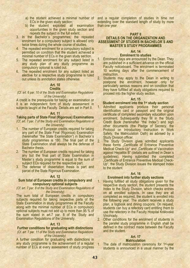- ECs in the given study section;
- b) the student exploited all examination opportunities in the given study section and repeats the subject in the full extent.
- 3. In the Bachelor´s programmes, the repeated enrolment for a compulsory subject is allowed only twice times during the whole course of studies.
- 4. The repeated enrolment for a compulsory subject is permitted on condition that the student achieved a minimal number of ECs in the given study section.
- 5. The repeated enrolment for any subject listed in any study plan of any study programme as compulsory optional is ruled out.
- 6. The repeated enrolment for any subject listed as elective for a respective study programme is ruled out unless its annotation states otherwise.

### **Art. 10**

#### **Credits**

#### *(Cf. art. 6 par. 10 of the Study and Examination Regulations of the University)*

A credit is the prerequisite for taking an examination or it is an independent form of study assessment in subjects taught at the Faculty. Details are set in Part II.

#### **Art. 11**

### **Taking parts of State Final (Rigorous) Examinations**  *(Cf. art. 7 par. 7 of the Study and Examination Regulations of*

- *the University)*
- 1. The number of European credits required for taking any part of the State Final (Rigorous) Examination (hereinafter "the State Examination") in Bachelor´s study programmes is 180. The final part of the State Examination shall always be the defense of Bachelor thesis.
- 2. The number of European credits required for taking any but the final part of State Examination in Master´s study programme is equal to the sum of subject ECs required for the respective part.
- 3. The defense of dissertation thesis is part and parcel of the State Rigorous Examination.

### **Art. 12**

#### **Sum total of European credits in compulsory and compulsory optional subjects**

*(Cf. art. 7 par. 8 of the Study and Examination Regulations of the University)* 

The sum total of European credits in compulsory subjects required for taking respective parts of the State Examination in study programmes at the Faculty along with the minimal number of ECs in compulsory optional subjects must not add up to more than 95 % of the sum stated in art.7 par. 8 of the Study and Examination Regulations of the University.

#### **Art. 13**

#### **Further conditions for graduating with distinctions**  *(Cf. art. 7 par. 11 of the Study and Examination Regulations of the University)*

A further condition for graduating with distinctions in any study programme is the achievement of a regular number of ECs at every assessment of study progress

a) the student achieved a minimal number of and a regular completion of studies in time not extending over the standard length of study by more than one year.

#### **PART II**

### **DETAILS ON THE ORGANIZATION AND ASSESSMENT OF STUDIES IN BACHELOR´S AND MASTER´S STUDY PROGRAMMES**

### **Art. 14**

#### **Enrolment to studies**

- 1. Enrolment days are announced by the Dean. They are published in a sufficient advance on the official Faculty noticeboard. The enrolment is terminated 10 working days after the commencement of instruction.
- 2. Students may apply to the Dean in writing to postpone the enrolment, however only for particularly serious reasons and on condition that they have fulfilled all study obligations required to proceed into the higher study section.

### **Art. 15**

### **Student enrolment into the 1st study section**

- 1. Admitted applicants produce their personal identification card or passport and the original certificate of completed secondary education upon enrolment. Subsequently they fill in the Study Credit Book (hereinafter "the Index") and sign other documents (the Pledge of Secrecy, the Protocol on Introductory Instruction in Work Safety, the Matriculation Oath) as advised by a Study Division officer.
- 2. The Study Division gives admitted applicants these forms "Certificate of Entrance Preventive Medical Check-Up" and "Certificate of Vaccination against Hepatitis B" (details are outlined in Dean´s guidelines). Having submitted the completed "Certificate of Entrance Preventive Medical Check-Up", the Study Division issues the stamped Index to the student.

#### **Art. 16**

### **Enrolment into further study sections**

1. Having fulfilled all study obligations given for the respective study section, the student presents the Index to the Study Division, which checks entries on all enrolled subjects. In case they are all completed as required, the student is enrolled into the following year. The student receives a study plan, a logbook and dining coupons. On request, students can buy a refectory card entitling them to use the refectory in the Faculty Hospital Královské Vinohrady.

2. Other conditions for the enrolment of students in the parallel study programme in English shall be defined in the contract made between the Faculty and the student.

### **Art. 17**

#### **Matriculation**

1. The date of matriculation ceremony for 1st-year students is announced in a usual manner by the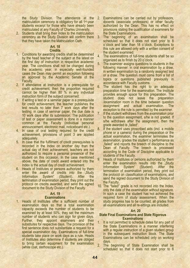the Study Division. The attendance at the matriculation ceremony is obligatory for all 1st-year students excerpt for those who have already been matriculated at any Faculty of Charles University.

2. Students shall bring their Index to the matriculation ceremony as the Study Division will confirm there that they have taken the Matriculation Oath.

#### **Art. 18 Credits**

- 1. Conditions for awarding credits shall be determined by the head teacher of the subject at the latest on the first day of instruction in respective academic year. The conditions shall not be changed during the academic year; in especially well-founded cases the Dean may permit an exception following an approval by the Academic Senate of the Faculty.
- 2. If attendance at instruction is a prerequisite for credit achievement, then the proportion required cannot be higher than 80 % in any individual instruction form of the subject concerned.
- 3. If writing a test or a seminar paper is a prerequisite for credit achievement, the teacher publishes the test results no later than 7 work days after the testing; in case of seminar paper, the due date is 10 work days after its submission. The publication of test or paper assessment is done in a manner common at the Faculty (individual personal announcement, electronic mail, noticeboard etc.).
- 4. In case of oral testing required for the credit achievement, provisions of point 3 are applied adequately.
- 5. In case that the fulfilment of credit prerequisites is recorded in the Index on another day than the actual day of their achievement, teachers are not authorized to require a personal presence of the student on this occasion. In the case mentioned above, the date of credit award entered into the Index is the actual day of credit achievement.
- 6. Heads of Institutes or persons authorized by them enter the award of credits into the "Study<br>Information System" (Student). After the Information System" (Student). After the termination of examination period, they print out the protocol on credits awarded, and send the signed document to the Study Division of the Faculty.

### **Art. 19**

### **Examinations**

1. Heads of Institutes offer a sufficient number of examination days so that a total examination capacity exceeds the number of students to be examined by at least 50%; they set the maximum number of students who can sign for given days. Further, they appoint examiners and their substitutes for respective days. The provision of the first sentence does not substantiate a request for a special examination day. Examinations of full-time students take place on work days as a rule. Heads of Institutes also determine if students are obliged to bring certain equipment for the examination (white coat, stethoscope etc.).

- 2. Examinations can be carried out by professors, docents (associate professors) or other faculty authorized by the Dean. This has no effect on provisions stating the qualification of examiners for the State Examinations.
- 3. The beginning of an examination shall be scheduled so that it does not start prior to 8 o´clock and later than 18 o´clock. Exceptions to this rule are allowed only with a written consent of the student examined.
- 4. The examinations of full-time students shall be so organized as to finish by 20 o´clock.
- 5. The examiner assigns questions to students in the following manner: in oral examination by a draw, in written examination by a randomly assigned test or a draw. The question must come from a list of topics or questions published previously in accordance with Faculty customs.
- 6. The student has the right to an adequate preparation time for the examination. The Institute provides enough space for this preparation. The student does not leave the preparation /examination room in the time between question assignment and actual examination. The exception to the rule is permitted by the examiner.
- 7. If the student withdraws from the examination prior to the question assignment, s/he is not graded. If s/he withdraws after the assignment, then the grade awarded is "failed".
- 8. If the student uses proscribed aids (incl. a mobile phone or a camera) during the preparation or the actual examination, the examiner terminates the examination, grades the student´s performance as "failed" and reports the breech of discipline to the Dean of Faculty. The breech is processed according to the Code of Discipline applicable to students of the Faculty.
- 9. Heads of Institutes or persons authorized by them enter the examination results into the "Study<br>Information System" (Student). After the Information System" (Student). After the termination of examination period, they print out the protocol on classification of examinations, and send the signed document to the Study Division of the Faculty.
- 10. The "failed" grade is not recorded into the Index, only the date of the examination without signature. In such a case the student has not achieved the required form of study assessment. When the study progress has to be counted, all grades from all examinations and all re-sittings are included.

#### **Art. 20**

#### **State Final Examinations and State Rigorous Examinations**

- 1. It is not permitted to schedule dates for any part of the State Examinations in a manner interfering with a regular instruction of a given student group in the subsequent instruction block. The State Examinations can be scheduled only on working days.
- 2. The beginning of State Examination shall be scheduled so that it does not start prior to 8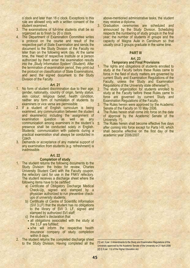o´clock and later than 18 o´clock. Exceptions to this rule are allowed only with a written consent of the student examined.

- 3. The examinations of full-time students shall be so organized as to finish by 20 o´clock.
- 4. The Department of Examination Committee writes a protocol on the course and result of the respective part of State Examination and sends the document to the Study Division of the Faculty no later than on the following work day. At the same time, the Head of respective Institute or a person authorized by them enter the examination results into the "Study Information System" (Student). After the termination of examination period, they print out the protocol on classification of State Examinations, and send the signed document to the Study Division of the Faculty.

#### **Art. 21**

- 1. No form of student discrimination due to their age, gender, nationality, country of origin, family status, skin colour, religious belief, health condition, neither any form of humiliation of students by examiners or vice versa are permissible.
- 2. If a student of English curriculum is being examined, any communication between the student and examiner(s) including the assignment of examination question as well as any communication among examiners in the student´s presence shall be conducted solely in English. Students´ communication with patients during a practical examination shall always be conducted in Czech.
- 3. Demands or acceptance of any material support of any examination from students (e.g. refreshment) is inadmissible.

#### **Art. 22**

#### **Completion of study**

- 1. The student returns the following documents to the Study Division: the Index for review, Charles University Student Card with the Faculty coupon, the refectory card for use in the FNKV refectory. The student receives a discharge sheet where the following items have to be certified:
	- a) Certificate of Obligatory Discharge Medical Check-Up, signed and stamped by a physician authorized to run preventive checkups of university students;
	- b) Certificate of Centre of Scientific Information (SVI 3.LF) that the student has no obligations to the library of SVI 3. LF, signed and stamped by authorized SVI staff;
	- c) the student´s declaration that
	- all obligations associated with the study at the 3.LF are fulfilled;
	- s/he will inform the respective health insurance company of study completion within 8 days.
- 2. The student returns the completed discharge sheet to the Study Division. Having completed all the

above-mentioned administrative tasks, the student may receive a diploma.

3. Graduation ceremonies are scheduled and announced by the Study Division. Scheduling respects the numbering of study groups in the final year, the number of students in groups and the capacity of Magna Aula in Carolinum so that usually circa 3 groups graduate in the same time.

#### **PART III**

#### **Art. 23**

#### **Temporary and Final Provisions**

1. The rights and obligations of students enrolled to study at the Faculty before these Rules came to force in the field of study matters are governed by current Study and Examination Regulations of the Faculty, unless the Study and Examination Regulations of the University state otherwise<sup>[1]</sup>).

2. The study organization for students enrolled to study at the Faculty before these Rules came to force are governed by current Study and Examination Regulations of the Faculty.

- 3. The Rules herein were approved by the Academic Senate of the Faculty on 10 May 2006.
- 4. The Rules herein shall come into force on the date of approval by the Academic Senate of the University. [2]).
- 5. The Rules herein shall become effective five days after coming into force except for Parts I-III, which shall become effective on the first day of the academic year 2006/2007.

 [1]) art. 3 par. 2 Amendments to the Study and Examination Regulations of the University approved by the Academic Senate of the University on 21 April 2006 [2]) § 9 par. 1 b) of the Higher Education Act.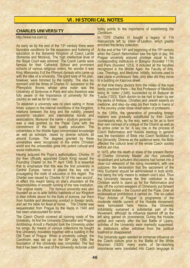### **VI. HISTORICAL NOTES**

### **CHARLES UNIVERSITY**

http://www.ruk.cuni.cz

As early as by the end of the  $13<sup>th</sup>$  century there were favorable conditions for the expansion and fostering of education in the Bohemia Kingdom of Czech Lands (Bohemia and Moravia). The high intellectual level of the Royal Court was admired. The Czech Lands were famous for their Cathedral School and prominent schools of various religious orders. No wonder it was King *Wenceslas II* of the Přemysl dynasty who came up with the idea of a university. The giant sails of his plan, however, were trimmed by the nobility. The idea lay dormant until the times of Charles IV, successor to the Přemyslids' throne, whose *alma mater* was the University of Sorbonne in Paris and who therefore was fully aware of the importance of university for the country as well as for its ruler.

To establish a university was no plain sailing in those times: subject to the internal conditions of the Kingdom, relations between the king and the nobility, present economic situation, and international bonds and associations. Moreover the name – *studium generale* – was a seal granted by the Papal Curia with the commitment of the best quality education. The universities in the Middle Ages concentrated knowledge as well as scholars, raised by diverse schools all around Europe. The degrees granted by these universities were recognized in the entire Christian world and the universities grew into potent cultural and social institutions.

Having acquired the Pope´s authorization, *Charles IV* (by then officially appointed Czech King) issued the Founding Charter on the 7<sup>th</sup> April 1348. It is essential that to emphasize that this was the first university in Central Europe, hence it played the key role in propagating the roots of education in this region. The Charter was issued by Charles IV 'of His own accord'. In effect this meant taking on one's shoulders all the responsibilities of smooth running of the new institution. The original reads: '*... The famous university was also founded so as to aide faithful habitants of our Kingdom in their infinite desire for the fruits of science, bar them from humble and demeaning conduct in foreign lands, and set the table for feast at home...'.* The Charter was sequestrated from Prague by the Nazis in 1945 and has been unaccounted for since.

The Czech Church covered all running costs of the University. At first the University Chancellor and Prague Archbishop *Arnošt z Pardubic* took the University under his wings. By means of various collections he bought first University movables together with a building in the Old Town of Prague. When a university college, *the*  Carolinum, was set up on the 30<sup>th</sup> July 1366, the foundation of the University was completed. The fact that it has been the seat of the University rectorate until

today points to the importance of establishing the *Carolinum*.

In 1370 Charles IV bought a legacy of 114 manuscripts left by *Vilém of Lestkov*, which greatly enriched the library collection.

At the end of the  $14<sup>th</sup>$  and beginning of the 15<sup>th</sup> century when the Czech Reformation saw the light of day, the Prague university enjoyed privilege equal to the corresponding institutions in Bologne (founded 1119) and Paris (founded 1253). It included all the faculties recognized in the Middle Ages: the Faculty of Arts, Law, Theology, and Medicine. Initially, lectures used to take place in professors' flats, only later did they move to a building on Kaprova street.

At that time many doctors from the milieu of the royal family practiced there – the first Professor of Medicine being *M. Valter* (1348), succeeded by *M. Baltazar* de Tuscia (1353). Each doctor–to–be had to learn by ear the works of Antique, Christian and Jewish experts on medicine, and step–by–step ply their trade in towns or in the country under close observation of professors.

In the 1390s, the generation of prevailing foreign masters was gradually substituted by their Czech counterparts who, by the way, went so far as to form their own concept of a critique of the Church as well as its entire order so far. A key role in the process of Czech Reformation and Hussite ideology in general was the translation of Bible into Czech facilitated by the University. Diverse as the audience were, the Bible affected the cultural level of the whole Czech society before Jan Hus.

In 1415, after the death at stake of the present Rector of Charles University Master *Jan Hus*, prevailing recalcitrant and turbulent discussions had turned into a clear–cut viewpoint of the rising movement, with one outcome: the declaration that the sacrament of the Holy Eucharist should be administered in both kinds, this being the only means to redeem one's soul. Thus the University became the first institution in the Christian world to stand up for the Reformation and play off the current exegesis of Christianity put forward by official bodies – the Council and the Pope. Over all ecclesiastical prohibitions it carried on. The so–called 'Four Articles of Prague' (a programme of the moderate middle current of the Hussite movement) were formulated here. Hence, the University indubitably sustained a substantial part of the Movement, although its influence tapered off as the left wing gained on prominence. During the Hussite period and namely after the lost Battle of Lipany, activites of the University were markedly suppresed. Its institutions either withdrew from the political forefront or disappeared.

The University again wielded an immense influence on the Czech culture prior to the Battle of the White Mountain (1620): many works of far–reaching importance were translated into Czech language to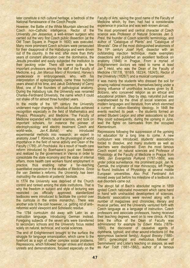later constitute a rich cultural heritage, a bedrock of the National Renaissance of the Czech People.

However, the Battle of the White Mountain silenced the Czech non–Catholic intelligence. Rector of the University *Jan Jessenius*, a well–known surgeon who carried out the very first Czech public dissection (at the Old Town Square in Prague in 1600) was executed. Many more prominent Czech scholars were persecuted for their disapproval of the Habsburgs and were driven out of the country. In the end, after more than thirty years of constant altercation over the dominance, the Jesuits prevailed and easily subjected the institution to their pecking order. There still were quite a few important professors among the staff of the Faculty of Medicine, e.g*. Jan Marcus Marci* of Kronland, Harvey's predecessor in embryogenesis, who, with his interpretation of epileptogenesis, came three hundred years ahead of his time, and Jakub Dobřenský of Černý Most, one of the founders of pathological anatomy. During the Habsburg rule, the University was renamed Charles–Ferdinand University, the name which it could not shake off for almost three hundred years.

In the middle of the  $18<sup>th</sup>$  century the University underwent major changes. Individual faculties achieved recognition especially in the field of Mathematics and Physics, Philosophy, and Medicine. The Faculty of Medicine expanded with natural sciences, and took on important scholars, for instance the pioneer of electrophysiology and electric treatment Czech and world–wide, *Jan K. Boháč*, who introduced experimental methods into research; an expert in anatomy Josef T. Klinkosch, or the physiologist of world importance in the field of nerve activity and Dean of the Faculty (1789) *Jiří Procháska*. As a result of health care reform introduced by Boerhaave's pupil van Swieten and realized by the government in Vienna in order to consolidate the state economy and the state of internal affairs, more health care workers found employment in practice, thus enabling rather a far–reaching quantitative expansion in the studies of Medicine*. Since the van Swieten´s reforms, the University has been instructing the students at patients´ bedside.* 

In 1774 the University was deprived of the Church control and ranked among the state institutions. That is why the freedom in subject and style of lecturing was restricted (as officially approved, standardized textbooks were introduced to facilitate the control over the curricula in the entire monarchy). There was another side to the coin however, i.e. getting rid of anti– reformist world viewpoint and Scholastic residue.

The 1784 curriculum did away with Latin as an instruction language, introducing German instead. Foregoing subjects of the seven arts were transferred to secondary schools and the University focus rested solely on natural, technical, and social sciences.

The end of Enlightenment brought to the surface the struggle for language emancipation, which came to the forefront as a sign of rather complex social problems. Repressions, which followed hunger strikes and student unrests and demonstrations, focused especially on the

Faculty of Arts, saving the good name of the Faculty of Medicine which, by then, had had a considerable experience in practice and was well–known abroad.

The most prominent and central character of Czech science was Professor of Natural Sciences *Jan S. Presl*, the founder of Czech scientific terminology, and author of "Catalogue of Plants" and "Catalogue of Minerals". One of the most distinguished anatomists of the 19th century *Josef Hyrtl*, dissector with an outstanding injection technique, made exemplary dissections and published an excellent textbook on anatomy (1846) in Prague. From a myriad of Enlightenment doctors we need to name at least *Jan T. Held*, who was the Dean of the Faculty of Medicine (1817/8, 1818/9, 1823/4, 1824/5), Rector of the University (1826/7) and a musical composer.

It was mainly the students who dressed the soil for growing national movement, themselves being under a strong influence of unorthodox lectures given by *B. Bolzano*, who conceived religion as an ethical and educational problem. Step by step, naturalist pull was overshadowed by the drive of social sciences and modern languages and literature, from which stemmed a current of nation–liberating ideology. In 1848 the events reached its peak – the students formed an armed Student Legion and other associations so that they could subsequently, during the uprising in June, lead the fights on barricades from the occupied *Klementinum*.

Repressions following the suppression of the uprising hit education for a long time to come. A new curriculum was introduced, students' associations forced to dissolve, and many students as well as teachers were disciplined. Even the most famous Czech expert on natural sciences and Professor of Physiology at the Faculty of Medicine in Prague from 1849, *Jan Evangelista Purkyně* (1787–1869), was under police surveillance. His prominent pupil, Jan N. Čermák, the originator of rear rhinoscopy, left Prague to found Institutes of Physiology at several middle European universities. Also Prof. Ferdinand Arlt moved away just before his milestone of a textbook on eye disorders came out.

The abrupt fall of Bach's absolutist regime in 1859 ignited Czech nationalist movement which came hand in hand with unshackled development of sciences. Students' associations were revived along with a number of magazines and chronicles, literary and musical parties, and the University ventured forth with Czech language as a language of instruction. Czech professors and associate professors, having received their teaching degrees, went on to new clinics. At that time the office of the Dean of Faculty was administered for example by *Edwin Klebs* (1879– 1880)*,* the discoverer of causative agents of diphtheria, typhoid, and other wound infections (cf. the eponymous bacterial family)*, August Breisky* (1880– 1881), gynecologist and meticulous follower of Semmelweis' and Lister's teaching on asepsis, as well as *Karl Toldt* (1881–1882), author of a famous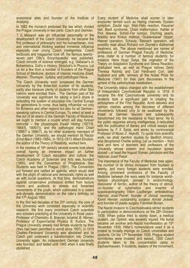anatomical atlas and founder of the Institute of Anatomy*.* 

In 1882 the monarch endorsed the law which divided the Prague University in two parts: Czech and German.

*T. G. Masaryk* was an influential personality in the development of the Czech University: he became the first professor of philosophy and his humanitarian, civic and international thinking wielded immense influence especially over young Czech intelligentsia. Czech textbooks and magazines took off, the famous twenty– seven part 'Otto's Encyclopaedia' was published, Czech schools of science emerged, e.g. Gebauer's in Bohemistics, Goll's in History, Strouhal's in Physics. Let us list a few from a number of founders of the Prague School of Medicine: doctors of internal medicine *Eiselt, Meixner, Thomayer, Syllaba*, and pathologist *Hlava*.

The Czech University soon surpassed the German University by the three-fold number of its students, partly also because plenty of students from other Slav nations were enrolled there . The German part of the University was significant for taking a lion's share in extending the system of education into Central Europe for generations to come, thus being influential not only for Bohemia and other regions but also for all German– speaking nations in Central Europe. To select at least a few out of all deans of the German Faculty of Medicine, we ought to mention a couple which will stay forever immortal – the physiologist *Ewald Hering* (1877/8, 1884/5, 1906/7)), and the pathologist *Hans Chiari* (1886/7 a 1896/7). As for other academic members of the German University, we should mention its Rector *Ernst Mach* (1883–1884). In 1912–1913 *Albert Einstein*, the author of the Theory of Relativity, worked here.

In the nineties of 19<sup>th</sup> century several events took place overall having an immense impact on further development of Czech education and culture: the Czech Academy of Sciences and Arts was founded (1890), and the Convention of Progressive Slav Students was held in Prague (1891). The Convention put forward and ratified an agenda, which would deal with the plight of national and democratic rights as well as with social questions. At that time, demonstrations against conservative professors shifted from lecture rooms and auditoria to streets and fomented movements of the youth, which culminated in a violent anti–dynasty demonstration on the ruler's birthday on the 17<sup>th</sup> August 1893.

In the first two decades of the  $20<sup>th</sup>$  century, the core of the University work consisted especially in scientific research. We find many prominent Czech scientists and scholars practicing at the University in those years:<br>Professor of Chemistry B. Brauner, botanist B. Němec, Professor of Chemistry *B. Brauner*, botanist *B. Němec*, Professor of Experimental Physics *B. Kučera*. The Prague University already had female students by then (they had been permitted to enroll since 1897). In 1919 Charles–Ferdinand University was abolished and its Czech part underwent a transformation into Charles University again. An independent German university was founded, and lasted until 1945 when it was finally abolished.

Every student of Medicine shall sooner or later encounter termini such as Hering channels, Epstein symptom, Zaufal sign, Weil–Felix reaction, Klausner test, Biedl syndrome, Chiari malformation, Kahler or Pick disease, Schlof–Fer tumour, Elschnig pearls, Breisky and Knaus method, Gussenbauer clipper, Hasner operation, Schauty, Steinach operation, will possibly read about Richard von Zeynek's diathermal treatment, etc. The above mentioned are names of professors of German Prague Faculty of Medicine, alma mater to a number of famous students: for instance Hans Hugo Selye, the originator of the Theory on Adaptation Syndrome and Stress Reaction, graduated here, as well as Prague natives Gerty Theresa Radnitz and Carl Ferdinand Cori, later husband and wife, winners of the Nobel Prize for Medicine (1947) for their joint discoveries in the sphere of the carbohydrate metabolism.

The University status changed with the establishment of independent Czechoslovak Republic in 1918. It became the first Czechoslovak university and its students took a significant part in creating the atmosphere of the First Republic. Acrid debates and opinion clashes among the devotees of different movements followed only to be swallowed by the threat of German fascism and subsequently transformed into the resistance to Nazi terror. As to the public response among intelligentsia, it redoubled with the publication of literary and critical essays and lectures by *F. X. Šalda*, and works by controversial Professor of Music *Z. Nejedlý*. To quote from scientific work, we shall mention studies by *Bedřich Hrozný*, who deciphered Chetite writing. Let us mention – from tens and tens of teachers and professors of the University whose esteem and reputation spread abroad – at least the linguist *Roman Jakobson* and the historian *Josef Pekař*.

The importance of the Faculty of Medicine rose again, the number of its clinics increased from fourteen to twenty, and many foreign students were enrolled. Among prominent professors of the Faculty of Medicine between the wars were for instance world– famous physiologist, pioneer in endocrinology, discoverer of ferritin, author of the theory of stimuli, co–founder of cybernetics and inventor of spaciocardiography *Vilém Laufberger*, ambidextrous internist *Josef Pelnář*, founder of clinical neurology *Kamil Henner*, outstanding surgeon *Arnold Jirásek*, and founder of plastic surgery *František Burian*.

The Nazist invasion to Czechoslovakia stirred students to participation in demonstrations on the 28th October 1939. When police tried to stomp down, a medical student, *Jan Opletal*, was severely injured. His burial became yet another anti–Nazist manifestation on 15th November 1939. Hitler's nomenclature used it as a pretext to brutally impinge on Czech universities and students. On the 17<sup>th</sup> November 1939, Prague student dormitories were invaded and seized, 1200 Czech students taken to the concentration camp in Sachsenhausen, 9 students, leaders of the movement,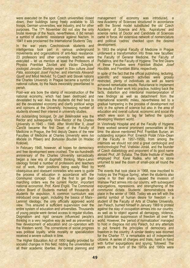were executed on the spot. Czech universities closed down, their buildings being freely available to SS troops, German universities, war industry, and for other purposes. The 17<sup>th</sup> November did not stay the only brutal revenge of the Nazis, nevertheless, it did remain a symbol of students' resistance against Nazism. In 1941 it was proclaimed the International Students' Day.

In the war years Czechoslovak students and intelligentsia took part in various underground movements and organizations of anti-Nazi resistance. 23 professors and other university teachers were executed – let us mention at least the Professors of Physics *František Závišek* and *Václav Dolejšek*, zoologist *Jaroslav Štorkán*, expert in Slav culture *Josef Páta*, sociologist *Josef Fischer*, and internists *Alexandr Gjurič and Miloš Nedvěd*. To Czech and Slovak nations the Charles University in Prague became a symbol of national culture, by the Nazis inexorably preordained to perish.

Post–war era bore the stamp of reconstruction of the national economy, which had been destroyed and devastated by war. Also the students did their best to aid the devastated economy and clarify political wings and opinions at the University. Increasing number of students showed their interest in university studies.

An outstanding biologist, Dr *Jan Bělehrádek* was the Rector and subsequently Vice–Rector of the Charles University in 1945 - 1946. After World War II, *Josef Čančík* became the first Dean of the Faculty of Medicine in Prague, the first deputy Deans of the new Faculties of Medicine at Charles University were *Ivo Mačela* (in Pilsen) and *Bohuslav Bouček* (in Hradec Králové).

In February 1948, however, all hopes for democracy and free development were crushed. The six-hundredth anniversary of the Charles University sarcastically began a new era of dogmatic thinking. Marx–Lenin ideology forced a number of professors and teachers out of work, their positions being easily filled by obsequious and obeisant comrades who were to guide the process of education in accordance with the Communist concept. One of the first to get their marching orders was the current Rector, important national economist, Prof. *Karel Engliš*. The Communist Action Board of Students marked off thousands of students for expulsion. A common curriculum was introduced once again, including the basics of Marx– Leninist ideology, the only officially approved world view. This ensured a sufficient supervision over the entire system of education and universities. Thousands of young people were denied access to regular studies. Dogmatism and rigid censure influenced people's thinking in a very negative way as well as prevented a free development of education and co–operation with the Western world. The cornerstone of social progress was political loyalty, while morality or specialization received a severe cutback in time.

The Higher Education Act of 1950 legally provided for socialist changes in this field, ridding the universities of all their academic liberties. As central planning and

management of economy was introduced, a new Academy of Sciences structured in accordance with the Soviet model substituted the old Czech Academy of Science and Arts. 'Aspiratures' and science ranks of Doctor and Candidate of Sciences came in force. An extensive network of nomenclature and political 'cadres' checked upon the desired development.

In 1953 the original Faculty of Medicine in Prague underwent a transformation into three new faculties: the Faculty of General Medicine, the Faculty of Pediatrics, and the Faculty of Hygiene. The first Deans of these Faculties were *František Blažek, Josef Houštěk, and František Bláha,* respectively.

In spite of the fact that the official publishing, lecturing, scientific and research activities were grossly restricted, plenty of individuals as well as teams achieved remarkable results. Reluctance to implement the results of their work into practice, holding back the facts, distortion and intentional misinterpretation of new findings as well as detachment from the international scientific milieu, nevertheless led to a gradual hampering in the process of development not only in the sphere of science but also in the area of education and overall cultural, economic and social life which were soon to lag far behind the quickly developing Western world.

In Vinohrady Hospital and at the Faculty of Hygiene there worked several prominent personalities at this time: the above mentioned Prof. František Burian, an outstanding surgeon Prof. Emerich Polák (Vice–Dean of the Faculty in 1957–1959), from among the internists we should not omit a great cardiologist and endocrinologist Prof. Vratislav Jonáš, and the founder of Czech diabetology and proponent of its good name abroad Prof. Jiří Syllaba. The State Institute of Health employed Prof. Karel Raška, who left no stone unturned to seal the doom of small–pox all round the world.

The events that took place in 1968, now inscribed to history as 'the Prague Spring', when the students also came in for their share, caused the invasion of Warsaw Pact armies into our country, with subsequent expurgations, repressions, and strengthening of the communist dictate. Students' demonstrations took place in the winter of 1968. Today we are left with the painful symbol of human desire for freedom – a student of the Faculty of Arts at Charles University, Jan Palach, burned himself in January 1969 to protest against the stay of occupation armies into our country, as well as to object against all demagogy, violence, and totalitarian suppression of freedom all over the world. However, the 'period of normalization' managed to hold in disgrace not only Palach, but any attempts to put forward the principles of democracy and freedom in the country. A similar destiny was doomed for the Charter 77, a remarkable act of independent citizens. A series of charges and trials, hand in hand with further expurgations and spying, followed. The years on the turn of the 1970s and 1980s were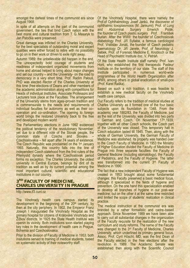amongst the darkest times of the communist era since August 1968.

In spite of all attempts on the part of the communist government, the ties that bind Czech nation with the best moral and cultural tradition from T. G. Masaryk to Jan Patočka were preserved.

Great damage was inflicted on the Charles University, for the best specialists of outstanding moral and expert qualities were either forced to retire with no possibility to go on in their work or driven to exile right away.

Autumn 1989: the unbelievable did happen in the end. The unexpectedly bold courage of students and readiness of independent organized movements from home and abroad helped to bring about major changes and set our country – and the University- on the road to democracy in a very short time. Prof. Radim Palouš, PhD was elected Rector of the Charles University at this time (free elections of Deans and other members of the academic administration along with competitions for Heads of individual Institutes, Associate Professors and Lecturers took place at the Faculties. The arrangement of the University stems from ages–proven tradition and is commensurate to the needs and requirements of individual faculties for autonomy as well as their co– operation and co–ordination. The opening to foreign world brings the restored University back to the free and developed modern world.

The Parliamentary elections in June 1992 evidenced the political tendency of the revolutionary November; yet due to a different vote of the Slovak people, the common state of Czechs and Slovaks – Czechoslovakia – fell apart after 74 years of existence. The Czech Republic was proclaimed on the 1<sup>st</sup> January 1993. Naturally, this country falls into the line of independent Czech statehood from the first rulers of the Přemyslid dynasty where the Czechoslovak period forms no exception. The Charles University, the oldest university in Central Europe, belongs by dint of its tradition as well as by its current potential among the most important cultural, scientific and educational institutions in our country.

### **3RD FACULTY OF MEDICINE, CHARLES UNIVERSITY IN PRAGUE**

http://www.lf3.cuni.cz

The Vinohrady health care campus started its development in the beginning of the  $20<sup>th</sup>$  century, by then at the city periphery. In 1902, the Emperor Franz Joseph I inaugurated the Vinohrady Hospital as the primary hospital for citizens of Královské Vinohrady and Žižkov districts. In 1925 the State Health Institute was openin its vicinity. Both institutions soon started playing key roles in the development of health care in Prague, Bohemia and Czechoslovakia.

Prior to the division of Faculty of Medicine in 1953, both insitutions served to training of medical students, based on systematic activity of their noteworthy staff.

Of the Vinohrady Hospital, there were namely the Prof.of Ophthalmology Josef Janků, the discoverer of ophthalmic toxoplasmosis (M. Jankumi); Prof. of Lung and Abdominal Surgery Emerich Polák; the founder of Czech plastic surgery Prof. František Burian. After the WWII: the founder of Czechoslovak diabetology Prof. Jiří Syllaba, a famous cardiologist Prof. Vratislav Jonáš, the founder of Czech pediatric haematology Dr. Jiří Janele, Prof. of Neurology J. Sebek, Prof. of Forensic Medicine E. Knobloch or the Head of Psychiatric Institute doc. V. Petráň.

Of the State Health Institute staff namely: Prof. Ivan Honl, who established the first therapeutic Pasteur Institute on the terrritory of our state. The staff of this Institute participated in numerous world-wide programmes of the World Health Organization after WWII, among others in global eradication of small-pox (Prof. Karel Raška).

Based on such a rich tradition, it was feasible to establish a new medical faculty on the Vinohrady health care campus.

Our Faculty refers to the tradition of medical studies at Charles University as it formed one of the four basic subjects upon its foundation in 1348. From the academic year 1882/83, the Faculty of Medicine, just as the rest of the University, was divided into two parts – German and Czech. On November 17th,1939, together with all other Czech schools, the Czech part of the University was closed. This temporary halt in Czech education lasted till 1945. Then, along with the whole of German University, the German Faculty of Medicine was abolished. Its property was handed over to the Czech Faculty of Medicine. In 1953 the Ministry of Higher Education divided the Faculty of Medicine iin Prague into three separate faculties: the Faculty of General Medicine (including stomatology), the Faculty of Pediatrics, and the Faculty of Hygiene. The latter was transformed into the current 3rd Faculty of Medicine in 1990.

The fact that a new independent Faculty of Hygiene was created in 1953 brought about some fundamental changes: this Faculty preserved a basic medical focus, although it specialized in the fields of hygiene and prevention. On the one hand this specialization enabled to develop all branches of hygiene in our post–war medicine, but on the other it at the same time restricted and limited the scope of students' realization in clinical practice.

The medical instruction at the communist era was branded by a rather formalistic and cadre–based approach. Since November 1989 we have been able to carry out all substantial changes in the organization of the Faculty requisite for the realization of the new curriculum and study reforms. The name of the Faculty was changed to the 3rd Faculty of Medicine, Charles University, which underlined its primary general focus. Assoc. Prof. Cyril Höschl, MD, was the first Dean of the Faculty elected in the free elections after the revolution in 1989. The Academic Senate was established then along with the Scientific Council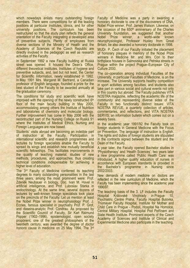which nowadays enlists many outstanding foreign members. There were competitions for all the leading positions at particular Institutes, clinics, and for other university positions. The curriculum has been restructured so that the study plan reflects the general orientation of the Faculty integrating a developed area of preventive subjects. Plenty of employees from diverse sections of the Ministry of Health and the Academy of Sciences of the Czech Republic are directly involved in the pedagogic as well as research activities of the Faculty.

In September 1992 a new Faculty building at Ruská street was opened. It houses the Dean's Office, different theoretical Institutes, Institutes of hygiene and preventive subjects, and, last but not least, the Center for Scientific Information, newly established in 1992. In May 1991 Mrs. Margaret M. Bertrand, a Canadian professor of English language, founded a prize for the best student of the Faculty to be awarded annually at the graduation ceremony.

The conditions for study and scientific work have improved with the opening of the newly constructed 6<sup>th</sup> floor of the main faculty building in May 2000, accommodating among others the Institute of Nutrition and laboratories of chemistry and molecular biology. Further improvement has come in May 2006 with the recontructed part of the Nursing College on Ruská 91 where the Institutes of Medical Ethics, Nursing and Foreign Languages are now based.

Students´ visits abroad are becoming an indelible part of instruction at the Faculty. Participation in international scientific and research programmes and lectures by foreign specialists enable the Faculty to spread its wings and establish new mutually beneficial scientific fellowships. This facilitates improvements in the quality of teaching material, studies of new methods, procedures, and approaches, thus creating technical conditions indispensable for achieving a higher level of education.

The 3rd Faculty of Medicine conferred its teaching degrees to many outstanding personalities in the last three years, among the most prominent were: Prof. Zdeněk Neubauer in biology, Doc. Ivan M. Havel in artificial intelligence, and Prof. Luboslav Stárka in endocrinology. At the same time, several dozens of lectures by well–known foreign specialists took place on the precincts of the Faculty. Let us mention at least the Nobel Prize winner in neurophysiology Prof. J. Eccles, famous specialist in psychiatry Prof. P. Grof, and daseins-analytic Prof. Condrau. As proposed by the Scientific Council of Faculty, Sir Karl Raimund Popper (1902–1996), epistemologist, open society proponent, one of the greatest philosophers of the twentieth century, was awarded the degree of *doctor honoris causa* in medicine on 25 May 1994. The 3rd

Faculty of Medicine was a party in awarding a honorary doctorate to one of the discoverers of DNA, Nobel Prize winner, Prof. James Watson. Likewise, on the occasion of the  $650<sup>th</sup>$  anniversary of the Charles University foundation, we suggested that another<br>Nobel Prize winner, a world-wide known Nobel Prize winner, a world–wide known neurophysiologist, Professor Huxley from Great Britain, be also awarded a honorary doctorate in 1998.

MUDr. P. Čech of our Faculty initiated the placement of honorary plaques in memory of the Nobel Prize winners in Medicine Mr. and Mrs. Cori to their birthplace houses in Salmovska and Petrska streets in Prague within the project Prague–European City of Culture 2000.

The co–operation among individual Faculties of the University, in particular Faculties of Medicine, is on the increase. The University supports healthy competition in sport activities among faculties, and students also take part in various social and cultural events not only in this country but abroad. The Faculty publishes VITA NOSTRA magazine, reflecting the academic life of the community and representing diverse sides of the Faculty in two functionally distinct issues: VITA NOSTRA REVUE, a quarterly collection of articles, commentaries, and reflections, and VITA NOSTRA SERVIS, an information bulletin which comes out on a weekly basis.

In the academic year 1991/92 the Faculty took on foreign students in General Medicine with the Focus on Prevention. The language of instruction is English. The rights and duties of foreign students are stipulated in the contracts signed between the student and the Dean of the Faculty.

A year later, the Faculty opened Bachelor studies in 'Physiotherapy' and 'Health Sciences'; two years later a new programme called 'Public Health Care' was introduced. A higher quality education of nurses in accordance with European standards is provided in the Bachelor's programme in Nursing since 2002/2003.

New demands of modern medicine on doctors are reflected in the new curriculum of Medicine, which the Faculty has been implementing since the academic year 1996/97.

The teaching basis of the 3. LF includes the Faculty Hospital Královské Vinohrady in Prague 10, Psychiatric Centre Praha, Faculty Hospital Bulovka, Thomayer Faculty Hospital, Institute for Mother and Child Care in Prague - Podolí, Hospital Na Homolce, Central Military Hospital, Hospital Pod Petřínem and State Health Institute. Prominent experts of the Czech Academy of Sciences and Institute of Clinical and Experimental Medicine also participate in the teaching.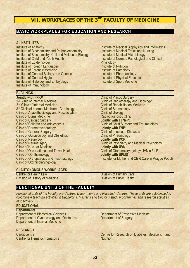# **VII. WORKPLACES OF THE 3RD FACULTY OF MEDICINE**

## **BASIC WORKPLACES FOR EDUCATION AND RESEARCH**

### **A) INSTITUTES**

Institute of Anatomy Institute of Biochemistry and Pathobiochemistry Institute of Biochemistry, Cell and Molecular Biology Institute of Child and Youth Health Institute of Epidemiology Institute of Foreign Languages Institute of Forensic Medicine Institute of General Biology and Genetics Institute of General Hygiene Institute of Histology and Embryology Institute of Immunology

### **B) CLINICS**

**Jointly with FNKV**  1<sup>st</sup> Clinic of Internal Medicine 2<sup>nd</sup> Clinic of Internal Medicine 3<sup>rd</sup> Clinic of Internal Medicine - Cardiology Clinic of Anaesthesiology and Resuscitation Clinic of Burns Medicine Clinic of Cardiac Surgery Clinic of Children and Adolescents Clinic of Dermatovenerology Clinic of General Surgery **Clinic of Gynaecology and Obstetrics** Clinic of Neurology Clinic of Neurosurgery Clinic of Nuclear Medicine Clinic of Occupational and Travel Health Clinic of Ophthalmology Clinic of Orthopaedics and Traumatology Clinic of Otorhinolaryngology

Institute of Medical Biophysics and Informatics Institute of Medical Ethics and Nursing Institute of Medical Microbiology Institute of Normal, Pathological and Clinical **Physiology** Institute of Nutrition Institute of Pathology Institute of Pharmacology Institute of Physical Education. Institute of Sport Medicine

Clinic of Plastic Surgery Clinic of Radiotherapy and Oncology Clinic of Rehabilitation Medicine Clinic of Stomatology Clinic of Urology Radiodiagnostic Clinic **Jointly with FTNsP:**  Clinic of Child Surgery and Traumatology **Jointly with FNB:**  Clinic of Infectious Diseases Clinic of Pneumology **Jointly with PCP:**  Clinic of Psychiatry and Medical Psychology **Jointly with ÚVN:**  Clinic of Otorhinolaryngology ÚVN a 3.LF **Jointly with ÚPMD**  Institute for Mother and Child Care in Prague Podolí

#### **C) AUTONOMOUS WORKPLACES**

Centre for Health Law Division of History of Medicine Division of Primary Care Division of Public Health

# **FUNCTIONAL UNITS OF THE FACULTY**

*Functional units of the Faculty are Centres, Departments and Research Centres. These units are established to co-ordinate teaching activities in Bachelor´s, Master´s and Doctor´s study programmes and research activities, respectively.* 

### **EDUCATIONAL**

#### **Departments**

Department of Biomedical Sciences Department of Gynaecology and Obstetrics Department of Internal Medicine

#### **RESEARCH**

**Cardiocentre** Centre for Hematochromatosis Department of Preventive Medicine Department of Surgery

Centre for Research on Diabetes, Metabolism and **Nutrition**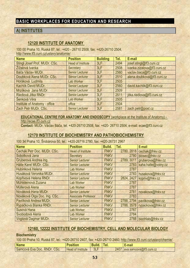# **BASIC WORKPLACES FOR EDUCATION AND RESEARCH**

## **A) INSTITUTES**

# **12120 INSTITUTE OF ANATOMY**

100 00 Praha 10, Ruská 87, tel.: +420 - 26710 2508, fax: +420-26710 2504, http://www.lf3.cuni.cz/ustavy/anatomie/

| <b>Name</b>                          | <b>Position</b>          | <b>Building</b> | Tel. | E-mail                      |
|--------------------------------------|--------------------------|-----------------|------|-----------------------------|
| Stingl Josef Prof. MUDr. CSc.        | <b>Head of Institute</b> | 3LF             | 2494 | josef.stingl@lf3.cuni.cz    |
| Žížalová Ivanka                      | Secretary                | 3LF             | 2508 | ivanka.zizalova@lf3.cuni.cz |
| Báča Václav MUDr.                    | <b>Senior Lecturer</b>   | 3LF             | 2560 | vaclav.baca@lf3.cuni.cz     |
| Doubková Alena MUDr. CSc.            | <b>Senior Lecturer</b>   | 3LF             | 2510 | alena.doubkova@lf3.cuni.cz  |
| Horáková Ludmila                     | Lab Worker               | 3LF             | 2505 |                             |
| Kachlík David MUDr.                  | Senior Lecturer          | 3LF             | 2560 | david.kachlik@lf3.cuni.cz   |
| Mrzílková Jana MUDr.                 | <b>Senior Lecturer</b>   | 3LF             | 2509 |                             |
| Riedlová Jitka RNDr.                 | <b>Senior Lecturer</b>   | 3LF             | 2511 | jitka.riedlova@lf3.cuni.cz  |
| Šenková Věra                         | Lab Worker               | 3LF             | 2505 |                             |
| <b>Institute of Anatomy - office</b> | office                   | 3LF             | 2504 |                             |
| Zach Petr MUDr. CSc.                 | <b>Senior Lecturer</b>   | 3LF             | 2581 | zach.petr@post.cz           |

**EDUCATIONAL CENTRE FOR ANATOMY AND ENDOSCOPY** (workplace at the Institute of Anatomy) http://ecae.lf3.cuni.cz

**Contact:** MUDr. Václav Báča, tel. +420-26710 2508, fax: +420- 26710 2504, e-mail: ecae@lf3.cuni.cz

# **12170 INSTITUTE OF BIOCHEMISTRY AND PATHOBIOCHEMISTRY**

100 34 Praha 10, Šrobárova 50, tel.: +420-26716 2780, fax: +420-26731 2967

| <b>Name</b>                  | <b>Position</b>            | Build.      | Tel. | E-mail                       |
|------------------------------|----------------------------|-------------|------|------------------------------|
| Cechák Petr Doc. MUDr. CSc.  | <b>Head of Institute</b>   | <b>FNKV</b> |      | 2780, 2818 cechak@fnkv.cz    |
| Sobotková Jana               | Secretary                  | <b>FNKV</b> |      | 2780 biosec@fnkv.cz          |
| Gruberová Andrea Ing.        | <b>Senior Lecturer</b>     | <b>FNKV</b> |      | 2789, 3011 gruberova@fnkv.cz |
| Hátle Karel MUDr. CSc.       | <b>Senior Lecturer</b>     | <b>FNKV</b> |      | 2783 kaha.hatle@volny.cz     |
| Hubínková Helena             | Lab Worker                 | <b>FNKV</b> | 2787 |                              |
| Husáková Veronika MUDr.      | <b>Senior Lecturer</b>     | <b>FNKV</b> |      | 2783 husakova@fnkv.cz        |
| Kopřivová Helena RNDr.       | <b>Senior Lecturer</b>     | <b>FNKV</b> |      | 2824, 2427 kopriv@fnkv.cz    |
| Mühlsteinová Zuzana          | <b>Lab Worker</b>          | <b>FNKV</b> | 2787 |                              |
| Müllerová Alena              | Lab Worker                 | <b>FNKV</b> | 2787 |                              |
| Nováková Hana MUDr.          | <b>Senior Lecturer</b>     | <b>FNKV</b> | 2781 | novakova@fnkv.cz             |
| Nováková Olga Doc. Ing. CSc. | <b>Associate Professor</b> | <b>FNKV</b> | 2783 |                              |
| Pavlíková Andrea MUDr.       | <b>Senior Lecturer</b>     | <b>FNKV</b> |      | 2788, 2794 pavlikova@fnkv.cz |
| Rypáčková Blanka RNDr.       | <b>Senior Lecturer</b>     | <b>FNKV</b> |      | 2788, 3578 rypackova@fnkv.cz |
| Susová Hana                  | Lab Worker                 | <b>FNKV</b> | 2787 |                              |
| Svobodová Alena              | Lab Worker                 | <b>FNKV</b> | 2784 |                              |
| Vogtová Dagmar MUDr.         | <b>Senior Lecturer</b>     | <b>FNKV</b> |      | 2788 biochlab@fnkv.cz        |

## **12160, 12222 INSTITUTE OF BIOCHEMISTRY, CELL AND MOLECULAR BIOLOGY**

### **Biochemistry**

100 00 Praha 10, Ruská 87, tel.: +420-26710 2407, fax: +420-26710 2460, http://www.lf3.cuni.cz/ustavy/chemie/

| <b>Name</b>                 | <b>Position</b>          | Buila. |      | E-mail                  |
|-----------------------------|--------------------------|--------|------|-------------------------|
| Samcová Eva Doc. RNDr. CSc. | <b>Head of Institute</b> | 3LF    | 2407 | eva.samcova@lf3.cuni.cz |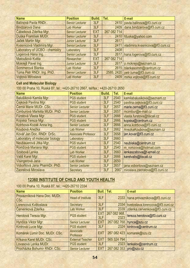| <b>Name</b>                    | <b>Position</b>        | Build.     | Tel.        | E-mail                           |
|--------------------------------|------------------------|------------|-------------|----------------------------------|
| Balínová Pavla RNDr            | <b>Senior Lecturer</b> | 3LF        | 2410        | pavla.balinova@lf3.cuni.cz       |
| <b>Bindzarová Dana</b>         | Lab Worker             | 3LF        | 2409        | dana.bindzarova@lf3.cuni.cz      |
| Čábelková Zdeňka Mgr.          | <b>Senior Lecturer</b> | <b>EXT</b> | 267 082 714 |                                  |
| Duška František MUDr.          | <b>Senior Lecturer</b> | 3LF        |             | 2410   fduska@yahoo.com          |
| Jaček Martin Mgr.              | <b>Junior Lecturer</b> | 3LF        | 2617        |                                  |
| Kvasnicová Vladimíra Mgr.      | <b>Senior Lecturer</b> | 3LF        | 2411        | vladimira.kvasnicova@lf3.cuni.cz |
| Laboratory of UCBO - chemistry | Laboratory             | 3LF        | 2408        |                                  |
| Logerová Hana Ing.             | Senior Lecturer        | 3LF        |             | 2617 hana.logerova@lf3.cuni.cz   |
| Matoušová Květa                | Researcher             | <b>EXT</b> | 267 082 714 |                                  |
| Mokrejš Pavel Ing.             | <b>Junior Lecturer</b> | 3LF        | 2617        | p.mokrejs@seznam.cz              |
| Sommerová Blanka               | <b>Lab Worker</b>      | 3LF        | 2615        | blankasomm@centrum.cz            |
| Tůma Petr RNDr. Ing. PhD.      | <b>Senior Lecturer</b> | 3LF        | 2585, 2420  | petr.tuma@lf3.cuni.cz            |
| Vojtová Miroslava              | <b>Lab Worker</b>      | 3LF        |             | 2409 mirka.vojtova@lf3.cuni.cz   |

# **Cell and Molecular Biology**

100 00 Praha 10, Ruská 87, tel.: +420-26710 2667, tel/fax.: +420-26710 2650

| <b>Name</b>                     | <b>Position</b>            | <b>Build.</b> | Tel. | E-mail                          |
|---------------------------------|----------------------------|---------------|------|---------------------------------|
| Balušíková Kamila Mgr.          | <b>PGS student</b>         | 3LF           | 2540 | kamilabalusikova@seznam.cz      |
| Čejková Pavlína Mgr.            | <b>PGS</b> student         | 3LF           | 2540 | pavlina.cejkova@lf3.cuni.cz     |
| Černá Marie MUDr. CSc.          | <b>Senior Lecturer</b>     | 3LF           | 2657 | marie.cerna@lf3.cuni.cz         |
| Čimburová Markéta MUDr. PhD.    | <b>Senior Lecturer</b>     | 3LF           | 2657 | mcimbur@e-mail.cz               |
| Fürstová Vlasta Mgr.            | <b>PGS</b> student         | 3LF           | 2666 | vlasta.furstova@tiscali.cz      |
| Kopská Tereza Mgr.              | <b>PGS</b> student         | 3LF           | 2666 | kopska@centrum.cz               |
| Kotrbova-Kozak Anna Ing.        | <b>Senior Lecturer</b>     | 3LF           | 2666 | anna.kotrbova@lf3.cuni.cz       |
| Koubová Anežka                  | <b>Lab Worker</b>          | 3LF           | 2662 | AnezkaKoubova@seznam.cz         |
| Kovář Jan Doc. RNDr. DrSc.      | <b>Associate Professor</b> | 3LF           | 2658 | jan.kovar@lf3.cuni.cz           |
| Laboratory of molecular biology | Laboratory                 | 3LF           | 2660 |                                 |
| Neubauerová Jitka Mgr.          | <b>PGS</b> student         | 3LF           | 2540 | neubiska@centrum.cz             |
| Romžová Mariana Mgr.            | <b>PGS student</b>         | 3LF           | 2540 | m_romzova@hotmail.com           |
| Szabová Lenka                   | <b>Lab Worker</b>          | 3LF           | 2660 | lenkaszabova@t-email.cz         |
| Vališ Karel Mgr.                | <b>PGS</b> student         | 3LF           | 2666 | karelvalis@tiscali.cz           |
| Visingerová Jana                | <b>Lab Worker</b>          | 3LF           | 2650 |                                 |
| Vobořilová Jana PharmDr. PhD.   | <b>Senior Lecturer</b>     | 3LF           | 2657 | jana.voborilova@seznam.cz       |
| Zaoralová Miroslava             | Secretary                  | 3LF           | 2667 | miroslava.zaoralova@lf3.cuni.cz |

# **12360 INSTITUTE OF CHILD AND YOUTH HEALTH**

100 00 Praha 10, Ruská 87, tel.: +420-26710 2334

| <b>Name</b>                          | <b>Position</b>               | Buil. Tel.        |                        | E-mail                                |
|--------------------------------------|-------------------------------|-------------------|------------------------|---------------------------------------|
| Provazníková Hana Doc. MUDr.<br>CSc. | <b>Head of Institute</b>      | 3LF               |                        | 2333   hana.provaznikova@lf3.cuni.cz  |
| Lorencová Květoslava                 | Secretary                     | 3LF               |                        | 2334 kvetoslava.lorencova@lf3.cuni.cz |
| Červenková Zdeňka                    | <b>Lab Worker</b>             | 3LF               |                        | 2339 zdenka.cervenkova@lf3.cuni.cz    |
| Herotová Tereza Mgr.                 | <b>PGS</b> student            | <b>EXT</b><br>3LF | 267 082 968,<br>2323   | tereza.herotova@lf3.cuni.cz           |
| Hynčica Viktor Mgr.                  | <b>Senior Lecturer</b>        | <b>EXT</b>        |                        | 267 082 768 hynca@szu.cz              |
| Kintrová Lucie Mgr.                  | <b>PGS</b> student            | 3LF               | 2324                   | kintrova@centrum.cz                   |
| Komárek Lumír Doc. MUDr. CSc.        | <b>Associate</b><br>Professor | <b>EXT</b>        |                        | 267 082 423 komarek@szu.cz            |
| Křikava Karel MUDr. CSc.             | <b>External Teacher</b>       | <b>EXT</b>        | 565 324 794            |                                       |
| Lovasová Lenka MUDr.                 | <b>PGS</b> student            | 3LF               | 2323                   | lenkalov@centrum.cz                   |
| Procházka Bohumír RNDr. CSc.         | <b>Senior Lecturer</b>        | <b>EXT</b>        | 267 082 353 pro@szu.cz |                                       |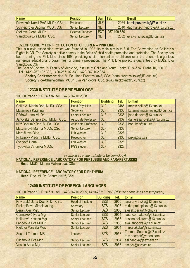| <b>Name</b>                      | <b>Position</b>         | Buil. Tel. |             | E-mail                              |
|----------------------------------|-------------------------|------------|-------------|-------------------------------------|
| Provazník Kamil Prof. MUDr. CSc. | Professor               | 3LF        |             | 2264 kamil.provaznik@lf3.cuni.cz    |
| Schneidrová Dagmar MUDr. CSc.    | Senior Lecturer         | 3LF        |             | 2340 dagmar.schneidrova@lf3.cuni.cz |
| Šteflová Alena MUDr.             | <b>External Teacher</b> | <b>EXT</b> | 257 199 880 |                                     |
| Vaníčková Eva MUDr. CSc.         | <b>Senior Lecturer</b>  | 3LF        |             | 2332 eva.vanickova@lf3.cuni.cz      |

### **CZECH SOCIETY FOR PROTECTION OF CHILDREN – PINK LINE**

This is a civic association, which was founded in 1992. Its main aim is to fulfil The Convention on Children´s Rights in CR. The Society is active namely in the fields of child health promotion and protection. The Society has been running the Pink Line since 1994 providing crisis intervention to children over the phone. It organizes numerous educational programmes for primary prevention. The Pink Line project is guaranteed by MUDr. Eva Vaníčková, CSc.

The Seat of Society: 3rd Faculty of Medicine, Institute of Child and Youth Health, Ruská 87, Praha 10, 100 00 Tel.: +420-267 102 332, +420-267102 333, +420-267 102 334

**Society Chairwoman**: doc. MUDr. Hana Provazníková, CSc. (hana.provaznikova@lf3.cuni.cz) **Society Vice-Chairwoman**: MUDr. Eva Vaníčková, CSc. (eva.vanickova@lf3.cuni.cz)

## **12330 INSTITUTE OF EPIDEMIOLOGY**

100 00 Praha 10, Ruská 87, tel.: +420-26710 2338

| <b>Name</b>                      | <b>Position</b>            | <b>Building</b> | Tel. | E-mail                         |
|----------------------------------|----------------------------|-----------------|------|--------------------------------|
| Čelko A. Martin Doc. MUDr. CSc.  | <b>Head Physician</b>      | 3LF             | 2485 | martin.celko@lf3.cuni.cz       |
| Maternová Kateřina               | Secretary                  | 3LF             | 2338 | katerina.maternova@lf3.cuni.cz |
| Dáňová Jana MUDr.                | <b>Senior Lecturer</b>     | 3LF             | 2336 | jana.danova@lf3.cuni.cz        |
| Janovská Daniela Doc. MUDr. CSc. | <b>Associate Professor</b> | 3LF             | 2337 | daniela.janovska@lf3.cuni.cz   |
| Kříž Bohumír Doc. MUDr. CSc.     | <b>Associate Professor</b> | 3LF             | 2336 | bohukriz@szu.cz                |
| Maixnerová Marina MUDr. CSc.     | <b>Senior Lecturer</b>     | 3LF             | 2338 |                                |
| Marešková Olga                   | <b>Lab Worker</b>          | 3LF             | 2328 |                                |
| Príkazský Vladimír MUDr. CSc.    | Researcher                 | 3LF             | 2336 | prikjr@szu.cz                  |
| Švecová Hana                     | Lab Worker                 | 3LF             | 2326 |                                |
| Typovská Veronika MUDr.          | <b>PGS</b> student         | 3LF             | 2323 |                                |

#### *(workplaces at the Institute of Epidemiology)*

**NATIONAL REFERENCE LABORATORY FOR PERTUSSIS AND PARAPERTUSSIS**

**Head**: MUDr. Marina Maixnerová, CSc.

### **NATIONAL REFERENCE LABORATORY FOR DIPHTHERIA**

**Head**: Doc. MUDr. Bohumír Kříž, CSc.

### **12400 INSTITUTE OF FOREIGN LANGUAGES**

100 00 Praha 10, Ruská 91, tel.: +420-26710 2905, +420-26710 2950 *(NB: the phone lines are temporary)* 

| <b>Name</b>                     | <b>Position</b>          | <b>Building</b> | Tel. | E-mail                         |
|---------------------------------|--------------------------|-----------------|------|--------------------------------|
| Přívratská Jana Doc. PhDr. CSc. | <b>Head of Institute</b> | <b>SZŠ</b>      | 2950 | jana.privratska@lf3.cuni.cz    |
| Prokopičová Miroslava Ing.      | <b>Secretary</b>         | <b>SZŠ</b>      | 2905 | mirka.prokopicova@lf3.cuni.cz  |
| Beran Aleš Mgr.                 | <b>Senior Lecturer</b>   | <b>SZŠ</b>      | 2956 | alesek.beran@volny.cz          |
| Čermáková Iveta Mgr.            | <b>Senior Lecturer</b>   | <b>SZŠ</b>      | 2954 | iveta.cermakova@lf3.cuni.cz    |
| Hellerová Kristina Mgr.         | <b>Senior Lecturer</b>   | <b>SZŠ</b>      | 2956 | kristina.hellerova@lf3.cuni.cz |
| Lahodová Eva MUDr.              | <b>Senior Lecturer</b>   | <b>SZŠ</b>      | 2953 | eva.lahodova@lf3.cuni.cz       |
| Riglová Marcela Mgr.            | <b>Senior Lecturer</b>   | <b>SZŠ</b>      | 2954 | marcelakubu@seznam.cz          |
| <b>Secrest Thomas MS</b>        | Lecturer                 | <b>SZŠ</b>      | 2953 | Thomas.Secrest@lf3.cuni.cz     |
|                                 |                          |                 |      | tom.secrest@yahoo.com          |
| Silhánová Eva Mgr.              | <b>Senior Lecturer</b>   | <b>SZŠ</b>      | 2954 | esilhanova@seznam.cz           |
| Veselá Anna Mgr.                | <b>Senior Lecturer</b>   | <b>SZŠ</b>      | 2956 | anna24@seznam.cz               |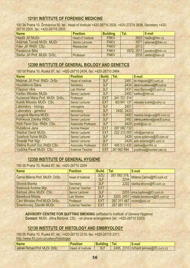## **12191 INSTITUTE OF FORENSIC MEDICINE**

100 34 Praha 10, Šrobárova 50, tel.: Head of Institute +420-26716 2535, +420-27274 3836, Secretary +420- 26716 2505, fax: +420-26716 2505

| <b>Name</b>                   | <b>Position</b>          | <b>Building</b> | Tel. | E-mail                     |
|-------------------------------|--------------------------|-----------------|------|----------------------------|
| Hladík Jiří MUDr.             | <b>Head of Institute</b> | <b>FNKV</b>     |      | 2623 hladik@fnkv.cz        |
| Adámek Tomáš MVDr. MUDr.      | <b>Senior Lecturer</b>   | <b>FNKV</b>     |      | 3571 adamek@fnkv.cz        |
| Fišer Jiří RNDr. CSc.         | Researcher               | <b>FNKV</b>     | 2513 |                            |
| Pavelcová Běla                |                          | <b>FNKV</b>     |      | 3572, 2511 pavelco@fnkv.cz |
| Štefan Jiří Prof. MUDr. DrSc. | Professor                | <b>FNKV</b>     |      | 2535 stefan@fnkv.cz        |

## **12390 INSTITUTE OF GENERAL BIOLOGY AND GENETICS**

100 00 Praha 10, Ruská 87, tel.: +420-26710 2434, fax: +420-26710 2464

| <b>Name</b>                      | <b>Position</b>            | <b>Build.</b> | Tel.        | E-mail                           |
|----------------------------------|----------------------------|---------------|-------------|----------------------------------|
| Mejsnar Jiří Prof. RNDr. DrSc.   | <b>Head of Institute</b>   | 3LF           | 2491        | jiri.mejsnar@lf3.cuni.cz         |
| Houštěková Dana                  | Secretary                  | 3LF           | 2434        | dana.houstekova@lf3.cuni.cz      |
| Filipiová Věra                   | Lab Worker                 | 3LF           | 2431        | vera.filipiova@lf3.cuni.cz       |
| Kadlec Miloslav MUDr.            | <b>Senior Lecturer</b>     | 3LF           | 2492        | kadlec@fnkv.cz                   |
| Kučerová Mária Prof. MUDr. DrSc. | Professor                  | <b>EXT</b>    | 241 721 314 |                                  |
| Kuklík Miloslav MUDr. CSc.       | <b>Senior Lecturer</b>     | <b>EXT</b>    | 603 841 137 | miloslav.kuklik@volny.cz         |
| Laboratory - biology             | menagerie                  | 3LF           | 2451        |                                  |
| Laboratory - genetics            | laboratory                 | 3LF           | 2432, 2433  |                                  |
| Langová Martina MUDr.            | <b>Senior Lecturer</b>     | 3LF           | 2492        | martina.langova@lf3.cuni.cz      |
| Polívková Zdeňka RNDr.           | <b>Senior Lecturer</b>     | 3LF           | 2492        | zdena.polivkova@post.lf3.cuni.cz |
| Rödl Pavel Doc. RNDr. CSc.       | <b>Associate Professor</b> | 3LF           | 2429        | prodl@szu.cz                     |
| Rubášová Jana                    | <b>Animal Keeper</b>       | <b>EXT</b>    | 267 082 732 |                                  |
| <b>Stejskal David MUDr.</b>      | <b>Senior Lecturer</b>     | <b>EXT</b>    | 222 313 000 | info@gennet.cz                   |
| Sytařová Sylvie MUDr.            | <b>Senior Lecturer</b>     | 3LF           | 2429        | sylvie.sytarova@lf3.cuni.cz      |
| Šmerák Petr Mgr.                 | <b>Senior Lecturer</b>     | 3LF           | 2429        | petr.smerak@lf3.cuni.cz          |
| Štětina Rudolf Doc.RNDr.CSc.     | <b>Associate Professor</b> | <b>EXT</b>    | 495 512 430 | stetina@pmfhk.cz                 |
| Vodička Pavel MUDr. CSc.         | <b>External Teacher</b>    | <b>EXT</b>    | 241 062 694 | pvodicka@biomed.cas.cz           |

# **12350 INSTITUTE OF GENERAL HYGIENE**

100 00 Praha 10, Ruská 87, tel.: +420-26710 2204

| <b>Name</b>                           | <b>Position</b>          | Build.     | Tel.        | E-mail                                        |
|---------------------------------------|--------------------------|------------|-------------|-----------------------------------------------|
| Černá Milena Prof. MUDr. DrSc.        | <b>Head of Institute</b> | <b>SZÚ</b> |             | 267 082 378,<br>2204 Milena.Cerna@lf3.cuni.cz |
|                                       |                          | 3LF        |             |                                               |
| Slívová Blanka                        | Secretary                | 3LF        |             | 2202 blanka.slivova@lf3.cuni.cz               |
| Batariová Andrea Mgr.                 | <b>External Teacher</b>  | <b>EXT</b> |             |                                               |
| Bártová Jiřina MUDr. CSc.             | <b>Senior Lecturer</b>   | 3LF        |             | 2203 jirina.bartova@lf3.cuni.cz               |
| <b>Benešová Milada</b>                | <b>Lab Worker</b>        | 3LF        |             | 2203, 2451 milada.benesova@lf3.cuni.cz        |
| <b>Cikrt Miroslav Prof.MUDr.DrSc.</b> | Professor                | <b>EXT</b> |             | 267 311 467 mcikrt@szu.cz                     |
| Šmerhovský Zdeněk MUDr.               | <b>External Teacher</b>  | <b>EXT</b> | 267 081 111 |                                               |

**ADVISORY CENTRE FOR QUITTING SMOKING** *(affiliated to Institute of General Hygiene)*  **Contact**: MUDr. Jiřina Bártová, CSc. - on phone arrangement (tel.: +420-26710 2203)

# **12130 INSTITUTE OF HISTOLOGY AND EMBRYOLOGY**

100 00 Praha 10, Ruská 87, tel.: +420-26710 2310, fax: +420-26710 2311, http://www.lf3.cuni.cz/ustavy/histologie/

| <b>Name</b>                                      | <b>BAD</b>                     | . .<br>п. | $\mathsf{He}_{\mathsf{L}}$ | -mail                       |
|--------------------------------------------------|--------------------------------|-----------|----------------------------|-----------------------------|
| Jelinek Richard F<br><b>MUDr. DrSc.</b><br>Prot. | <b>Institute</b><br>Head<br>0t | 3L        | 2310<br>2495               | richard.jelinek@lf3.cuni.cz |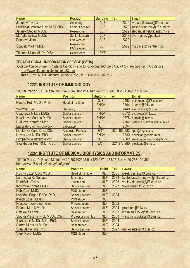| <b>Name</b>                          | <b>Position</b>                   | <b>Building</b> | Tel. | E-mail                           |
|--------------------------------------|-----------------------------------|-----------------|------|----------------------------------|
| Jelínková Ivanka                     | Secretary                         | 3LF             |      | 2310 ivana.jelinkova@lf3.cuni.cz |
| Hubičková Heringová Lucie MUDr. PhD. | <b>Senior Lecturer</b>            | 3LF             |      | 2520 lucie.heringova@lf3.cuni.cz |
| Jelínek Štěpán MUDr.                 | Researcher                        | 3LF             |      | 2522 stepan.jelinek@centrum.cz   |
| Maňáková Eva MUDr.                   | <b>Senior Lecturer</b>            | 3LF             |      | 2348 eva.manak@post.cz           |
| Pechová Jitka                        | <b>Lab Worker</b>                 | 3LF             | 2322 |                                  |
| Špaček Martin MUDr.                  | Researcher,<br><b>PGS</b> student | 3LF             |      | 2522 m.spacek@centrum.cz         |
| <b>Titlbach Milan MUDr. DrSc.</b>    | Researcher                        | <b>EXT</b>      |      |                                  |

# **TERATOLOGICAL INFORMATION SERVICE (CZTIS)**

*Joint workplace of the Institute of Histology and Embryology and the Clinic of Gynaecology and Obstetrics*  http://www.lf3.cuni.cz/histologie/33.htm

**Head:** Prof. MUDr. Richard Jelínek, DrSc., tel. +420-267 102 310

### **12221 INSTITUTE OF IMMUNOLOGY**

100 00 Praha 10, Ruská 87, tel.: +420-267 102 493, +420-267 102 440, fax: +420-267 102 161

| <b>Name</b>                | <b>Position</b>            | <b>Building</b> | Tel.        | E-mail                           |
|----------------------------|----------------------------|-----------------|-------------|----------------------------------|
| Kučera Petr MUDr. PhD.     | <b>Head of Institute</b>   | 3LF             | 2493        | petr.kucera@lf3.cuni.cz          |
|                            |                            | <b>FNKV</b>     | 3364        | kucera@fnkv.cz                   |
| Wolfová Eva                | Secretary                  | 3LF             | 2440        | eva.wolfova@lf3.cuni.cz          |
| Cvačková Milada MUDr.      | <b>Senior Lecturer</b>     | <b>FNKV</b>     | 2672        | cvackova@fnkv.cz                 |
| Heroldová Martina MUDr.    | <b>Senior Lecturer</b>     | <b>FNKV</b>     | 2678        | heroldo@fnkv.cz                  |
| Hulíková Katarína Mgr.     | <b>Senior Lecturer</b>     | 3LF             | 2502        | katarina.hulikova@lf3.cuni.cz    |
| Laboratory of immunology   | Laboratory                 | 3LF             | 2594        |                                  |
| Lipoldová Marie Doc. CSc.  | <b>Associate Professor</b> | <b>EXT</b>      | 220 183 282 | lipol@img.cas.cz                 |
| Novák Jan MUDr. PhD.       | <b>Senior Lecturer</b>     | <b>FNKV</b>     | 2830        | novakjan@centrum.cz              |
| Pompachová Alexandra Mgr.  | <b>Senior Lecturer</b>     | 3LF             | 2502        | alexandra.pompachova@lf3.cuni.cz |
| Stöckbauer Petr RNDr. CSc. | <b>Senior Lecturer</b>     | <b>EXT</b>      | 221 977 280 | stockbau@uhkt.cz                 |

## **12261 INSTITUTE OF MEDICAL BIOPHYSICS AND INFORMATICS**

100 00 Praha 10, Ruská 87, tel.: +420-267102303-5, +420-267 102 627, fax: +420-267 102 360, http://www.lf3.cuni.cz/ustavy/biofyzika/

| <b>Name</b>                       | <b>Position</b>           | <b>Build.</b> | Tel. | E-mail                           |
|-----------------------------------|---------------------------|---------------|------|----------------------------------|
| Rosina Jozef Doc. MUDr.           | <b>Head of Institute</b>  | 3LF           | 2305 | jozef.rosina@lf3.cuni.cz         |
| Lorencová Květoslava              | Secretary                 | 3LF           | 2334 | kvetoslava.lorencova@lf3.cuni.cz |
| Daněček Václav                    | <b>Technician</b>         | 3LF           | 2303 | vaclav.danecek@lf3.cuni.cz       |
| Kostrhun Tomáš MUDr.              | <b>Senior Lecturer</b>    | 3LF           | 2627 | tcx@trimed.lf3.cuni.cz           |
| Kubeš Jiří MUDr.                  | <b>PGS</b> student        | 3LF           |      |                                  |
| Kvašňák Eugen RNDr. PhD.          | <b>Senior Lecturer</b>    | 3LF           | 2304 |                                  |
| Kvěch Josef MUDr.                 | <b>PGS</b> student        | 3LF           |      |                                  |
| Practice room-biophysics          | Practice room             | 3LF           | 2302 |                                  |
| Průcha Marek MUDr.                | <b>Senior Lecturer</b>    | 3LF           | 2304 | prucham@fnkv.cz                  |
| Saláková Lenka                    | Researcher                | 3LF           | 2303 | lenka.salakova@lf3.cuni.cz       |
| Slouka Vlastimil Prof. MUDr. CSc. | <b>Professor emeritus</b> | 3LF           | 2301 | vlastimil.slouka@lf3.cuni.cz     |
| Stanek Jiří MUDr. MSc. PhD.       | <b>Senior Lecturer</b>    | 3LF           | 2304 |                                  |
| <b>Starec Miroslav MUDr.</b>      | Researcher                | 3LF           | 2304 |                                  |
| <b>Šuta Daniel Ing. PhD.</b>      | <b>Senior Lecturer</b>    | 3LF           | 2627 | daniel.suta@lf3.cuni.cz          |
| Vítek Pavel MUDr.                 | <b>PGS</b> student        | 3LF           |      |                                  |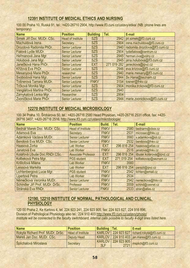## **12391 INSTITUTE OF MEDICAL ETHICS AND NURSING**

100 00 Praha 10, Ruská 91, tel.: +420-26710 2904, http://www.lf3.cuni.cz/ustavy/etika/ (NB: phone lines are temporary)

| <b>Name</b>                | <b>Position</b>          | <b>Building</b> | Tel.        | E-mail                            |
|----------------------------|--------------------------|-----------------|-------------|-----------------------------------|
| Šimek Jiří Doc. MUDr. CSc. | <b>Head of Institute</b> | <b>SZŠ</b>      |             | 2942   jiri.simek@lf3.cuni.cz     |
| Machuldová Irena           | <b>Secretary</b>         | <b>SZŠ</b>      |             | 2904 irena.machuldova@lf3.cuni.cz |
| Drozdová Radomila PhDr.    | Senior Lecturer          | <b>SZŠ</b>      | 2940        | radomila.drozdova@lf3.cuni.cz     |
| Fialová Lydie MUDr.        | <b>Senior Lecturer</b>   | <b>SZŠ</b>      | 2904        | lydiefialova@centrum.cz           |
| Heřmanová Jana Mgr.        | <b>Senior Lecturer</b>   | <b>SZŠ</b>      | 2945        | herman.ova@volny.cz               |
| Holubová Jana Mgr.         | <b>Senior Lecturer</b>   | <b>SZŠ</b>      |             | 2945   jana.holubova@lf3.cuni.cz  |
| Janečková Hana PhDr.       | <b>Senior Lecturer</b>   | <b>EXT</b>      | 271 019 282 | janeckova@ipvz.cz                 |
| Křížová Eva PhDr.          | <b>Senior Lecturer</b>   | <b>SZŠ</b>      | 2946        | eva.krizova@lf3.cuni.cz           |
| Mesanyová Marie PhDr.      | researcher               | <b>SZŠ</b>      | 2940        | marie.mesany@lf3.cuni.cz          |
| Svobodová Hana Mgr.        | <b>Senior Lecturer</b>   | <b>SZŠ</b>      | 2944        | Sv.Hana@seznam.cz                 |
| Tošnerová Tamara MUDr.     | <b>Senior Lecturer</b>   | <b>FNKV</b>     | 3154        | tosner@fnkv.cz                    |
| Trčková Monika Mgr.        | <b>Senior Lecturer</b>   | <b>SZŠ</b>      | 2904        | monika.trckova@lf3.cuni.cz        |
| Venglářová Martina PhDr.   | <b>Senior Lecturer</b>   | <b>SZŠ</b>      | 2940        |                                   |
| Zamykalová Lenka Mgr.      | Researcher               | <b>SZŠ</b>      | 2904        |                                   |
| Zvoníčková Marie PhDr.     | <b>Senior Lecturer</b>   | <b>SZŠ</b>      | 2944        | marie.zvonickova@lf3.cuni.cz      |

# **12270 INSTITUTE OF MEDICAL MICROBIOLOGY**

100 34 Praha 10, Šrobárova 50, tel.: +420-26716 2580 Head Physician, +420-26716 2531 office, fax: +420- 26716 3407, +420-26716 2516, http://www.lf3.cuni.cz/ustavy/mikrobiologie/

| <b>Name</b>                      | <b>Position</b>            | <b>Build.</b> | Tel.        | E-mail                              |
|----------------------------------|----------------------------|---------------|-------------|-------------------------------------|
| Bednář Marek Doc. MUDr. CSc.     | <b>Head of Institute</b>   | <b>FNKV</b>   | 2580        | bednarm@cbox.cz                     |
| Adamová Eva                      | <b>Secretary</b>           | <b>FNKV</b>   | 2531        | microsec@fnkv.cz                    |
| Adámková Václava MUDr.           | <b>Senior Lecturer</b>     | <b>FNKV</b>   | 3560        | v.adamkova@iol.cz                   |
| Bendová Eva MUDr. CSc.           | <b>Senior Lecturer</b>     | <b>FNKV</b>   | 2532        | bendova@fnkv.cz                     |
| Haasová Zorka                    | Lab Worker                 | <b>EXT</b>    |             | 296 816 254 haasova@atlas.cz        |
| Janatová Eva                     | <b>Lab Worker</b>          | <b>FNKV</b>   |             | 2516   janatova@fnkv.cz             |
| Kolářová Libuše Doc.RNDr.CSc.    | <b>Associate Professor</b> | <b>EXT</b>    |             | 296 816 254 libuse kolarova@ipvz.cz |
| Kolbeková Petra Mgr.             | <b>PGS</b> student         | <b>EXT</b>    | 271 019 254 | kolbekovap@seznam.cz                |
| Krištofová Milena                | <b>Lab Worker</b>          | <b>FNKV</b>   | 3560        |                                     |
| Leissová Markéta                 | <b>Lab Worker</b>          | <b>EXT</b>    |             | 296 816 254 parazit@ipvz.cz         |
| Lichtenbergová Lucie Mgr.        | <b>PGS</b> student         | <b>FNKV</b>   | 2542        | lichten@email.cz                    |
| Lipertová Petra                  | <b>Lab Worker</b>          | <b>FNKV</b>   | 2534        |                                     |
| Němečková Veronika MUDr.         | <b>Senior Lecturer</b>     | <b>FNKV</b>   | 2542        | nemeckova@fnkv.cz                   |
| Schindler Jiří Prof. MUDr. DrSc. | Professor                  | <b>FNKV</b>   | 3559        | schind@cesnet.cz                    |
| Stránská Eva RNDr.               | <b>Senior Lecturer</b>     | <b>FNKV</b>   |             | 2533 stran@atlas.cz                 |

## **12190, 12210 INSTITUTE OF NORMAL, PATHOLOGICAL AND CLINICAL PHYSIOLOGY**

120 00 Praha 2, Ke Karlovu 4, tel. 224 923 241, 224 923 905, fax: 224 923 827, 224 916 896, Division of Pathological Physiology also tel.: 224 910 403 http://www.lf3.cuni.cz/ustavy/physio/ *Institute will be connected to the faculty switchboard, internal calls possible to faculty 4-digit lines listed here.* 

| <b>Name</b>                             | <b>Position</b>          | <b>Building   Tel.</b> | E-mail                                        |
|-----------------------------------------|--------------------------|------------------------|-----------------------------------------------|
| <b>Rokyta Richard Prof. MUDr. DrSc.</b> | <b>Head of Institute</b> |                        | KARLOV 224 923 827 richard.rokyta@lf3.cuni.cz |
| Mareš Jan Doc. MUDr. CSc.               | Deputy Head              |                        | KARLOV   224 910 403   jan.mares@lf3.cuni.cz  |
| <b>Šplíchalová Miroslava</b>            | Secretary                | <b>KARLOV</b><br>3LF   | 224 923 905 msplich@lf3.cuni.cz               |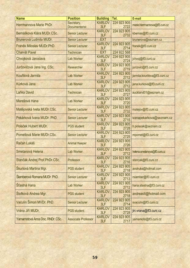| <b>Name</b>                     | <b>Position</b>            | <b>Building</b>             | Tel.                | E-mail                        |
|---------------------------------|----------------------------|-----------------------------|---------------------|-------------------------------|
| Herrmannova Marie PhDr.         | Secretary,                 | <b>KARLOV</b>               | 224 923 905         | marie.herrmannova@lf3.cuni.cz |
|                                 | <b>Documentarist</b>       | 3LF                         | 2722                |                               |
| Bernášková Klára MUDr.CSc.      | <b>Senior Lecturer</b>     | <b>KARLOV</b>               | 224 923 905         | kbernas@lf3.cuni.cz           |
|                                 |                            | 3LF                         | 2732                |                               |
| Brunerová Ludmila MUDr.         | <b>Senior Lecturer</b>     | <b>EXT</b><br><b>KARLOV</b> | 224 923 905         | brunerova@seznam.cz           |
| Franěk Miloslav MUDr.PhD.       | <b>Senior Lecturer</b>     | 3LF                         | 2714                | franek@lf3.cuni.cz            |
| <b>Charvát Pavel</b>            | <b>Technician</b>          | <b>EXT</b>                  | 224 922 568         |                               |
|                                 |                            | <b>KARLOV</b>               | 224 923 905         |                               |
| Chvojková Jaroslava             | <b>Lab Worker</b>          | 3LF                         | 2724                | jchvoj@lf3.cuni.cz            |
| Jurčovičová Jana Ing. CSc.      | Researcher                 | <b>KARLOV</b>               | 224 923 905         | jurcovic@lf3.cuni.cz          |
|                                 |                            | 3LF                         | 2719                |                               |
| Kouřilová Jarmila               | <b>Lab Worker</b>          | <b>KARLOV</b><br>3LF        | 224 923 905<br>2712 | jarmila.kourilova@lf3.cuni.cz |
|                                 |                            | <b>KARLOV</b>               | 224 923 905         |                               |
| Kůrková Jana                    | <b>Lab Worker</b>          | 3LF                         | 2712                | jana.kurkova@lf3.cuni.cz      |
|                                 |                            | <b>KARLOV</b>               | 224 923 905         |                               |
| Laňka David                     | <b>Technician</b>          | 3LF                         | 2727                | auckland01@seznam.cz          |
|                                 |                            | <b>KARLOV</b>               | 224 923 905         |                               |
| Marešová Hana                   | <b>Lab Worker</b>          | 3LF                         | 2720                |                               |
| Matějovská lveta MUDr.CSc.      | <b>Senior Lecturer</b>     | <b>KARLOV</b>               | 224 923 905         | matejov@lf3.cuni.cz           |
|                                 |                            | 3LF                         | 2732                |                               |
| Pekárková Ivana MUDr. PhD.      | <b>Senior Lecturer</b>     | <b>KARLOV</b><br>3LF        | 224 923 905<br>2715 | ivanapekarkova@seznam.cz      |
|                                 |                            | <b>KARLOV</b>               | 224 923 905         |                               |
| Poláček Hubert MUDr.            | <b>PGS student</b>         | 3LF                         | 2728                | h.polacek@seznam.cz           |
|                                 |                            | <b>KARLOV</b>               | 224 923 905         |                               |
| Pometlová Marie MUDr.CSc.       | <b>Senior Lecturer</b>     | 3LF                         | 2725                | mpomet@lf3.cuni.cz            |
| Račan Lukáš                     | <b>Animal Keeper</b>       | <b>KARLOV</b>               | 224 923 905         |                               |
|                                 |                            | 3LF                         | 2726                |                               |
| Smetanová Helena                | <b>Lab Worker</b>          | <b>KARLOV</b><br>3LF        | 224 923 905<br>2712 | helena.smetanova@lf3.cuni.cz  |
|                                 |                            | <b>KARLOV</b>               | 224 923 905         |                               |
| Stančák Andrej Prof.PhDr.CSc.   | Professor                  | 3LF                         | 2716                | stancak@lf3.cuni.cz           |
|                                 |                            | <b>KARLOV</b>               | 224 923 905         |                               |
| Škurlová Martina Mgr.           | <b>PGS student</b>         | 3LF                         | 2718                | avolruks@hotmail.com          |
| Slamberová Romana MUDr. PhD.    | <b>Senior Lecturer</b>     | <b>KARLOV</b>               | 224 923 905         | rslamber@lf3.cuni.cz          |
|                                 |                            | 3LF                         | 2713                |                               |
| Šťastná Hana                    | <b>Lab Worker</b>          | <b>KARLOV</b>               | 224 923 905         | hana.stastna@lf3.cuni.cz      |
|                                 |                            | 3LF<br><b>KARLOV</b>        | 2712<br>224 923 905 |                               |
| Štofková Andrea Mgr.            | <b>PGS</b> student         | 3LF                         | 2718                | andreastt@hotmail.com         |
|                                 |                            | <b>KARLOV</b>               | 224 923 905         |                               |
| Vaculín Šimon MVDr. PhD.        | <b>Senior Lecturer</b>     | 3LF                         | 2714                | svaculin@lf3.cuni.cz          |
| Vrána Jiří MUDr.                | <b>PGS student</b>         | <b>KARLOV</b>               | 224 923 905         | jiri.vrana@If3.cuni.cz        |
|                                 |                            | 3LF                         | 2728                |                               |
| Yamamotová Anna Doc. RNDr. CSc. | <b>Associate Professor</b> | <b>KARLOV</b>               | 224 923 905         | yamamoto@lf3.cuni.cz          |
|                                 |                            | 3LF                         | 2717                |                               |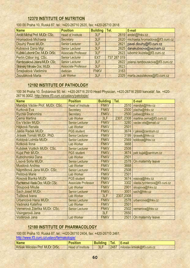## **12370 INSTITUTE OF NUTRITION**

| <b>Name</b>                     | <b>Position</b>            | <b>Building</b> | Tel.        | E-mail                                |
|---------------------------------|----------------------------|-----------------|-------------|---------------------------------------|
| Anděl Michal Prof. MUDr. CSc.   | <b>Head of Institute</b>   | 3LF             | 2619        | andel@fnkv.cz                         |
| <b>Hromadová Michaela</b>       | Secretary                  | 3LF             | 2620        | michaela.hromadova@lf3.cuni.cz        |
| Dlouhý Pavel MUDr.              | <b>Senior Lecturer</b>     | 3LF             | 2621        | pavel.dlouhy@lf3.cuni.cz              |
| Kubisová Dana Mgr.              | <b>Senior Lecturer</b>     | 3LF             |             | 2625 danakubisova@seznam.cz           |
| Kužela Lubomír Doc. MUDr. DrSc. | <b>Associate Professor</b> | 3LF             |             | 2623 lubomir.kuzela@lf3.cuni.cz       |
| Perlín Ctibor Ing. CSc.         | <b>Senior Lecturer</b>     | <b>EXT</b>      | 737 287 019 |                                       |
| Rambousková Jolana MUDr. CSc.   | <b>Senior Lecturer</b>     | 3LF             |             | 2622   jolana.rambouskova@lf3.cuni.cz |
| Stránský Miroslav Doc. MUDr.    | <b>Associate Professor</b> | 3LF             | 2623        |                                       |
| Šmejkalová Vladimíra            | dietician                  | <b>FNKV</b>     | 3163        |                                       |
| Zezuláková Marta                | <b>Lab Worker</b>          | 3LF             |             | 2325   marta.zezulakova@lf3.cuni.cz   |

100 00 Praha 10, Ruská 87, tel.: +420-26710 2620, fax: +420-26710 2618

## **12192 INSTITUTE OF PATHOLOGY**

100 34 Praha 10, Šrobárova 50, tel.: +420-26716 2510 Head Physician, +420-26716 2500 kancelář, fax. +420- 26716 3002, http://www.lf3.cuni.cz/ustavy/patologie/

| <b>Name</b>                       | <b>Position</b>            | <b>Building</b> | Tel.       | E-mail                        |
|-----------------------------------|----------------------------|-----------------|------------|-------------------------------|
| Mandys Václav Prof. MUDr. CSc.    | <b>Head of Institute</b>   | <b>FNKV</b>     | 2510       | mandys@fnkv.cz                |
| <b>Kurková Eva</b>                | Secretary                  | <b>FNKV</b>     |            | 2500 placha@fnkv.cz           |
| Rychlá Drahomíra                  | <b>Secretary</b>           | <b>FNKV</b>     | 2500       | patsec@fnkv.cz                |
| Cerná Martina                     | <b>Lab Worker</b>          | 3LF             | 2307, 2308 | martina.cerna@lf3.cuni.cz     |
| Eis Václav MUDr.                  | <b>Senior Lecturer</b>     | <b>FNKV</b>     | 3280       | vaclav.eis@email.cz           |
| Hájková Renata                    | <b>Lab Worker</b>          | <b>FNKV</b>     | 2501       |                               |
| Jakša Radek MUDr.                 | <b>PGS</b> student         | <b>FNKV</b>     |            | 3674 r.jaksa@centrum.cz       |
| Jirásek Tomáš MUDr. PhD.          | <b>Senior Lecturer</b>     | <b>FNKV</b>     |            | 3199 tjirasek@fnkv.cz         |
| Koldová Lidmila MUDr.             | <b>Senior Lecturer</b>     | <b>FNKV</b>     | 2569       | koldova@fnkv.cz               |
| Kotková Ilona                     | <b>Lab Worker</b>          | <b>FNKV</b>     | 3668       |                               |
| Kubálek Vojtěch MUDr. CSc.        | <b>Senior Lecturer</b>     | <b>FNKV</b>     | 2508       |                               |
| Kujal Petr MUDr.                  | <b>PGS</b> student         | <b>FNKV</b>     | 3674       | petr.kujal@centrum.cz         |
| Kutnohorská Dana                  | <b>Lab Worker</b>          | <b>FNKV</b>     | 2501       |                               |
| Lísová Soňa MUDr.                 | <b>Senior Lecturer</b>     | <b>FNKV</b>     | 2578       | On maternity leave            |
| Musilová Andrea                   | <b>Lab Worker</b>          | <b>FNKV</b>     | 3668       |                               |
| Náprstková Jana MUDr. CSc.        | <b>Senior Lecturer</b>     | <b>FNKV</b>     | 2508       |                               |
| Peštová Marie                     | <b>Lab Worker</b>          | <b>FNKV</b>     | 2501       |                               |
| Rosová Blanka MUDr.               | <b>PGS</b> student         | <b>FNKV</b>     | 3674       | rosova@fnkv.cz                |
| Rychterová Vlasta Doc. MUDr. CSc. | <b>Associate Professor</b> | <b>FNKV</b>     | 3302       | vlasta.rychterova@lf3.cuni.cz |
| Sloupová Miluše                   | <b>Lab Worker</b>          | <b>FNKV</b>     | 2901       | sloupova@fnkv.cz              |
| Sach Josef MUDr.                  | <b>Senior Lecturer</b>     | <b>FNKV</b>     | 3001       | sach@fnkv.cz                  |
| Tučková Ivana                     | <b>Lab Worker</b>          | 3LF             | 2307,2308  |                               |
| Urbancová Hana MUDr.              | <b>Senior Lecturer</b>     | <b>FNKV</b>     | 2578       | urbancova@fnkv.cz             |
| Vadinská Kateřina                 | <b>Lab Worker</b>          | <b>FNKV</b>     | 2501       |                               |
| Vernerová Zdeňka MUDr. CSc.       | <b>Senior Lecturer</b>     | <b>FNKV</b>     | 2502       | vernerova@fnkv.cz             |
| Visingerová Jana                  |                            | 3LF             | 2650       |                               |
| Voděrová Jana                     | <b>Lab Worker</b>          | <b>FNKV</b>     | 2501       | On maternity leave            |

## **12180 INSTITUTE OF PHARMACOLOGY**

100 00 Praha 10, Ruská 87, tel.: +420-26710 2404, fax: +420-26710 2461,

| http://www.lf3.cuni.cz/ustavy/farmakologie/ |  |
|---------------------------------------------|--|
|                                             |  |

| <b>Name</b>                                | <b>TAT</b>                          | . . | <b>Tel.</b> | <b>-mail</b>                     |
|--------------------------------------------|-------------------------------------|-----|-------------|----------------------------------|
| Kršiak<br>Miloslay Prof.<br>MUDr.<br>DrSc. | $\cdots$<br>Institute<br>0t<br>Head | 3L1 | 2487        | miloslav.krsiak@lf3.<br>.cuni.cz |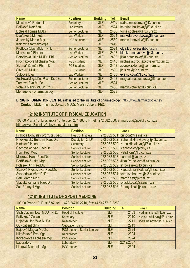| <b>Name</b>                      | <b>Position</b>        | <b>Building</b> | Tel. | E-mail                           |
|----------------------------------|------------------------|-----------------|------|----------------------------------|
| Mieslerová Radomila              | Secretary              | 3LF             | 2404 | radka.mieslerova@lf3.cuni.cz     |
| Balíková Kateřina                | Lab Worker             | 3LF             | 2524 | katerina.balikova@lf3.cuni.cz    |
| Doležal Tomáš MUDr.              | <b>Senior Lecturer</b> | 3LF             | 2450 | tomas.dolezal@lf3.cuni.cz        |
| Dvořáková Markéta                | Lab Worker             | 3LF             | 2524 | marketa.dvorakova@lf3.cuni.cz    |
| Janovský Martin Mgr.             | <b>PGS</b> student     | 3LF             | 2530 | martin.janovsky@lf3.cuni.cz      |
| Knihovna farmakologie            |                        | 3LF             | 2449 |                                  |
| Kroftová Olga MUDr. PhD.         | <b>Senior Lecturer</b> | 3LF             | 2524 | olga.kroftova@abbott.com         |
| Mairychová Blanka                | <b>Lab Worker</b>      | 3LF             | 2403 | blanka.mairychova@lf3.cuni.cz    |
| Patočková Jitka MUDr. PhD.       | <b>Senior Lecturer</b> | 3LF             | 2402 | jitka.patockova@lf3.cuni.cz      |
| Procházková Michaela Mgr.        | <b>PGS</b> student     | 3LF             | 2448 | michaela.prochazkova@lf3.cuni.cz |
| Sklenář Zbyněk PharmDr.          | <b>PGS</b> student     | 3LF             | 2448 | zbynek.sklenar@centrum.cz        |
| Slíva Jiří MUDr.                 | <b>PGS</b> student     | 3LF             | 2530 | jiri.sliva@lf3.cuni.cz           |
| Šulcová Eva                      | <b>Lab Worker</b>      | 3LF             | 2403 | eva.sulcova@lf3.cuni.cz          |
| Šustková Magdaléna PharmDr. CSc. | <b>Senior Lecturer</b> | 3LF             | 2402 | magdalena.sustkova@lf3.cuni.cz   |
| Tůmová Eva MUDr.                 | <b>Senior Lecturer</b> | 3LF             | 2524 |                                  |
| Votava Martin MUDr. PhD.         | <b>Senior Lecturer</b> | 3LF             | 2450 | martin.votava@lf3.cuni.cz        |
| Menagerie - pharmacology         |                        | 3LF             | 2528 |                                  |

**DRUG INFORMATION CENTRE** (affiliated to the institute of pharmacology) http://www.farmakologie.net/ **Contact**: MUDr. Tomáš Doležal, MUDr. Martin Votava, PhD.

# **12182 INSTITUTE OF PHYSICAL EDUCATION**

102 00 Praha 10, Bruslařská 10, tel./fax: 274 863 014, tel.: 272 082 500, e- mail: utv@post.lf3.cuni.cz http://www.lf3.cuni.cz/telovychova/index.htm

| <b>Name</b>                      | <b>Position</b>          | Tel. | E-mail                                     |
|----------------------------------|--------------------------|------|--------------------------------------------|
| Příhoda Bohuslav prom. těl. ped. | <b>Head of Institute</b> |      | 272 082 501 prihoda@cesnet.cz              |
| Hněvkovský Bohumil PaedDr.       | Deputy for 3. LF         |      | 272 082 502 Bohumil.Hnevkovsky@lf3.cuni.cz |
| Hiršalová Hana                   | Secretary                |      | 272 082 500 Hana.Hirsalova@lf3.cuni.cz     |
| Cechovský Ivan PaedDr.           | <b>Senior Lecturer</b>   |      | 272 082 506 cechovsky@volny.cz             |
| Horn Petr Mgr.                   | <b>Senior Lecturer</b>   |      | 272 082 506 Petr.Horn@lf3.cuni.cz          |
| Milerová Hana PaedDr.            | <b>Senior Lecturer</b>   |      | 272 082 503   hanamil@volny.cz             |
| Petříčková Jitka Mgr.            | <b>Senior Lecturer</b>   |      | 272 082 505 Jitka.Petrickova@If3.cuni.cz   |
| Polášek Jiří PaedDr.             | <b>Senior Lecturer</b>   |      | 272 082 502 jiri.polasek@lf3.cuni.cz       |
| Skálová Květoslava, PaedDr.      | <b>Senior Lecturer</b>   |      | 272 082 505 Kvetoslava.Skalova@lf3.cuni.cz |
| Svobodová Věra PhDr.             | <b>Senior Lecturer</b>   |      | 272 082 504 vera.svobodova@lf3.cuni.cz     |
| Šefl Martin Mgr.                 | <b>Senior Lecturer</b>   |      | 272 082 506 martin.sefl@email.cz           |
| Vladyková Ivana PaedDr.          | <b>Senior Lecturer</b>   |      | 272 082 503   i.vladykova@seznam.cz        |
| Žák Přemysl Mgr.                 | <b>Senior Lecturer</b>   |      | 272 082 506 Premysl.zak@centrum.cz         |

# **12181 INSTITUTE OF SPORT MEDICINE**

100 00 Praha 10, Ruská 87, tel.: +420-26710 2210, fax: +420-26710 2263

| <b>Name</b>                    | <b>Position</b>                     | <b>Building</b> | Tel.      | E-mail                       |
|--------------------------------|-------------------------------------|-----------------|-----------|------------------------------|
| Štich Vladimír Doc. MUDr. PhD. | <b>Head of Institute</b>            | 3LF             | 2483      | vladimir.stich@lf3.cuni.cz   |
| Pařízková Zuzana               | Secretary                           | 3LF             | 2210      | zuzana.parizkova@lf3.cuni.cz |
| Hejnová Jindřiška MUDr.        | Researcher                          | 3LF             | 2211      | jindra.hejnova@lf3.cuni.cz   |
| Out-patient clinic             | Out-patient clinic                  | 3LF             | 2213      |                              |
| Bajzová Magda MUDr.            | <b>PGS student, Senior Lecturer</b> | 3LF             | 2324      |                              |
| Klimčáková Eva Mgr.            | Researcher                          | 3LF             | 2324      |                              |
| Kovačiková Michaela Mgr.       | <b>PGS</b> student                  | 3LF             | 2324      |                              |
| Laboratory                     | Laboratory                          | 3LF             | 2219,2587 |                              |
| Lipková Michaela Mgr.          | <b>PGS</b> student                  | 3LF             | 2324      |                              |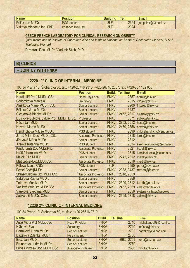| <b>Name</b>                | <b>Position</b>    | <b>Building</b> | <b>Lei.</b> | E-mail                |
|----------------------------|--------------------|-----------------|-------------|-----------------------|
| Polák Jan MUDr.            | <b>PGS</b> student | 3LF             | 2324        | jan.polak@lf3.cuni.cz |
| Vítková Michaela Ing. PhD. | Post-doc INSERM    | 3LF             | 2324        |                       |

#### **CZECH-FRENCH LABORATORY FOR CLINICAL RESEARCH ON OBESITY**

*(joint workplace of Institute of Sport Medicine and Institute National de Santé et Recherche Medical, U 586 Toulouse, France)* 

**Director**: Doc. MUDr. Vladimír Štich, PhD.

# **B) CLINICS**

### **– JOINTLY WITH FNKV**

### **12220 1ST CLINIC OF INTERNAL MEDICINE**

100 34 Praha 10, Šrobárova 50, tel.: +420-26716 2315, +420-26716 2357, fax: +420-267 162 658

| <b>Name</b>                               | <b>Position</b>            | <b>Build.</b> | <b>Tel. line</b> | E-mail                        |
|-------------------------------------------|----------------------------|---------------|------------------|-------------------------------|
| Horák Jiří Prof. MUDr. CSc.               | <b>Head Physician</b>      | <b>FNKV</b>   | 2357             | horak@fnkv.cz                 |
| Sodomková Marcela                         | Secretary                  | <b>FNKV</b>   | 2315             | int1sec@fnkv.cz               |
| Alušíková Marie MUDr. CSc.                | <b>Senior Lecturer</b>     | <b>FNKV</b>   | 2200             | fnkvred@fnkv.cz               |
| Bělinová Jana MUDr.                       | <b>Senior Lecturer</b>     | <b>FNKV</b>   | 3437             |                               |
| Cieslarová Blanka MUDr.                   | <b>Senior Lecturer</b>     | <b>FNKV</b>   | 2457, 2317       | cieslaro@fnkv.cz              |
| Dusilová-Sulková Sylvie Prof. MUDr. DrSc. | Professor                  | <b>FNKV</b>   | 3671             | sulkova@fnkv.cz               |
| Háša Jan MUDr.                            | <b>Senior Lecturer</b>     | <b>FNKV</b>   | 2852, 2612       | hasa@fnkv.cz                  |
| Havrda Martin MUDr.                       | <b>Senior Lecturer</b>     | <b>FNKV</b>   | 2460, 2358       | havrda@fnkv.cz                |
| Hendrichová Miluše MUDr.                  | <b>PGS</b> student         | <b>FNKV</b>   | 2399             | milusehendrich@centrum.cz     |
| Jaroš Milan Doc. MUDr. CSc.               | <b>Associate Professor</b> | <b>FNKV</b>   | 2318             | jaros@fnkv.cz                 |
| Jíravová Mária MUDr.                      | <b>Senior Lecturer</b>     | <b>FNKV</b>   | 2312             |                               |
| Jirsová Kateřina MUDr.                    | <b>PGS student</b>         | <b>FNKV</b>   | 2314             | katerina.cervinkova@seznam.cz |
| Kozák Tomáš Doc. MUDr. PhD.               | <b>Associate Professor</b> | <b>FNKV</b>   | 2821             | kozak@fnkv.cz                 |
| Krátká Karolina MUDr.                     | <b>PGS</b> student         | <b>FNKV</b>   | 2315             | karolinakratka@seznam.cz      |
| Málek Filip MUDr.                         | <b>Senior Lecturer</b>     | <b>FNKV</b>   | 2245, 2312       | malek@fnkv.cz                 |
| Mertl Ladislav Doc. MUDr. CSc.            | <b>Associate Professor</b> | <b>FNKV</b>   | 2318             | mertl@fnkv.cz                 |
| Půtová Ivana RNDr.                        | <b>PGS</b> student         | 3LF           | 2650             | puto@revma.cz                 |
| Remeš Ondřej MUDr.                        | <b>Senior Lecturer</b>     | <b>FNKV</b>   | 2338, 3437       | remes@fnkv.cz                 |
| Stránský Jaroslav Doc. MUDr. CSc.         | <b>Associate Professor</b> | <b>FNKV</b>   | 2318, 2359       |                               |
| Šafářová Radka MUDr.                      | <b>Senior Lecturer</b>     | <b>FNKV</b>   | 2356             |                               |
| Tóthová Monika MUDr.                      | <b>Senior Lecturer</b>     | <b>FNKV</b>   | 2329, 2312       | tutoth@email.cz               |
| Valešová Marie Doc. MUDr. CSc.            | <b>Associate Professor</b> | <b>FNKV</b>   | 2457, 2359       | valesova@fnkv.cz              |
| Vaňková Světlana MUDr.                    | <b>Senior Lecturer</b>     | <b>FNKV</b>   | 2356             | svetlana_vankova@yahoo.com    |
| Žabka Jiří MUDr. CSc.                     | <b>Senior Lecturer</b>     | <b>FNKV</b>   | 2399, 2318       | zabka@fnkv.cz                 |

# **12230 2ND CLINIC OF INTERNAL MEDICINE**

100 34 Praha 10, Šrobárova 50, tel./fax: +420-26716 2710

| <b>Name</b>                            | <b>Position</b>            | Build.      | Tel. line  | E-mail                   |
|----------------------------------------|----------------------------|-------------|------------|--------------------------|
| <b>Anděl Michal Prof. MUDr. CSc.</b>   | <b>Head Physician</b>      | <b>FNKV</b> | 2710       | michal.andel@lf3.cuni.cz |
| Hýblová Eva                            | Secretary                  | <b>FNKV</b> | 2710       | int2sec@fnkv.cz          |
| Bartáková Hana MUDr.                   | <b>Senior Lecturer</b>     | <b>FNKV</b> | 2702       | bartakov@yahoo.com       |
| Bazalová Zdeňka MUDr.                  | <b>PGS</b> student         | <b>FNKV</b> | 2760       |                          |
| Brož Jan MUDr.                         | <b>Senior Lecturer</b>     | <b>FNKV</b> | 2982, 2709 | zorb@seznam.cz           |
| Brunerová Ludmila MUDr.                | <b>Senior Lecturer</b>     | <b>FNKV</b> | 2760       |                          |
| <b>Bulvas Miroslav Doc. MUDr. CSc.</b> | <b>Associate Professor</b> | <b>FNKV</b> | 2668       | mbulv@fnkv.cz            |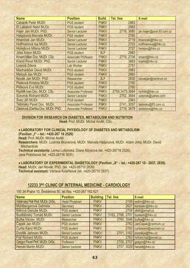| <b>Name</b>                        | <b>Position</b>            | Build.      | <b>Tel. line</b> | E-mail                     |
|------------------------------------|----------------------------|-------------|------------------|----------------------------|
| Cabánik Peter MUDr.                | <b>PGS</b> student         | <b>FNKV</b> | 2983             |                            |
| El Lababidi Nabil MUDr.            | <b>PGS</b> student         | <b>FNKV</b> | 2983             |                            |
| Hajer Jan MUDr. PhD.               | <b>Senior Lecturer</b>     | <b>FNKV</b> | 2719, 3680       | jan.hajer@post.lf3.cuni.cz |
| Hašpicová Marcela MUDr.            | <b>PGS student</b>         | <b>FNKV</b> | 2760             |                            |
| Hnaníček Jan MUDr.                 | <b>Senior Lecturer</b>     | <b>FNKV</b> | 2719             | hnanicek@fnkv.cz           |
| Hoffmanová Iva MUDr.               | <b>Senior Lecturer</b>     | <b>FNKV</b> | 2703             | hoffmanova@fnkv.cz         |
| Hořejšová Milena MUDr.             | <b>Senior Lecturer</b>     | <b>FNKV</b> | 2727             | horejso@fnkv.cz            |
| Jirka Adam MUDr.                   | <b>PGS</b> student         | 3LF         | 2983             |                            |
| <b>Kment Milan Doc. MUDr. CSc.</b> | <b>Associate Professor</b> | <b>FNKV</b> | 2719, 2706       | kment@fnkv.cz              |
| Kraml Pavel MUDr. PhD.             | <b>Senior Lecturer</b>     | <b>FNKV</b> | 3683             | kraml@fnkv.cz              |
| Losová Zdena                       | Lab Worker                 | <b>FNKV</b> | 2751             |                            |
| Macharáček David MUDr.             | <b>PGS student</b>         | <b>FNKV</b> | 2983             |                            |
| Matouš Jan MUDr.                   | <b>PGS</b> student         | <b>FNKV</b> | 2983             |                            |
| Novák Jan MUDr. PhD.               | Researcher                 | 3LF         | 2830             | novakjan@centrum.cz        |
| Pletková Kristina MUDr.            | <b>PGS</b> student         | <b>FNKV</b> | 2760             |                            |
| Plíšková Eva MUDr.                 | <b>PGS</b> student         | <b>FNKV</b> | 2760             |                            |
| Rychlik Ivan Doc. MUDr. CSc.       | <b>Associate Professor</b> | <b>FNKV</b> | 2759,3479,3684   | rychlik@fnkv.cz            |
| Sotorník Richard MUDr.             | <b>Senior Lecturer</b>     | <b>FNKV</b> | 2752, 3684       | sotornik@yahoo.com         |
| Švec Jiří MUDr.                    | <b>PGS</b> student         | <b>FNKV</b> | 2983             |                            |
| Těšínský Pavel Doc. MUDr.          | <b>Associate Professor</b> | <b>FNKV</b> | 2741, 3057       | tesinsky@lf3.cuni.cz       |
| Zádorová Zdeňka Doc. MUDr. PhD.    | <b>Associate Professor</b> | <b>FNKV</b> | 2719, 3679       | zadorova@fnkv.cz           |

### **DIVISION FOR RESEARCH ON DIABETES, METABOLISM AND NUTRITION**

**Head**: Prof. MUDr. Michal Anděl, CSc.

### • **LABORATORY FOR CLINICAL PHYSIOLOGY OF DIABETES AND METABOLISM**

**(Pavilion "I" – tel.: +420-267 16 2526)** 

**Head:** Prof. MUDr. Michal Anděl

**Researchers:** MUDr. Ludmila Brunerová, MUDr. Marcela Hašpicová, MUDr. Adam Jirka, MUDr. David Macharáček

**Technical assistants:** Lenka Lošonská, Diana Mžyková (tel. +420-26716 2526), Jana Potočková (tel. +420-26716 3031)

• LABORATORY OF EXPERIMENTAL DIABETOLOGY (Pavilion "X" - tel.: +420-267 10 - 2837, 2839)

**Head:** MUDr. Jan Novák, PhD. (tel. +420-26710 2839)

**Technical assistant:** Václava Kolaříková (tel. +420-26710 2837)

### **12233 3RD CLINIC OF INTERNAL MEDICINE - CARDIOLOGY**

100 34 Praha 10, Šrobárova 50, tel./fax: +420-267 162 621

| <b>Name</b>                     | <b>Position</b>        | <b>Building   Tel. line</b> |                  | E-mail                      |
|---------------------------------|------------------------|-----------------------------|------------------|-----------------------------|
| Widimský Petr Prof. MUDr. DrSc. | <b>Head Physician</b>  | <b>FNKV</b>                 |                  | 3159 widim@fnkv.cz          |
| Mühlbergerová Gabriela          | Secretary              | <b>FNKV</b>                 | 2621             | kardsekr@fnkv.cz            |
| Bílková Danuše MUDr.            | <b>PGS</b> student     | <b>FNKV</b>                 | 2704             | dbilk@email.cz              |
| Buděšínský Tomáš MUDr.          | <b>Senior Lecturer</b> | <b>FNKV</b>                 | 3162, 2766, 2701 | budesin@fnkv.cz             |
| Bufka Václav. MUDr.             | Researcher             | <b>FNKV</b>                 |                  | 3760, 3546 bufka@fnkv.cz    |
| Čapek Jan MUDr.                 | <b>PGS</b> student     | <b>FNKV</b>                 | 2763             | JanCapek@centrum.cz         |
| Čurila Karol MUDr.              | <b>PGS</b> student     | <b>FNKV</b>                 |                  | 2763 curilakarol@seznam.cz  |
| Dvořák Jaroslav MUDr.           | <b>Senior Lecturer</b> | <b>FNKV</b>                 |                  | 2701, 3162 dvorakja@fnkv.cz |
| Fojt Richard MUDr.              | <b>PGS</b> student     | <b>FNKV</b>                 |                  | 2763 richard.fojt@email.cz  |
| Gregor Pavel Prof. MUDr. DrSc.  | Professor              | <b>FNKV</b>                 | 2700, 2707       | gregor@fnkv.cz              |
| <b>Herold Martin MUDr.</b>      | <b>Senior Lecturer</b> | <b>FNKV</b>                 |                  | 2757, 3029 herold@fnkv.cz   |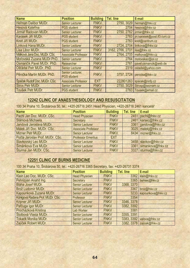| <b>Name</b>                   | <b>Position</b>                        | <b>Building</b> | <b>Tel. line</b> | E-mail                        |
|-------------------------------|----------------------------------------|-----------------|------------------|-------------------------------|
| Heřman Dalibor MUDr.          | <b>Senior Lecturer</b>                 | <b>FNKV</b>     |                  | 2750, 3029 herman@fnkv.cz     |
| Hesová Kateřina               | <b>PGS</b> student                     | <b>FNKV</b>     | 2704             | hesova@fnkv.cz                |
| Jirmář Radovan MUDr.          | <b>Senior Lecturer</b>                 | <b>FNKV</b>     | 2750, 2762       | jirmar@fnkv.cz                |
| Karásek Jiří MUDr.            | <b>PGS</b> student                     | <b>FNKV</b>     | 2763             | jiri.karasek@post.lf3.cuni.cz |
| Knot Jiří MUDr.               | <b>PGS</b> student                     | <b>FNKV</b>     | 2763             | knot@centrum.cz               |
| Línková Hana MUDr.            | <b>Senior Lecturer</b>                 | <b>FNKV</b>     | 2724, 2704       | linkova@fnkv.cz               |
| Lisa Libor MUDr.              | <b>Senior Lecturer</b>                 | <b>FNKV</b>     | 3162, 2766, 2701 | lisa@fnkv.cz                  |
| Málková Jana Doc. MUDr. CSc.  | <b>Associate Professor</b>             | <b>FNKV</b>     | 2764, 2705       | malkova@fnkv.cz               |
| Moťovská Zuzana MUDr.PhD.     | <b>Senior Lecturer</b>                 | <b>FNKV</b>     | 2764             | motovskaz@iol.cz              |
| Osmančík Pavel MUDr. PhD.     | Researcher                             | <b>FNKV</b>     | 2761             | pavel.osmancik@web.de         |
| Ošťádal Petr MUDr. PhD.       | <b>Senior Lecturer</b>                 | <b>FNKV</b>     | 2319             | ostadal@yahoo.com             |
| Pěnička Martin MUDr. PhD.     | Senior Lecturer,<br><b>PGS</b> student | <b>FNKV</b>     |                  | 3757, 2724 penicka@fnkv.cz    |
| Špaček Rudolf Doc. MUDr. CSc. | <b>Associate Professor</b>             | <b>EXT</b>      | 222801263        | spacek@nnfp.cz                |
| Štros Petr MUDr.              | <b>Senior Lecturer</b>                 | <b>FNKV</b>     | 2750, 3029       | Strosp@seznam.cz              |
| Toušek Petr MUDr.             | <b>PGS</b> student                     | <b>FNKV</b>     |                  | 2763 Tousek@email.cz          |

# **12242 CLINIC OF ANAESTHESIOLOGY AND RESUSCITATION**

100 34 Praha 10, Šrobárova 50, tel.: +420-26716 2451 Head Physician, +420-26716 2461 kancelář

| <b>Name</b>                     | <b>Position</b>            | <b>Building</b> | Tel. line | E-mail                 |
|---------------------------------|----------------------------|-----------------|-----------|------------------------|
| Pachl Jan Doc. MUDr. CSc.       | <b>Head Physician</b>      | <b>FNKV</b>     |           | 2451 pachl@fnkv.cz     |
| Slámová Michaela                | Secretary                  | <b>FNKV</b>     |           | 2461 karsec@fnkv.cz    |
| Jandová Jaroslava MUDr.         | <b>Senior Lecturer</b>     | <b>FNKV</b>     |           | 3361 jiandova@fnkv.cz  |
| Málek Jiří Doc. MUDr. CSc.      | <b>Associate Professor</b> | <b>FNKV</b>     |           | 3025 malekj@fnkv.cz    |
| Mizner Petr MUDr.               | <b>Senior Lecturer</b>     | <b>FNKV</b>     |           | 8434 mizner@fnkv.cz    |
| Počta Jaroslav Prof. MUDr. CSc. | <b>Professor Emeritus</b>  | <b>EXT</b>      |           |                        |
| Slavkovský Leo MUDr.            | <b>Senior Lecturer</b>     | <b>FNKV</b>     |           | 3458 slavkov@fnkv.cz   |
| Šimánková Eva MUDr.             | <b>Senior Lecturer</b>     | <b>FNKV</b>     |           | 3361 simankova@fnkv.cz |
| Šturma Jan MUDr. CSc.           | <b>Senior Lecturer</b>     | <b>FNKV</b>     |           | 3327 sturma@fnkv.cz    |

# **12251 CLINIC OF BURNS MEDICINE**

100 34 Praha 10, Šrobárova 50, tel.: +420-26716 3365 Secretary, fax: +420-26731 3374

| <b>Name</b>                      | <b>Position</b>        | <b>Building</b> | Tel. line  | E-mail                     |
|----------------------------------|------------------------|-----------------|------------|----------------------------|
| Klein Leo Doc. MUDr. CSc.        | <b>Head Physician</b>  | <b>FNKV</b>     | 3362       | klein@fnkv.cz              |
| Pehrizyan Anahit Ing.            | Secretary              | <b>FNKV</b>     | 3365       | bumsec@fnkv.cz             |
| Bláha Josef MUDr.                | <b>Senior Lecturer</b> | <b>FNKV</b>     | 3368, 3370 |                            |
| Brož Ludomír MUDr.               | <b>Senior Lecturer</b> | <b>FNKV</b>     | 3367       | broz@fnkv.cz               |
| Kapounková Zuzana MUDr.          | <b>Senior Lecturer</b> | <b>FNKV</b>     |            | 3233 kapounkova@fnkv.cz    |
| Königová Radana Prof. MUDr. CSc. | Professor              | <b>FNKV</b>     | 3354       |                            |
| Kripner Jiří MUDr.               | <b>Senior Lecturer</b> | <b>FNKV</b>     | 3346, 3378 |                            |
| Pafčuga Igor MUDr.               | <b>Senior Lecturer</b> | <b>FNKV</b>     | 3382, 3392 |                            |
| Procházková Kristina             | <b>Lab Worker</b>      | <b>FNKV</b>     | 3381       |                            |
| Štolbová Vlasta MUDr.            | <b>Senior Lecturer</b> | <b>FNKV</b>     | 3355, 3391 |                            |
| <b>Tokarik Monika MUDr.</b>      | <b>Senior Lecturer</b> | <b>FNKV</b>     |            | 3383, 3392 valova@fnkv.cz  |
| Zajíček Robert MUDr.             | <b>Senior Lecturer</b> | <b>FNKV</b>     |            | 3382, 3378 zajicek@fnkv.cz |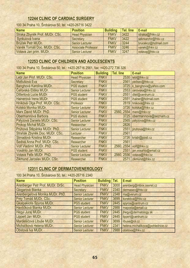# **12244 CLINIC OF CARDIAC SURGERY**

| <b>Name</b>                    | <b>Position</b>            | <b>Building</b> | Tel. line | E-mail               |
|--------------------------------|----------------------------|-----------------|-----------|----------------------|
| Straka Zbyněk Prof. MUDr. CSc. | <b>Head Physician</b>      | <b>FNKV</b>     | 3422      | straka@fnkv.cz       |
| Synkulová Ivana                | Secretary                  | <b>FNKV</b>     | 3422      | sekrkarchir@fnkv.cz  |
| Brůček Petr MUDr.              | <b>Senior Lecturer</b>     | <b>FNKV</b>     | 3244      | brucekcz@hotmail.com |
| Vaněk Tomáš Doc. MUDr. CSc.    | <b>Associate Professor</b> | <b>FNKV</b>     | 3246      | vanek@fnkv.cz        |
| Votava Jan prim. MUDr.         | <b>Senior Lecturer</b>     | <b>FNKV</b>     | 3247      | votavaj@fnkv.cz      |

# **12253 CLINIC OF CHILDREN AND ADOLESCENTS**

100 34 Praha 10, Šrobárova 50, tel.: +420-26716 2561, fax: +420-272 736 326

| <b>Name</b>                    | <b>Position</b>        | <b>Building</b> | <b>Tel. line</b> | E-mail                |
|--------------------------------|------------------------|-----------------|------------------|-----------------------|
| Lebl Jan Prof. MUDr. CSc.      | <b>Head Physician</b>  | <b>FNKV</b>     | 2530             | lebl@fnkv.cz          |
| Mattušová Eva                  | Secretary              | <b>FNKV</b>     | 2561             | pedsec@fnkv.cz        |
| Banghová Karolina MUDr.        | <b>PGS student</b>     | <b>FNKV</b>     | 3725             | k_banghova@yahoo.com  |
| Čeřovská Eliška MUDr.          | <b>Senior Lecturer</b> | <b>FNKV</b>     | 2553             | cerovska@fnkv.cz      |
| Dittertová Lucie MUDr.         | <b>PGS student</b>     | <b>FNKV</b>     | 2551             | ditel@centrum.cz      |
| Hainerová Irena MUDr.          | <b>PGS</b> student     | <b>FNKV</b>     | 2551             | ihainer@hotmail.com   |
| Hníková Olga Prof. MUDr. CSc.  | Professor              | <b>FNKV</b>     | 2819             | hnikova@fnkv.cz       |
| Kolská Monika MUDr.            | <b>Senior Lecturer</b> | <b>FNKV</b>     | 3726             | kolska@fnkv.cz        |
| Marx David MUDr. PhD.          | <b>Senior Lecturer</b> | <b>FNKV</b>     | 2560, 2554       | marx@fnkv.cz          |
| Obermannová Barbora            | <b>PGS</b> student     | <b>FNKV</b>     | 3725             | obermannova@seznam.cz |
| Palyzová Daniela MUDr. CSc.    | <b>Senior Lecturer</b> | <b>FNKV</b>     | 2565             | palyzova@fnkv.cz      |
| Prokop Michal MUDr.            | Researcher             | <b>FNKV</b>     | 2826             |                       |
| Průhová Štěpánka MUDr. PhD.    | <b>Senior Lecturer</b> | <b>FNKV</b>     | 2551             | pruhova@fnkv.cz       |
| Straňák Zbyněk Doc. MUDr. CSc. | Lecturer               | <b>FNKV</b>     | 2561             |                       |
| Strnadová Kristina MUDr.       | Researcher             | <b>FNKV</b>     | 3726             | kristr@post.cz        |
| Sedivá Anna Prof. MUDr. CSc.   | Researcher             | <b>FNKV</b>     | 2561             |                       |
| Volf Vladimír MUDr. PhD.       | <b>Senior Lecturer</b> | <b>FNKV</b>     | 2560, 2554       | volf@fnkv.cz          |
| Vosáhlo Jan MUDr.              | <b>PGS</b> student     | <b>FNKV</b>     | 2551             | jan.vosahlo@email.cz  |
| Votava Felix MUDr. PhD.        | <b>Senior Lecturer</b> | <b>FNKV</b>     | 2560, 2556       | votava@fnkv.cz        |
| Zikmund Jaroslav MUDr. CSc.    | Researcher             | <b>FNKV</b>     | 2571             | zikmund@fnkv.cz       |

# **12311 CLINIC OF DERMATOVENEROLOGY**

100 34 Praha 10, Šrobárova 50, tel.: +420-26716 2340

| <b>Name</b>                       | <b>Position</b>        | <b>Building   Tel.</b> |      | E-mail                           |
|-----------------------------------|------------------------|------------------------|------|----------------------------------|
| Arenberger Petr Prof. MUDr. DrSc. | <b>Head Physician</b>  | <b>FNKV</b>            | 3000 | arenberg@mbox.cesnet.cz          |
| Glogarová Blanka                  | Secretary              | <b>FNKV</b>            | 2340 | dermasec@fnkv.cz                 |
| Arenbergerová Monika MUDr. PhD.   | <b>Senior Lecturer</b> | <b>FNKV</b>            | 2348 | ma@verum.cz                      |
| Frey Tomáš MUDr. CSc.             | <b>Senior Lecturer</b> | <b>FNKV</b>            | 3699 | korektiva@fnkv.cz                |
| <b>Gkalpakiotis Spyros MUDr.</b>  | <b>PGS</b> student     | <b>FNKV</b>            | 2445 | spyros@centrum.cz                |
| Havlíčková Blanka MUDr.           | <b>Senior Lecturer</b> | <b>FNKV</b>            | 2988 | maposta@email.cz                 |
| Hegyi Juraj MUDr.                 | <b>PGS</b> student     | <b>FNKV</b>            | 2445 | jhegyi@dermatology.sk            |
| Lippert Jan MUDr.                 | <b>PGS</b> student     | <b>FNKV</b>            | 2445 | lippert@centrum.cz               |
| Mardešičová Libuše MUDr.          | <b>Senior Lecturer</b> | <b>FNKV</b>            | 3699 | libuse@iol.cz                    |
| Michalíková Helena MUDr.          | <b>Senior Lecturer</b> | <b>FNKV</b>            | 2341 | helena.michalikova@pohlednice.cz |
| Obstová Iva MUDr.                 | <b>Senior Lecturer</b> | <b>FNKV</b>            | 2988 | obstova@fnkv.cz                  |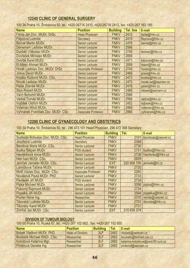# **12240 CLINIC OF GENERAL SURGERY**

100 34 Praha 10, Šrobárova 50, tel.: +420-26716 2410, +420-26716 2412, fax: +420-267 163 185

| <b>Name</b>                        | <b>Position</b>            | <b>Building</b> | <b>Tel. line</b> | E-mail              |
|------------------------------------|----------------------------|-----------------|------------------|---------------------|
| Fanta Jan Doc. MUDr. DrSc.         | <b>Head Physician</b>      | <b>FNKV</b>     | 2412             | fanta@fnkv.cz       |
| Filipcová Ludmila                  | Secretary                  | <b>FNKV</b>     | 2419             | filipcova@fnkv.cz   |
| <b>Bernat Martin MUDr.</b>         | <b>Senior Lecturer</b>     | <b>FNKV</b>     | 2476             | bernat@fnkv.cz      |
| Denemark Ladislav MUDr.            | <b>Senior Lecturer</b>     | <b>FNKV</b>     | 2566             |                     |
| Ducháč Vítězslav MUDr.             | <b>Senior Lecturer</b>     | <b>FNKV</b>     | 2745             | duchac@fnkv.cz      |
| Dvořáček Miroslav MUDr.            | <b>Senior Lecturer</b>     | <b>FNKV</b>     | 2858             |                     |
| Dvořák Karel MUDr.                 | <b>Senior Lecturer</b>     | <b>FNKV</b>     | 2471             | kdvorak@fnkv.cz     |
| <b>El-Masri Ahmad MUDr.</b>        | <b>Senior Lecturer</b>     | <b>FNKV</b>     | 2858             | masri@fnkv.cz       |
| Horák Ladislav Doc. MUDr. DrSc.    | <b>Associate Professor</b> | <b>FNKV</b>     | 2745             | horakl@fnkv.cz      |
| Jiraya David MUDr.                 | <b>Senior Lecturer</b>     | <b>FNKV</b>     | 2466             | jirava@fnkv.cz      |
| Kostka Rodomil MUDr. CSc.          | <b>Senior Lecturer</b>     | <b>FNKV</b>     | 2472             | kostka@fnkv.cz      |
| Novák Ladislav MUDr.               | <b>Senior Lecturer</b>     | <b>FNKV</b>     | 2470             | novak.lad@seznam.cz |
| Pelák Zdeněk MUDr.                 | <b>Senior Lecturer</b>     | <b>FNKV</b>     | 2476             | pelak@fnkv.cz       |
| <b>Ston Robert MUDr.</b>           | <b>Senior Lecturer</b>     | <b>FNKV</b>     | 2466             | robeek@seznam.cz    |
| Vach Bohumil MUDr.                 | <b>Senior Lecturer</b>     | <b>FNKV</b>     | 2566             |                     |
| Vedral Tomáš MUDr.                 | <b>Senior Lecturer</b>     | <b>FNKV</b>     | 2566             | vedral@fnkv.cz      |
| Vojtíšek Oldřich MUDr.             | <b>Senior Lecturer</b>     | <b>FNKV</b>     | 2452             | vojtisek@fnkv.cz    |
| Voleman Miloš MUDr.                | <b>Senior Lecturer</b>     | <b>FNKV</b>     | 2468             | voleman@fnkv.cz     |
| Vyhnánek František Doc. MUDr. CSc. | <b>Associate Professor</b> | <b>FNKV</b>     | 2966             | vyhnanek@fnkv.cz    |

# **12290 CLINIC OF GYNAECOLOGY AND OBSTETRICS**

100 34 Praha 10, Šrobárova 50, tel.: 296 473 101 Head Physician, 296 472 368 Secretary

| <b>Name</b>                      | <b>Position</b>            | <b>Building</b> | Tel.        | E-mail             |
|----------------------------------|----------------------------|-----------------|-------------|--------------------|
| Svoboda Bohuslav Doc. MUDr. CSc. | <b>Head Physician</b>      | <b>FNKV</b>     | 3101        | bsvoboda@cesnet.cz |
| Jirochová Ludmila                | <b>Secretary</b>           | <b>FNKV</b>     | 2368        |                    |
| Bendová Marie MUDr. CSc.         | <b>Senior Lecturer</b>     | <b>FNKV</b>     | 2730        |                    |
| Budka Štěpán MUDr.               | <b>PGS</b> student         | <b>FNKV</b>     | 2731        | budka@fnkv.cz      |
| Havránková Anna MUDr.            | <b>Senior Lecturer</b>     | <b>FNKV</b>     | 2736        | havranko@fnkv.cz   |
| Hes Ivan MUDr. CSc.              | <b>Senior Lecturer</b>     | <b>FNKV</b>     | 2829        |                    |
| Jeníček Jaroslav MUDr. CSc.      | <b>Senior Lecturer</b>     | <b>EXT</b>      | 220 808 706 | jenicek@ld.cz      |
| Lomíčková Taťána MUDr.           | <b>Senior Lecturer</b>     | <b>FNKV</b>     | 2730        |                    |
| Mottl Václav Doc. MUDr. CSc.     | <b>Associate Professor</b> | <b>FNKV</b>     | 2260        |                    |
| Nováková Pavla MUDr. PhD.        | <b>Senior Lecturer</b>     | <b>FNKV</b>     | 2733        |                    |
| Pavlásek Jiří MUDr.              | <b>PGS</b> student         | <b>FNKV</b>     | 2734        |                    |
| Pipka Michael MUDr.              | <b>Senior Lecturer</b>     | <b>FNKV</b>     | 3056        | pipka@fnkv.cz      |
| Pokorný Rajmund MUDr.            | <b>Senior Lecturer</b>     | <b>FNKV</b>     | 2734        |                    |
| Popelka Jiří MUDr.               | <b>Senior Lecturer</b>     | <b>FNKV</b>     | 3594        | popelka@fnkv.cz    |
| Pruner René Ing.                 | Researcher                 | <b>FNKV</b>     | 2310        | renda@cesnet.cz    |
| Tikovská Ludmila MUDr.           | <b>Senior Lecturer</b>     | <b>FNKV</b>     | 2753        | tikovska@fnkv.cz   |
| Tikovský Karel MUDr.             | <b>Senior Lecturer</b>     | <b>FNKV</b>     | 2731        |                    |
| Zmrhal Jan MUDr. CSc.            | <b>Senior Lecturer</b>     | <b>EXT</b>      | 315 639 374 |                    |

#### **DIVISION OF TUMOUR BIOLOGY**

100 00 Praha 10, Ruská 87, tel.: +420-267 102 662 , fax: +420-267 102 650

| <b>Name</b>                 | <b>Position</b>         | <b>Building</b> | Tel. | E-mail                              |
|-----------------------------|-------------------------|-----------------|------|-------------------------------------|
| Bobek Vladimír MUDr. PhD.   | <b>Head of Division</b> | 3LF             | 2662 | vbobek@centrum.cz                   |
| Boubelik Michael RNDr. CSc. | Researcher              | 3LF             | 2662 | boubelik@biomed.cas.cz              |
| Kološtová Katarína Mgr.     | Researcher              | 3LF             | 2662 | katarina.kolostova@post.lf3.cuni.cz |
| Pintěrová Daniela Ing.      | Researcher              | 3LF             | 2662 | pinterod@seznam.cz                  |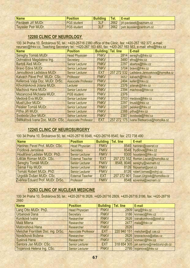| <b>Name</b>                | <b>Position</b>    | <b>Building</b> | Tel <sub>-</sub> | E-mail                        |
|----------------------------|--------------------|-----------------|------------------|-------------------------------|
| Pavlásek Jiří MUDr.        | <b>PGS</b> student |                 |                  | 12662 jiri-pavlasek@seznam.cz |
| <b>Teyssler Petr MUDr.</b> | <b>PGS</b> student | 3LF             | 2662             | petr.teyssler@centrum.cz      |

# **12280 CLINIC OF NEUROLOGY**

100 34 Praha 10, Šrobárova 50, tel.: +420-26716 2380 office of the Clinic, fax: +420-267 162 377, e-mail: neursec@fnkv.cz, Teaching Secretary tel.: +420-267 163 480, fax: +420-267 163 563, e-mail: efns@fnkv.cz

| <b>Name</b>                      | <b>Position</b>            | <b>Building Tel. line</b> |             | E-mail                          |
|----------------------------------|----------------------------|---------------------------|-------------|---------------------------------|
| Sereghy Tomáš MUDr.              | <b>Head Physician</b>      | <b>FNKV</b>               | 2814        | sereghy@fnkv.cz                 |
| Dohnalová Magdalena Ing.         | Secretary                  | <b>FNKV</b>               | 3480        | efns@fnkv.cz                    |
| Bartoš Aleš MUDr.                | <b>Senior Lecturer</b>     | <b>FNKV</b>               | 2297        | abartos@fnkv.cz                 |
| Bravo Edina MUDr.                | <b>Senior Lecturer</b>     | <b>FNKV</b>               | 3704        | bravo@fnkv.cz                   |
| Janoušková Ladislava MUDr.       | Senior Lecturer            | <b>EXT</b>                | 257 272 532 | Ladislava.Janouskova@homolka.cz |
| Kalvach Pavel Prof. MUDr. CSc.   | Professor                  | <b>FNKV</b>               | 3657        | kalvach@fnkv.cz                 |
| Kellerová Valja Doc. MUDr. DrSc. | <b>Associate Professor</b> | <b>FNKV</b>               | 2494        | keller@fnkv.cz                  |
| Křivohlávková Jolana MUDr.       | Lecturer                   | <b>FNKV</b>               | 2376        | jolanak@fnkv.cz                 |
| Machová Hana MUDr.               | <b>Senior Lecturer</b>     | <b>FNKV</b>               | 2394        | machova@fnkv.cz                 |
| Mazancová Michaela MUDr.         | <b>PGS</b> student         | <b>FNKV</b>               | 2376        |                                 |
| Medová Eva MUDr.                 | <b>Senior Lecturer</b>     | <b>FNKV</b>               | 3703        | medova@fnkv.cz                  |
| Musil Libor MUDr.                | <b>Senior Lecturer</b>     | <b>FNKV</b>               | 2297        | Imusil@fnkv.cz                  |
| Peisker Tomáš MUDr.              | <b>Senior Lecturer</b>     | <b>FNKV</b>               | 2297        | peisker@fnkv.cz                 |
| Piťha Jiří MUDr.                 | <b>Senior Lecturer</b>     | <b>FNKV</b>               | 2388        | pitha@fnkv.cz                   |
| Svoboda Libor MUDr.              | <b>Senior Lecturer</b>     | <b>FNKV</b>               | 2387        | Isvoboda@fnkv.cz                |
| Štětkářová Ivana Doc. MUDr. CSc. | <b>Associate Professor</b> | <b>EXT</b>                | 257 272 175 | Ivana.Stetkarova@homolka.cz     |

# **12245 CLINIC OF NEUROSURGERY**

100 34 Praha 10, Šrobárova 50, tel. +420-26716 8548, +420-26716 8540, fax: 272 738 490

| <b>Name</b>                      | <b>Position</b>         | <b>Building   Tel. line</b> | E-mail                               |
|----------------------------------|-------------------------|-----------------------------|--------------------------------------|
| Haninec Pavel Prof. MUDr. CSc.   | <b>Head Physician</b>   | <b>FNKV</b>                 | 8540 haninec@cesnet.cz               |
| Frýdlová Jaroslava               | Secretary               | <b>FNKV</b>                 | 8548 frydlova@fnkv.cz                |
| Houšťava Ladislav MUDr. PhD.     | <b>Senior Lecturer</b>  | <b>FNKV</b>                 | 8300 houstava@fnkv.cz                |
| Liščák Roman MUDr. CSc.          | <b>External Teacher</b> | <b>EXT</b>                  | 257 272 552 Roman.Liscak@homolka.cz  |
| Sereghy Tomáš MUDr.              | <b>Senior Lecturer</b>  | <b>FNKV</b>                 | 8548, 8046 sereghy@seznam.cz         |
| <b>Šámal Filip MUDr.</b>         | <b>Senior Lecturer</b>  | <b>FNKV</b>                 | 8126 filipsamal@post.cz              |
| Tomáš Robert MUDr. PhD.          | <b>Senior Lecturer</b>  | <b>FNKV</b>                 | 8126 robert.tomas@volný.cz           |
| Urgošík Dušan MUDr. CSc.         | <b>External Teacher</b> | <b>EXT</b>                  | 257 272 901 Dusan.Urgosik@homolka.cz |
| Zvěřina Eduard Prof. MUDr. DrSc. | Professor               | <b>FNKV</b>                 | 8548 ezverina@seznam.cz              |

## **12263 CLINIC OF NUCLEAR MEDICINE**

100 34 Praha 10, Šrobárova 50, tel.: +420-26716 2626, +420-26716 2809, +420-26716 3186, fax: +420-26716 2660

| <b>Name</b>                        | <b>Position</b>            | <b>Building</b> | <b>Tel. line</b> | E-mail                                   |
|------------------------------------|----------------------------|-----------------|------------------|------------------------------------------|
| Lang Otto MUDr. PhD.               | <b>Head Physician</b>      | <b>FNKV</b>     |                  | 2809 lang@fnkv.cz                        |
| Urbanová Dana                      | Secretary                  | <b>FNKV</b>     |                  | 3186 knmsec@fnkv.cz                      |
| Kuníková Ivana                     | Researcher                 | <b>FNKV</b>     |                  | 2626 ivanakunikova@post.cz               |
| Malá Milena                        | Researcher                 | <b>FNKV</b>     |                  | 2477 mala@fnkv.cz                        |
| Matonohová Hana                    | Researcher                 | <b>FNKV</b>     | 2626             |                                          |
| Melichar František Doc. ing. DrSc. | <b>Associate Professor</b> | <b>EXT</b>      |                  | 220 940 151 melichar@ujf.cas.cz          |
| Nováčková Božena                   | Researcher                 | <b>FNKV</b>     |                  | 2626 bnovackova@atlas.cz                 |
| Syslová Hana                       | Researcher                 | <b>FNKV</b>     |                  | 2522 knmsec@fnkv.cz                      |
| Šantora Jan MUDr. CSc.             | <b>Senior Lecturer</b>     | <b>EXT</b>      |                  | 318 654 305   jan.santora@medizunz-pb.cz |
| Trojanová Helena Ing. CSc.         | <b>Senior Lecturer</b>     | <b>FNKV</b>     |                  | 2795 trojanova@fnkv.cz                   |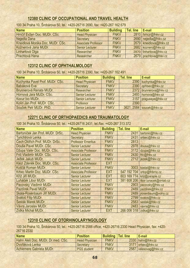# **12380 CLINIC OF OCCUPATIONAL AND TRAVEL HEALTH**

100 34 Praha 10, Šrobárova 50, tel.: +420-26716 2690, fax: +420-267 162 679

| <b>Name</b>                      | <b>Position</b>            | <b>Building</b> | Tel. line | E-mail                  |
|----------------------------------|----------------------------|-----------------|-----------|-------------------------|
| Hrnčíř Evžen Doc. MUDr. CSc.     | <b>Head Physician</b>      | <b>FNKV</b>     |           | 2810 hrncir@fnkv.cz     |
| Nejedlá Dana                     | Secretary                  | <b>FNKV</b>     |           | 2690 nejedla@fnkv.cz    |
| Kneidlová Monika Doc. MUDr. CSc. | <b>Associate Professor</b> | <b>FNKV</b>     |           | 2679 kneidlova@fnkv.cz  |
| Kožnerová Jana MUDr.             | Senior Lecturer            | <b>FNKV</b>     |           | 2682 koznero@fnkv.cz    |
| Linhartová Olga                  | Researcher                 | <b>FNKV</b>     |           | 2870 linhartova@fnkv.cz |
| Prachtová Hana                   | Researcher                 | <b>FNKV</b>     |           | 2679 prachtova@fnkv.cz  |

## **12312 CLINIC OF OPHTHALMOLOGY**

100 34 Praha 10, Šrobárova 50, tel.: +420-26716 2390, fax: +420-267 162 491

| <b>Name</b>                     | <b>Position</b>        | <b>Building</b> | Tel. line | E-mail                    |
|---------------------------------|------------------------|-----------------|-----------|---------------------------|
| Kuchynka Pavel Prof. MUDr. CSc. | <b>Head Physician</b>  | <b>FNKV</b>     |           | 2390 kuchynka@fnkv.cz     |
| <b>Babáková Eva</b>             | Secretary              | <b>FNKV</b>     |           | 2390 ophtsec@fnkv.cz      |
| Brunnerová Renata MUDr.         | Researcher             | <b>FNKV</b>     |           | 2372 brunnerova@fnkv.cz   |
| Hornová Jara MUDr. CSc.         | <b>Senior Lecturer</b> | <b>FNKV</b>     |           | 2493 hornova@fnkv.cz      |
| Kocur Ivo MUDr.                 | <b>Senior Lecturer</b> | <b>FNKV</b>     |           | 3157 pragueeye@fnkv.cz    |
| Kolín Jan Prof. MUDr. CSc.      | Professor              | <b>FNKV</b>     | 2390      |                           |
| Souček Petr MUDr. PhD.          | <b>Senior Lecturer</b> | <b>FNKV</b>     |           | 3621, 2584 soucek@fnkv.cz |

# **12271 CLINIC OF ORTHOPAEDICS AND TRAUMATOLOGY**

100 34 Praha 10, Šrobárova 50, tel.: +420-26716 2431, tel./fax: +420-267 313 372

| <b>Name</b>                      | <b>Position</b>            | <b>Building</b> | <b>Tel. line</b> | E-mail                    |
|----------------------------------|----------------------------|-----------------|------------------|---------------------------|
| Bartoníček Jan Prof. MUDr. DrSc. | <b>Head Physician</b>      | <b>FNKV</b>     | 2431             | bartonic@fnkv.cz          |
| <b>Tyrichtrová Lenka</b>         | Secretary                  | <b>FNKV</b>     | 2431             | ortsec@fnkv.cz            |
| Čech Oldřich Prof. MUDr. DrSc.   | <b>Professor Emeritus</b>  | <b>FNKV</b>     | 2813             |                           |
| Douša Pavel MUDr. CSc.           | <b>Senior Lecturer</b>     | <b>FNKV</b>     | 2978             | dousa@fnkv.cz             |
| Džupa Valér Doc. MUDr. CSc.      | <b>Associate Professor</b> | <b>FNKV</b>     | 3172             | dzupa@fnkv.cz             |
| Frič Vladimír MUDr. CSc.         | <b>Senior Lecturer</b>     | <b>FNKV</b>     |                  | 2430 fric@fnkv.cz         |
| Ježek Jakub MUDr.                | <b>Senior Lecturer</b>     | <b>FNKV</b>     | 2712             | jezek@fnkv.cz             |
| Klézl Zdeněk Doc. MUDr. CSc.     | <b>Associate Professor</b> | <b>EXT</b>      |                  |                           |
| Košťál Roman MUDr.               | <b>Senior Lecturer</b>     | <b>FNKV</b>     | 3003             | kostal@fnkv.cz            |
| Krbec Martin Doc. MUDr. CSc.     | <b>Associate Professor</b> | <b>EXT</b>      | 547 192 704      | ortop@fnbrno.cz           |
| Kříž Jiří MUDr.                  | <b>Senior Lecturer</b>     | <b>EXT</b>      | 603 169 774      | kriz@paraple.cz           |
| Luňáček Libor MUDr.              | <b>Senior Lecturer</b>     | <b>EXT</b>      | 381 608 206      | libor.lunacek@ontab.cz    |
| Pacovský Vladimír MUDr.          | <b>Senior Lecturer</b>     | <b>FNKV</b>     | 2903             | pacovsky@fnkv.cz          |
| Pazdírek Pavel MUDr.             | <b>Senior Lecturer</b>     | <b>FNKV</b>     | 2489             | pazdirek@fnkv.cz          |
| Skála-Rosenbaum Jiří MUDr.       | <b>Senior Lecturer</b>     | <b>FNKV</b>     | 2489             | jrosenbaum@volny.cz       |
| Svatoš Filip MUDr.               | <b>Senior Lecturer</b>     | <b>FNKV</b>     | 2799             | svatos@fnkv.cz            |
| Šesták Marek MUDr.               | <b>Senior Lecturer</b>     | <b>FNKV</b>     | 2583             | sestak@fnkv.cz            |
| Vávra Jaroslav MUDr.             | <b>Senior Lecturer</b>     | <b>FNKV</b>     | 2483             | vavra@fnkv.cz             |
| Zídka Michal MUDr.               | <b>Senior Lecturer</b>     | <b>EXT</b>      |                  | 266 006 318 zidka@fnkv.cz |

# **12310 CLINIC OF OTORHINOLARYNGOLOGY**

100 34 Praha 10, Šrobárova 50, tel.: +420-26716 2588 office, +420-26716 2330 Head Physician, fax: +420- 26716 2330

| <b>Name</b>                       | <b>Position</b>       | <b>Building   Tel. line</b> |      | E-mail              |
|-----------------------------------|-----------------------|-----------------------------|------|---------------------|
| Hahn Aleš Doc. MUDr. Dr.med. CSc. | <b>Head Physician</b> | <b>FNKV</b>                 |      | 2330 hahn@fnkv.cz   |
| Dvořáková Lenka                   | Secretary             | <b>FNKV</b>                 |      | 3171 orlsec@fnkv.cz |
| Achiemere Gabriela MUDr.          | <b>PGS</b> student    | <b>FNKV</b>                 | 2587 | valesovag@fnkv.cz   |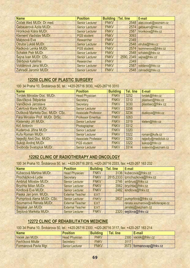| <b>Name</b>                    | <b>Position</b>        | <b>Building   Tel. line</b> |            | E-mail                    |
|--------------------------------|------------------------|-----------------------------|------------|---------------------------|
| Čoček Aleš MUDr. Dr.med.       | <b>Senior Lecturer</b> | <b>FNKV</b>                 |            | 2548 ales.cocek@seznam.cz |
| Gebauerová Azita MUDr.         | <b>Senior Lecturer</b> | <b>FNKV</b>                 |            | 2574 gebauero@fnkv.cz     |
| <b>Hronková Klára MUDr.</b>    | <b>Senior Lecturer</b> | <b>FNKV</b>                 |            | 2587 hronkova@fnkv.cz     |
| <b>Klement Vladislav MUDr.</b> | <b>PGS</b> student     | <b>FNKV</b>                 | 3093       |                           |
| Malysová Eva                   | Researcher             | <b>FNKV</b>                 | 2349       |                           |
| Otruba Lukáš MUDr.             | <b>Senior Lecturer</b> | <b>FNKV</b>                 |            | 2548 otruba@fnkv.cz       |
| Radková Lenka MUDr.            | <b>PGS</b> student     | <b>FNKV</b>                 |            | 2574   Isommerova@fnkv.cz |
| <b>Schalek Petr MUDr.</b>      | <b>Senior Lecturer</b> | <b>FNKV</b>                 | 2548       | schalek@fnkv.cz           |
| Šejna Ivan MUDr. CSc.          | <b>Senior Lecturer</b> | <b>FNKV</b>                 | 2590, 2349 | sejna@fnkv.cz             |
| Štěrbová Kateřina              | Researcher             | <b>FNKV</b>                 | 2349       |                           |
| Voldánová Jana MUDr.           | <b>Senior Lecturer</b> | <b>FNKV</b>                 | 2587       | voldano@fnkv.cz           |
| Zahradil Jaromír MUDr.         | <b>Senior Lecturer</b> | <b>FNKV</b>                 |            | 2548 zahradil@fnkv.cz     |

## **12250 CLINIC OF PLASTIC SURGERY**

100 34 Praha 10, Šrobárova 50, tel.: +420-26716 3030, +420-26716 3310

| <b>Name</b>                       | <b>Position</b>            | <b>Building</b> | Tel. line | E-mail              |
|-----------------------------------|----------------------------|-----------------|-----------|---------------------|
| <b>Tyrdek Miroslav Doc. MUDr.</b> | <b>Head Physician</b>      | <b>FNKV</b>     | 3252      | tvrdek@fnkv.cz      |
| Slavíčková Štěpánka               | Secretary                  | <b>FNKV</b>     | 3310      | plastsec@fnkv.cz    |
| Vaníčková Jaroslava               | Secretary                  | <b>FNKV</b>     | 3030      | plastsec@fnkv.cz    |
| Čakrtová Marie MUDr.              | <b>Senior Lecturer</b>     | <b>FNKV</b>     | 3256      |                     |
| Dušková Markéta Doc. MUDr. CSc.   | <b>Associate Professor</b> | <b>FNKV</b>     | 3234      | duskova@fnkv.cz     |
| Fára Miroslav Prof. MUDr. DrSc.   | <b>Professor Emeritus</b>  | <b>FNKV</b>     | 3263      |                     |
| Kletenský Jiří MUDr.              | <b>Senior Lecturer</b>     | <b>FNKV</b>     | 3319      | kleten@fnkv.cz      |
| Krč Antonín                       | Photographer               | <b>FNKV</b>     | 3312      |                     |
| Kuderová Jiřina MUDr.             | <b>Senior Lecturer</b>     | <b>FNKV</b>     | 3320      |                     |
| Kufa Roman MUDr.                  | <b>Senior Lecturer</b>     | <b>FNKV</b>     | 3322      | roman@kufa.cz       |
| Nejedlý Aleš Doc. MUDr.           | <b>Associate Professor</b> | <b>FNKV</b>     | 3250      | nejedly@mediclub.cz |
| Sukop Andrej MUDr.                | <b>PGS student</b>         | <b>FNKV</b>     | 3322      | sukop@fnkv.cz       |
| Svoboda Svatopluk MUDr.           | <b>Senior Lecturer</b>     | <b>FNKV</b>     | 3314      | svasvob@seznam.cz   |

# **12262 CLINIC OF RADIOTHERAPY AND ONCOLOGY**

100 34 Praha 10, Šrobárova 50, tel.: +420-26716 2815, +420-26716 2333, fax: +420-267 163 232

| <b>Name</b>                | <b>Position</b>         | <b>Building</b> | Tel. line | E-mail                           |
|----------------------------|-------------------------|-----------------|-----------|----------------------------------|
| Kubecová Martina MUDr.     | <b>Head Physician</b>   | <b>FNKV</b>     |           | 3136 kubecova@fnkv.cz            |
| Procházková Lydie          | Secretary               | <b>FNKV</b>     |           | 2815,2333   Iprochazkova@fnkv.cz |
| Ambruš Miloslav MUDr.      | <b>Senior Lecturer</b>  | <b>FNKV</b>     |           | 2746 ambrus@fnkv.cz              |
| Brychta Milan MUDr.        | <b>Senior Lecturer</b>  | <b>FNKV</b>     |           | 3562 brychta@fnkv.cz             |
| Kindlová Eva MUDr.         | <b>Senior Lecturer</b>  | <b>FNKV</b>     |           | 2482 kindlova@fnkv.cz            |
| Paska Jan prim. MUDr.      | <b>External Teacher</b> | <b>EXT</b>      |           |                                  |
| Pumprlová Alena MUDr. CSc. | <b>Senior Lecturer</b>  | <b>FNKV</b>     |           | 2837 pumprlova@fnkv.cz           |
| Soumarová Renata MUDr.     | <b>External Teacher</b> | <b>EXT</b>      |           | renata.soumarova@radioterapie.cz |
| Stejskal Jan MUDr.         | <b>External Teacher</b> | <b>EXT</b>      |           | janstej@seznam.cz                |
| Šejdová Markéta MUDr.      | <b>Senior Lecturer</b>  | <b>FNKV</b>     |           | 2320 sejdova@fnkv.cz             |

# **12272 CLINIC OF REHABILITATION MEDICINE**

100 34 Praha 10, Šrobárova 50, tel.: +420-26716 2300, +420-26716 3117, fax: +420-267 163 214

| <b>Name</b>          | <b>Position</b>        | <b>Building</b> | Tel. line | E-mail                    |
|----------------------|------------------------|-----------------|-----------|---------------------------|
| Vacek Jan MUDr.      | <b>Head Physician</b>  | <b>FNKV</b>     |           | 2300 vacek@fnkv.cz        |
| Pavlíčková Miluše    | Secretary              | <b>FNKV</b>     | 3117      |                           |
| Formanová Pavla Mgr. | <b>Senior Lecturer</b> | <b>FNKV</b>     |           | 3573   formanovap@fnkv.cz |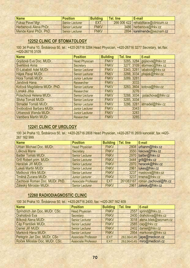| <b>Name</b>                  | <b>Position</b>        | <b>Building</b> | <b>Tel.</b> line | l E-mail                             |
|------------------------------|------------------------|-----------------|------------------|--------------------------------------|
| <b>Fuksa Pavel Mgr.</b>      | Senior Lecturer        | EXT             |                  | 266 006 422 rehabilitace@clinicum.cz |
| <b>Herbenová Alena PhDr.</b> | <b>Senior Lecturer</b> | <b>FNKV</b>     |                  | 3486 herbenova@fnkv.cz               |
| Mende Karel PhDr. PhD.       | Senior Lecturer        | <b>FNKV</b>     |                  | 2894 karelmende@seznam.cz            |

## **12252 CLINIC OF STOMATOLOGY**

100 34 Praha 10, Šrobárova 50, tel.: +420-26716 3284 Head Physician, +420-26716 3277 Secretary, tel./fax: +420-26716 3109

| <b>Name</b>                 | <b>Position</b>        | <b>Building</b> | Tel. line  | E-mail                      |
|-----------------------------|------------------------|-----------------|------------|-----------------------------|
| Gojišová Eva Doc. MUDr.     | <b>Head Physician</b>  | <b>FNKV</b>     |            | 3285, 3284 gojisova@fnkv.cz |
| Švehlová Anna               | Secretary              | <b>FNKV</b>     |            | 3277, 3109 stomsec@fnkv.cz  |
| El-Lababidi Adel MUDr.      | <b>Senior Lecturer</b> | <b>FNKV</b>     | 3343, 3281 | lababidi@fnkv.cz            |
| Hájek Pavel MUDr.           | <b>Senior Lecturer</b> | <b>FNKV</b>     | 3288, 3034 | phajek@fnkv.cz              |
| Hora Tomáš MUDr.            | <b>Junior Lecturer</b> | <b>FNKV</b>     | 3289, 3281 |                             |
| Jandová Hana                | Researcher             | <b>FNKV</b>     | 3033       |                             |
| Koťová Magdalena MUDr. PhD. | <b>Senior Lecturer</b> | <b>FNKV</b>     | 3283, 3604 | kotova@fnkv.cz              |
| Lonská Jitka                | Researcher             | <b>FNKV</b>     | 3276       |                             |
| Polachová Helena MUDr.      | <b>Senior Lecturer</b> | <b>FNKV</b>     | 3288, 3034 | polachova@fnkv.cz           |
| Slivka Tomáš MUDr.          | <b>Senior Lecturer</b> | <b>FNKV</b>     | 3285, 3034 |                             |
| Strnadel Tomáš MUDr.        | <b>Senior Lecturer</b> | <b>FNKV</b>     |            | 3286, 3281 strnadel@fnkv.cz |
| Svobodová Barbara MUDr.     | <b>Junior Lecturer</b> | <b>FNKV</b>     | 3343       |                             |
| Urbanová Wanda MUDr.        | <b>Junior Lecturer</b> | <b>FNKV</b>     | 3283       |                             |
| <b>Vambera Martin MUDr.</b> | Researcher             | <b>FNKV</b>     | 3285       |                             |

## **12241 CLINIC OF UROLOGY**

100 34 Praha 10, Šrobárova 50, tel.: +420-26716 2808 Head Physician, +420-26716 2609 kancelář, fax +420- 267 162 999

| <b>Name</b>                     | <b>Position</b>            | <b>Building</b> | Tel. line | E-mail                 |
|---------------------------------|----------------------------|-----------------|-----------|------------------------|
| Urban Michael Doc. MUDr.        | <b>Head Physician</b>      | <b>FNKV</b>     |           | 2808   urbanm@fnkv.cz  |
| <b>Lišková Marie</b>            | Secretary                  | <b>FNKV</b>     |           | 3550 liskova@fnkv.cz   |
| Baitler Tomáš MUDr.             | <b>Senior Lecturer</b>     | <b>FNKV</b>     | 2970      | baitler@fnkv.cz        |
| <b>Grill Robert prim. MUDr.</b> | <b>Senior Lecturer</b>     | <b>FNKV</b>     |           | 3444 grill@fnkv.cz     |
| Heráček Jiří MUDr.              | <b>Senior Lecturer</b>     | <b>FNKV</b>     |           | 2970   heracek@fnkv.cz |
| Lukeš Martin MUDr.              | <b>Senior Lecturer</b>     | <b>FNKV</b>     |           | 2961 lukes@fnkv.cz     |
| Mašková Věra MUDr.              | <b>Senior Lecturer</b>     | <b>FNKV</b>     | 3237      | maskova@fnkv.cz        |
| Trněná Zuzana MUDr.             | <b>Junior Lecturer</b>     | <b>FNKV</b>     |           | 3237 trnena@fnkv.cz    |
| Zachoval Roman Doc. MUDr. PhD.  | <b>Associate Professor</b> | <b>EXT</b>      | 261083167 | roman.zachoval@ftn.cz  |
| Záleský Miroslav MUDr.          | <b>Senior Lecturer</b>     | <b>FNKV</b>     | 2961      | zalesky@fnkv.cz        |

## **12260 RADIODIAGNOSTIC CLINIC**

100 34 Praha 10, Šrobárova 50, tel.: +420-26716 2400, fax: +420-267 162 409

| <b>Name</b>                    | <b>Position</b>            | <b>Building</b> | <b>Tel. line</b> | E-mail                        |
|--------------------------------|----------------------------|-----------------|------------------|-------------------------------|
| Šprindrich Jan Doc. MUDr. CSc. | <b>Head Physician</b>      | <b>FNKV</b>     | 2557             | sprind@fnkv.cz                |
| Drahotová Eva                  | Secretary                  | <b>FNKV</b>     |                  | 2400 drahotova@fnkv.cz        |
| <b>Bílková Alena MUDr.</b>     | <b>Senior Lecturer</b>     | <b>FNKV</b>     |                  | 3018 alena.bilek@seznam.cz    |
| Čáp František MUDr.            | <b>Senior Lecturer</b>     | <b>FNKV</b>     |                  | $2585$ cap@fnkv.cz            |
| Daniel Jiří MUDr.              | <b>Senior Lecturer</b>     | <b>FNKV</b>     |                  | 2402 daniel@fnkv.cz           |
| Marková Hana MUDr.             | <b>Senior Lecturer</b>     | <b>FNKV</b>     |                  | 2954 markovah@fnkv.cz         |
| Peregrin Jan Doc. MUDr. CSc    | <b>Associate Professor</b> | <b>EXT</b>      |                  | $261364145$   jape@medicon.cz |
| Roček Miloslav Doc. MUDr. CSc. | <b>Associate Professor</b> | <b>EXT</b>      |                  | 261364145 miro@medicon.cz     |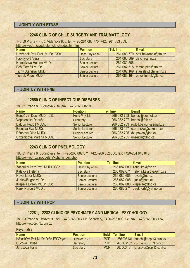## **– JOINTLY WITH FTNSP**

### **12246 CLINIC OF CHILD SURGERY AND TRAUMATOLOGY**

140 59 Praha 4 - Krč, Vídeňská 800, tel. +420-261 083 770, +420-261 083 369, http://www.ftn.cz/oddeleni/detchir/detchir.html

| <b>Name</b>                    | <b>Position</b>        | Tel. line   | E-mail                             |
|--------------------------------|------------------------|-------------|------------------------------------|
| Havránek Petr Prof. MUDr. CSc. | <b>Head Physician</b>  |             | 261 083 770 petr.havranek@ftn.cz   |
| Fabinyiová Věra                | Secretary              |             | 261 083 369 detchir@ftn.cz         |
| Homolková Helena MUDr.         | <b>Senior Lecturer</b> | 261 082 506 |                                    |
| Pešl Tomáš MUDr.               | <b>Senior Lecturer</b> |             | 261 082 518 tomas.pesl@ftn.cz      |
| Tichý Stanislav MUDr.          | <b>Senior Lecturer</b> |             | 261 082 169 stanislav.tichy@ftn.cz |
| <b>Tomek Pavel MUDr.</b>       | <b>Senior Lecturer</b> |             | 261 083 164 pavel.tomek@ftn.cz     |

### **– JOINTLY WITH FNB**

## **12550 CLINIC OF INFECTIOUS DISEASES**

180 81 Praha 8, Budínova 2, tel./fax: +420-266 082 707

| <b>Name</b>                | <b>Position</b>        | Tel. line | E-mail                             |
|----------------------------|------------------------|-----------|------------------------------------|
| Beneš Jiří Doc. MUDr. CSc. | <b>Head Physician</b>  |           | 266 082 708 benesj@cesnet.cz       |
| Vopálenská Danuše          | Secretary              |           | 266 082 707 benesj@fnb.cz          |
| <b>Baloun Rudolf MUDr.</b> | <b>Senior Lecturer</b> |           | 266 082 703 rudolf.baloun@email.cz |
| Bronská Eva MUDr.          | <b>Senior Lecturer</b> |           | 266 083 197 e.bronska@seznam.cz    |
| Džupová Olga MUDr.         | <b>Senior Lecturer</b> |           | 266 082 705 dzupovao@fnb.cz        |
| Unzeitigová Martina MUDr.  | <b>Senior Lecturer</b> |           | 266 082 705 unzeitim@fnb.cz        |

### **12243 CLINIC OF PNEUMOLOGY**

180 81 Praha 8, Budínova 2, tel.: +420-266 082 671, +420-266 082 080, fax: +420-284 840 840 http://www.fnb.cz/oddeleni/kphch/index.php

| <b>Name</b>                     | <b>Position</b>        | Tel. line | E-mail                             |
|---------------------------------|------------------------|-----------|------------------------------------|
| Zatloukal Petr Prof. MUDr. CSc. | <b>Head Physician</b>  |           | 266 082 080 zatioukp@fnb.cz        |
| Kálalová Helena                 | Secretary              |           | 266 082 671 helena.kalalova@fnb.cz |
| Havel Libor MUDr.               | <b>Senior Lecturer</b> |           | 266 082 686 havell@fnb.cz          |
| Jurikovič Igor MUDr.            | <b>Senior Lecturer</b> |           | 266 082 085 i.jurik@post.cz        |
| Křepela Evžen MUDr. CSc.        | <b>Senior Lecturer</b> |           | 266 082 080   krepelae@fnb.cz      |
| Pauk Norbert MUDr.              | <b>Senior Lecturer</b> |           | 266 082 271 pauknorb@yahoo.com     |

### **– JOINTLY WITH PCP**

### **12281, 12282 CLINIC OF PSYCHIATRY AND MEDICAL PSYCHOLOGY**

181 03 Praha 8, Ústavní 91, tel.: +420-266 003 111 Secretary, +420-266 003 131, fax: +420-266 003 134, http://www.pcp.lf3.cuni.cz

### **Psychiatry**

| <b>Name</b>                              | <b>Position</b> |            | <b>Build.</b> Tel. line | E-mail                                 |
|------------------------------------------|-----------------|------------|-------------------------|----------------------------------------|
| Höschl Cyril Prof. MUDr. DrSc. FRCPsych. | Director PCP    | <b>PCP</b> |                         | 266 003 131   hoschl@pcp.lf3.cuni.cz   |
| Cucová Libuše                            | Secretary       | <b>PCP</b> |                         | 266 003 132   cucova@pcp.lf3.cuni.cz   |
| Jarošová Hana                            | Secretary       | <b>PCP</b> |                         | 266 003 131   jarosova@pcp.lf3.cuni.cz |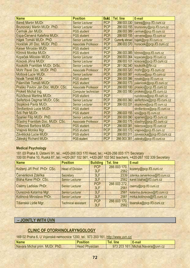| <b>Name</b>                       | <b>Position</b>            | <b>Build.</b> | <b>Tel. line</b> | E-mail                      |
|-----------------------------------|----------------------------|---------------|------------------|-----------------------------|
| Bareš Martin MUDr.                | <b>Senior Lecturer</b>     | <b>PCP</b>    | 266 003 330      | bares@pcp.lf3.cuni.cz       |
| Brunovský Martin MUDr. PhD.       | <b>Senior Lecturer</b>     | <b>PCP</b>    | 266 003 155      | brunovsky@pcp.lf3.cuni.cz   |
| Čermák Jan MUDr.                  | <b>PGS</b> student         | <b>PCP</b>    | 266 003 389      | cermak@pcp.lf3.cuni.cz      |
| Espa-Cervená Kateřina MUDr.       | <b>PGS student</b>         | <b>PCP</b>    | 266 003 155      | cervena@pcp.lf3.cuni.cz     |
| Hájek Tomáš MUDr. PhD.            | <b>Senior Lecturer</b>     | <b>PCP</b>    | Currently abroad | hajek@pcp.lf3.cuni.cz       |
| Horáček Jiří Doc. MUDr. PhD.      | <b>Associate Professor</b> | <b>PCP</b>    | 266 003 370      | horacek@pcp.lf3.cuni.cz     |
| Kaiser Miroslav MUDr.             | <b>PGS student</b>         | <b>PCP</b>    |                  |                             |
| Klírová Monika MUDr.              | <b>PGS</b> student         | <b>PCP</b>    | 266 003 385      | klirova@pcp.lf3.cuni.cz     |
| Kopeček Miloslav MUDr.            | <b>Senior Lecturer</b>     | <b>PCP</b>    | 266 003 364      | kopecek@pcp.lf3.cuni.cz     |
| Kosová Jiřina MUDr.               | <b>Senior Lecturer</b>     | <b>PCP</b>    | 266 003 101      | kosova@pcp.lf3.cuni.cz      |
| Koukolík František MUDr. DrSc.    | <b>Senior Lecturer</b>     | <b>PCP</b>    | 261 082 340      | koukolik@ftn.cz             |
| Mohr Pavel Doc. MUDr. PhD.        | <b>Associate Professor</b> | <b>PCP</b>    | 266 003 320      | mohr@pcp.lf3.cuni.cz        |
| Motlová Lucie MUDr.               | <b>Senior Lecturer</b>     | <b>PCP</b>    | 266 003 387      | motlova@pcp.lf3.cuni.cz     |
| Novák Tomáš MUDr.                 | <b>PGS</b> student         | <b>PCP</b>    | 266 003 386      | novak@pcp.lf3.cuni.cz       |
| Páleníček Tomáš MUDr.             | <b>PGS student</b>         | <b>PCP</b>    | 266 003 173      | palenicek@pcp.lf3.cuni.cz   |
| Praško Pavlov Ján Doc. MUDr. CSc. | <b>Associate Professor</b> | <b>PCP</b>    | 266 003 100      | prasko@pcp.lf3.cuni.cz      |
| Prokeš Michal Ing.                | Computer technician        | <b>PCP</b>    | 266 003 180      | prokes@pcp.lf3.cuni.cz      |
| Růžičková Martina MUDr.           | <b>PGS student</b>         | <b>PCP</b>    |                  | ruzickova@pcp.lf3.cuni.cz   |
| Seifertová Dagmar MUDr. CSc.      | <b>Senior Lecturer</b>     | <b>PCP</b>    | 266 003 360      | seifertova@pcp.lf3.cuni.cz  |
| Stopková Pavla MUDr.              | <b>Senior Lecturer</b>     | <b>PCP</b>    | 266 003 331      | stopkova@pcp.lf3.cuni.cz    |
| Škrdlantová Lucie MUDr.           | <b>PGS</b> student         | <b>PCP</b>    |                  | skrdlantova@pcp.lf3.cuni.cz |
| Šóš Petr MUDr.                    | <b>PGS</b> student         | <b>PCP</b>    | 266 003 155      | sos@pcp.lf3.cuni.cz         |
| <b>Španiel Filip MUDr. PhD.</b>   | <b>Senior Lecturer</b>     | <b>PCP</b>    | 266 003 390      | spaniel@pcp.lf3.cuni.cz     |
| Šťastný František Doc. MUDr. CSc. | <b>Associate Professor</b> | <b>PCP</b>    | 266 003 175      | stastny@pcp.lf3.cuni.cz     |
| Tišlerová Barbora MUDr.           | <b>PGS</b> student         | <b>PCP</b>    | 266 003 381      | tislerova@pcp.lf3.cuni.cz   |
| Vrajová Monika Mgr.               | <b>PGS</b> student         | <b>PCP</b>    | 266 003 173      | vrajova@pcp.lf3.cuni.cz     |
| Závěšická Lucie MUDr.             | <b>PGS</b> student         | <b>PCP</b>    | 266 003 311      | zavesicka@pcp.lf3.cuni.cz   |
| Záleský Richard MUDr.             | <b>PGS student</b>         | <b>PCP</b>    | 266 003 381      | zalesky@pcp.lf3.cuni.cz     |

#### **Medical Psychology**

181 03 Praha 8, Ústavní 91, tel.: +420-266 003 170 Head, tel.: +420-266 003 171 Secretary 100 00 Praha 10, Ruská 87, tel.: +420-267 102 561, +420-267 102 562 teachers, +420-267 102 339 Secretary

| <b>Name</b>                  | <b>Position</b>            | <b>Building</b>   | <b>Tel. line</b>     | E-mail                         |
|------------------------------|----------------------------|-------------------|----------------------|--------------------------------|
| Kožený Jiří Prof. PhDr. CSc. | <b>Head of Division</b>    | <b>PCP</b><br>3LF | 266 003 170,<br>2562 | kozeny@pcp.lf3.cuni.cz         |
| Červenková Zdeňka            | Secretary                  | 3LF               | 2339                 | zdenka.cervenkova@lf3.cuni.cz  |
| Bláha Karel PhDr. CSc.       | <b>Senior Lecturer</b>     | 3LF               |                      | 2562   karel.blaha@lf3.cuni.cz |
| Csémy Ladislav PhDr.         | <b>Senior Lecturer</b>     | <b>PCP</b><br>3LF | 266 003 272,<br>2561 | csemy@pcp.lf3.cuni.cz          |
| Durecová Katarína Mgr.       | <b>Senior Lecturer</b>     | 3LF               | 2561                 | katarina.durecova@lf3.cuni.cz  |
| Kolínová Miroslava PhDr.     | <b>Senior Lecturer</b>     | 3LF               | 2561                 | mirka.kolinova@lf3.cuni.cz     |
| Tišanská Lýdie Mgr.          | <b>Technical assistant</b> | <b>PCP</b><br>3LF | 266 003 170,<br>2562 | tisanska@pcp.lf3.cuni.cz       |

# **– JOINTLY WITH ÚVN**

## **CLINIC OF OTORHINOLARYNGOLOGY**

169 02 Praha 6, U Vojenské nemocnice 1200, tel.: 973 203 161, http://www.uvn.cz/

| <b>Name</b>                    |                          | <b>Tel. line</b> | E-mail                            |
|--------------------------------|--------------------------|------------------|-----------------------------------|
| Navara Michal prim. MUDr. PhD. | <b>Head</b><br>Physician |                  | 973 203 161 Michal. Navara@uvn.cz |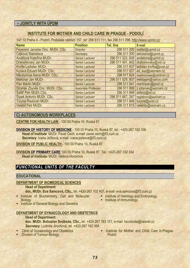#### **– JOINTLY WITH ÚPDM**

### **INSTITUTE FOR MOTHER AND CHILD CARE IN PRAGUE - PODOLÍ**

147 10 Praha 4 - Podolí, Podolské nábřeží 157, tel: 296 511 111, fax 296 511 296, http://www.upmd.cz/

| <b>Name</b>                        | <b>Position</b>            | Tel. line        | E-mail                                |
|------------------------------------|----------------------------|------------------|---------------------------------------|
| Feyereisl Jaroslav Doc. MUDr. CSc. | <b>Director</b>            |                  | 296 511 200 reditel@upmd.cz           |
| Čejková Stanislava                 | Secretary                  | 296 511 200      | sekretariat@upmd.cz                   |
| Andělová Kateřina MUDr.            | <b>Senior Lecturer</b>     | 296 511 322, 838 | andelova@upmd.cz                      |
| Drahoňovský Jan MUDr.              | <b>Senior Lecturer</b>     |                  | 296 511 491, 842 drahonovsky@vol.cz   |
| Krofta Ladislav MUDr.              | <b>Senior Lecturer</b>     |                  | 296 511 837   ladislav.krofta@post.cz |
| Kučera Eduard MUDr. CSc.           | <b>Senior Lecturer</b>     |                  | 296 511 827 ed kuc@seznam.cz          |
| Měchurová Alena MUDr. CSc.         | <b>Senior Lecturer</b>     |                  | 296 511 824 mechurovaa@centrum.cz     |
| Melichar Jan MUDr.                 | <b>Senior Lecturer</b>     | 296 511 529, 807 | meldajan@yahoo.com                    |
| Pán Martin MUDr.                   | <b>Senior Lecturer</b>     |                  | 296 511 841   martinpan@post.cz       |
| Straňák Zbyněk Doc. MUDr. CSc.     | <b>Associate Professor</b> |                  | 296 511 806 z.stranak@seznam.cz       |
| Šafář Petr MUDr.CSc.               | <b>Senior Lecturer</b>     |                  | 296 511 846 $s$ afarp@iol.cz          |
| Šípek Antonín MUDr. CSc.           | <b>Senior Lecturer</b>     | 296 511 467, 267 | registrvvv@seznam.cz                  |
| Turyna Radovan MUDr.               | <b>Senior Lecturer</b>     |                  | 296 511 848   turyna@post.cz          |
| Velebil Petr MUDr.                 | <b>Senior Lecturer</b>     |                  | 296 511 815 velebilp@seznam.cz        |

#### **C) AUTONOMOUS WORKPLACES**

**CENTRE FOR HEALTH LAW** - 100 00 Praha 10, Ruská 87

- **DIVISION OF HISTORY OF MEDICINE** 100 00 Praha 10, Ruská 87, tel.: +420-267 102 106 **Head of Institute**: MUDr. Pavel Čech, e-mail: pavel.cech@lf3.cuni.cz **Secretary**: Ivana Ježková, e-mail: ivana.jezkova@lf3.cuni.cz
- **DIVISION OF PUBLIC HEALTH**  100 00 Praha 10, Ruská 87

**DIVISION OF PRIMARY CARE** 100 00 Praha 10, Ruská 87, Tel.: +420-267 102 334 **Head of Institute***:* MUDr. Helena Hovorová

# *FUNCTIONAL UNITS OF THE FACULTY*

#### **EDUCATIONAL**

#### **DEPARTMENT OF BIOMEDICAL SCIENCES**

**Head of Department:** 

**doc. MUDr. Eva Samcová, CSc.,** tel. +420-267 102 407, e-mail: eva.samcova@lf3.cuni.cz

- **Exercise institute of Biochemistry, Cell and Molecular Biology**
- **External Institute of Histology and Embryology**<br>**External Institute of Immunology** 
	-
- **Institute of General Biology and Genetics**

#### **DEPARTMENT OF GYNAECOLOGY AND OBSTETRICS**

#### **Head of Department:**

**doc. MUDr. Bohuslav Svoboda, CSc.,** tel. +420-267 163 101, e-mail: bsvoboda@cesnet.cz *Secretary*: Ludmila Jirochová, tel. +420-267 162 368

- Clinic of Gynaecology and Obstetrics
- Division of Tumour Biology

**Institute for Mother and Child Care in Prague-**Podolí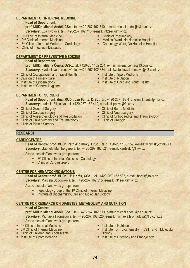#### **DEPARTMENT OF INTERNAL MEDICINE**

#### **Head of Department:**

**prof. MUDr. Michal Anděl, CSc.,** tel. +420-267 162 710, e-mail: michal.andel@lf3.cuni.cz *Secretary***:** Eva Hýblová, tel. +420-267 162 710, e-mail: int2sec@fnkv.cz

- **1st Clinic of Internal Medicine**
- <sup>2nd</sup> Clinic of Internal Medicine
- 3<sup>rd</sup> Clinic of Internal Medicine Cardiology
- Clinic of Infectious Diseases

#### **DEPARTMENT OF PREVENTIVE MEDICINE**

### **Head of Department:**

**prof. MUDr. Milena Černá, DrSc.,** tel. +420-267 102 204, e-mail: milena.cerna@lf3.cuni.cz *Secretary***:** Květoslava Lorencová, tel. +420-267 102 334,mail: kvetoslava.lorencova@lf3.cuni.cz

- Clinic of Occupational and Travel Health<br>■ Division of Primary Care<br>■ Institute of Epidemiology<br>■ Institute of General Hygiene
- 
- 
- 

#### **DEPARTMENT OF SURGERY**

**Head of Department: doc. MUDr. Jan Fanta, DrSc.,** tel. +420-267 162 412, e-mail: fanta@fnkv.cz *Secretary***:** Ludmila Filipcová, tel. +420-267 162 419, e-mail: filipcova@fnkv.cz

- 
- 
- Clinic of General Surgery<br>■ Clinic of Cardiac Surgery<br>■ Clinic of Anaesthesiology and Resuscitation<br>■ Clinic of Plastic Surgery<br>■ Clinic of Plastic Surgery
- 
- 

## **RESEARCH**

#### **CARDIOCENTRE**

**Head of Centre: prof. MUDr. Petr Widimský, DrSc.**, tel.: +420-267 163 159, e-mail: widimsky@fnkv.cz *Secretary***:** Gabriela Mühlbergerová, tel. +420-267 162 621, e-mail: kardsekr@fnkv.cz

Associates staff and work groups from:

- <sup>3rd</sup> Clinic of Internal Medicine Cardiology
- **Exercise Clinic of Cardiosurgery**

#### **CENTRE FOR HEMATOCHROMATOSIS**

**Head of Centre: prof. MUDr. Jiří Horák, CSc.**, tel.: +420-267 162 537, e-mail: horak@fnkv.cz *Secretary***:** Marcela Sodomková, tel. +420-267 162 315, e-mail: int1sec@fnkv.cz

Associates staff and work groups from:

- $\blacksquare$  hepatology group of the 1<sup>st</sup> Clinic of Internal Medicine
- **EXECUTE:** Institute of Biochemistry, Cell and Molecular Biology

#### **CENTRE FOR RESEARCH ON DIABETES, METABOLISM AND NUTRITION**

#### **Head of Centre:**

**prof. MUDr. Michal Anděl, CSc.,** tel. +420-267 102 619, e-mail: michal.andel@lf3.cuni.cz *Secretary***:** Michaela Hromadová, tel. +420-267 102 620, e-mail: michaela.hromadova@lf3.cuni.cz Associates staff and work groups from:

- 1<sup>st</sup> Clinic of Internal Medicine<br>
2<sup>nd</sup> Clinic of Internal Medicine
- 
- **EXECUTE: Clinic of Children and Adolescents**<br> **EXECUTE: Institute of Sport Medicine**
- 
- 
- **Institute of Nutrition<br>Institute of Biochemistry, Cell and Molecular Biology**
- **Example 1** Institute of Histology and Embryology
- 
- Institute of Sport Medicine<br>
Institute of Nutrition<br>
Institute of Child and Youth Health

74

- **-** Clinic of Pneumology
- **E** Medical Ward, Na Homolce Hospital
- **E** Cardiology Ward, Na Homolce Hospital

■ Clinic of Burns Medicine<br>■ Clinic of Neurosurgery<br>■ Clinic of Orthopaedics and Traumatology<br>■ Clinic of Urology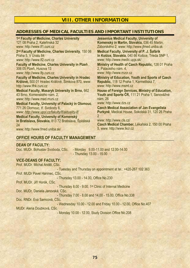#### **VIII. OTHER INFORMATION**

#### **ADDRESSES OF MEDICAL FACULTIES AND IMPORTANT INSTITUTIONS**

**1st Faculty of Medicine, Charles University** 121 08 Praha 2, Kateřinská 32 www: http://www.lf1.cuni.cz **2nd Faculty of Medicine, Charles University**, 150 06 Praha 5, V Úvalu 84 www: http://www.lf2.cuni.cz **Faculty of Medicine, Charles University in Plzeň** , 306 05 Plzeň, Husova 13 www: http://www.lfp.cuni.cz **Faculty of Medicine, Charles University in Hradec Králové,** 500 01 Hradec Králové, Šimkova 870, www: http://www.lfhk.cuni.cz **Medical Faculty, Masaryk University in Brno,** 662 43 Brno, Komenského nám. 2, www: http://www.med.muni.cz **Medical Faculty, University of Palacký in Olomouc**, 771 26 Olomouc, tř. Svobody 8, www: *http://www.upol.cz/fakulty/lf/aktuality-lf/* **Medical Faculty, University of Komenský in Bratislava, Slovakia,** 813 72 Bratislava, Špitálská 24 www: http://www.fmed.uniba.sk/ **Jessenius Medical Faculty, University of Komenský in Martin, Slovakia,** 036 45 Martin, Záborského 2, www: http://www.jfmed.uniba.sk **Medical Faculty, University of P. J. Šafárik in Košice, Slovakia,** 040 66 Košice, Trieda SNP 1, www: http://www.medic.upjs.sk/ **Ministry of Health of Czech Republic,** 128 01 Praha 2, Palackého nám. 4, www: http://www.mzcr.cz **Ministry of Education, Youth and Sports of Czech Republic,** 118 12 Praha 1, Karmelitská 7, www: http://www.msmt.cz **House of Foreign Services, Ministry of Education, Youth and Sports ČR,** 111 21 Praha 1, Senovážné nám. 26 www: http://www.dzs.cz **Czech Medical Association of Jan Evangelista Purkyně**, Medical House, Sokolská 31, 120 26 Praha 2 www: http://www.cls.cz/ **Czech Medical Chamber,** Lékařská 2, 150 00 Praha 5, www: http://www.lkcr.cz

#### **OFFICE HOURS OF FACULTY MANAGEMENT**

#### **DEAN OF FACULTY:**

Doc. MUDr. Bohuslav Svoboda, CSc. - Monday 9.00-11.00 and 12.00-14.00 - Thursday 13.00 - 15.00

#### **VICE-DEANS OF FACULTY:**

Prof. MUDr. Michal Anděl, CSc. - Tuesday and Thursday on appointment at tel.: +420-267 102 363 Prof. MUDr Pavel Haninec, CSc. - Thursday 13.00 - 14.00, Office No.230 Prof. MUDr. Jiří Horák, CSc. - Thursday 8.00 - 9.00, 1st Clinic of Internal Medicine Doc. MUDr. Daniela Janovská, CSc. - Thursday 7.00 - 8.00 and 14.00 - 15.00, Office No.338 Doc. RNDr. Eva Samcová, CSc. - Wednesday 10.00 - 12.00 and Friday 10.00 - 12.00, Office No.407 MUDr. Alena Doubková, CSc.

- Monday 10.00 - 12.00, Study Division Office No.208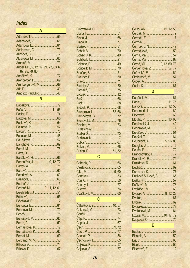# Index

| Anděl, M.5, 9, 12, 17, 21, 23, 63, 66, |  |
|----------------------------------------|--|
| 67, 78, 79, 80                         |  |
|                                        |  |
|                                        |  |
| Arenbergerová, M.  69                  |  |
|                                        |  |
|                                        |  |
|                                        |  |

| Balušíková, K.  57        |  |
|---------------------------|--|
|                           |  |
|                           |  |
|                           |  |
|                           |  |
| Bartoníček, J. 9, 12, 72  |  |
|                           |  |
|                           |  |
|                           |  |
|                           |  |
|                           |  |
| Bednář, M.  9, 11, 12, 61 |  |
| Bělehrádek, J.  51        |  |
|                           |  |
|                           |  |
|                           |  |
|                           |  |
|                           |  |
| Benešová, M,  60          |  |
|                           |  |
| Bernášková, K 12          |  |
| Bernášková, K.       62   |  |
|                           |  |
| Bertrand, M. M. 53        |  |
|                           |  |
| Rílková D                 |  |

| Brunerová, L.  62, 66 |  |
|-----------------------|--|
| Brunnerová, R. 72     |  |
|                       |  |
|                       |  |
|                       |  |
|                       |  |
|                       |  |
|                       |  |
|                       |  |
| Burian, F 51, 52      |  |

# $\overline{c}$

| Celko, AM11, 12, 58       |  |
|---------------------------|--|
|                           |  |
|                           |  |
|                           |  |
|                           |  |
|                           |  |
|                           |  |
|                           |  |
| Černá, Mi.  9, 12, 60, 78 |  |
| Cervenková, Z57, 77       |  |
|                           |  |
|                           |  |
|                           |  |
|                           |  |
| D                         |  |

| Dáňová, J.  12, 58       |  |
|--------------------------|--|
|                          |  |
|                          |  |
| Dlouhý, P.  10, 63       |  |
| Dobřenský, J.  49        |  |
| Dohnalová, M. 71         |  |
|                          |  |
|                          |  |
| Doubková, A5, 56, 80     |  |
|                          |  |
|                          |  |
| Drahoňovský, J. 77       |  |
|                          |  |
|                          |  |
|                          |  |
|                          |  |
| Dusilová Sulková, S.  65 |  |
|                          |  |
|                          |  |
|                          |  |
| Dvořák, A. 8, 12, 23     |  |
|                          |  |
|                          |  |
|                          |  |
|                          |  |
| Džupa, V. <u>17, 72</u>  |  |
|                          |  |
| Е                        |  |

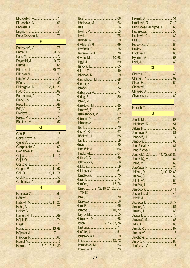| El-Lababidi, A. 74            |    |
|-------------------------------|----|
|                               |    |
|                               |    |
|                               |    |
| Espa-Červená, K. 76           |    |
|                               |    |
| F.                            |    |
| Fabinyiová, V75               |    |
|                               |    |
|                               |    |
|                               |    |
| Feyereisl, J. 9, 77           |    |
|                               |    |
| Filipcová, L69, 79            |    |
|                               |    |
|                               |    |
|                               |    |
| Fleissigová, M. 8, 11, 23     |    |
|                               |    |
|                               |    |
| Formanová, P. 74              |    |
|                               |    |
|                               |    |
|                               |    |
|                               |    |
|                               |    |
|                               |    |
|                               |    |
| G                             |    |
|                               |    |
|                               |    |
|                               |    |
| Gebauerová, A. 73             |    |
|                               |    |
| Gkalpakiotis, S.  69          |    |
|                               |    |
|                               |    |
|                               | 11 |
|                               |    |
| Gregor, P. 11, 67             |    |
|                               |    |
| Grill, R. 10, 11, 74          |    |
|                               |    |
|                               |    |
| н                             |    |
|                               |    |
|                               |    |
|                               |    |
| Hábová, M. 8, 11, 23          |    |
|                               |    |
|                               |    |
|                               |    |
|                               |    |
|                               |    |
|                               |    |
|                               |    |
|                               |    |
|                               |    |
| Haninec, P.  5, 9, 12, 71, 80 |    |

| Havrda, M.  10,66                  |  |
|------------------------------------|--|
|                                    |  |
|                                    |  |
|                                    |  |
|                                    |  |
|                                    |  |
|                                    |  |
|                                    |  |
|                                    |  |
|                                    |  |
|                                    |  |
|                                    |  |
|                                    |  |
|                                    |  |
|                                    |  |
|                                    |  |
|                                    |  |
| Herrmannová, M. 62                 |  |
|                                    |  |
|                                    |  |
|                                    |  |
|                                    |  |
|                                    |  |
|                                    |  |
|                                    |  |
|                                    |  |
|                                    |  |
|                                    |  |
|                                    |  |
|                                    |  |
|                                    |  |
|                                    |  |
|                                    |  |
|                                    |  |
|                                    |  |
|                                    |  |
| Homolková, H. 75                   |  |
|                                    |  |
|                                    |  |
| Horáček, J.  12, 76                |  |
| Horák, J 5, 9, 12, 16, 21, 23, 65, |  |
| 79,80                              |  |
|                                    |  |
|                                    |  |
|                                    |  |
|                                    |  |
|                                    |  |
| Hornová, J 10, 72                  |  |
|                                    |  |
|                                    |  |
|                                    |  |
| Höschl, C9, 12, 53, 76             |  |
|                                    |  |
|                                    |  |
|                                    |  |
| Houštěková, D. 59                  |  |
| Hmčíř, E.  12, 72                  |  |
|                                    |  |
|                                    |  |
|                                    |  |

| Hrušková, R7, 12                  |  |
|-----------------------------------|--|
| Hubičková Heringová, L.  60       |  |
| Hubínková, H.  56                 |  |
|                                   |  |
|                                   |  |
|                                   |  |
|                                   |  |
|                                   |  |
|                                   |  |
|                                   |  |
| $\overline{\text{Ch}}$            |  |
|                                   |  |
|                                   |  |
|                                   |  |
|                                   |  |
|                                   |  |
| Chvojková, J 62                   |  |
|                                   |  |
| <u> 1970 - Jan Bartham Bartha</u> |  |
|                                   |  |
| $\overline{\mathsf{J}}$           |  |
|                                   |  |
|                                   |  |
|                                   |  |
|                                   |  |
|                                   |  |
|                                   |  |
|                                   |  |
|                                   |  |
| Janovská, D 5, 11, 12, 58, 80     |  |
|                                   |  |
|                                   |  |
|                                   |  |
| Jelínek, R.  9, 10, 12, 60        |  |
|                                   |  |
|                                   |  |
|                                   |  |
|                                   |  |
|                                   |  |
|                                   |  |
|                                   |  |
|                                   |  |
|                                   |  |
|                                   |  |
|                                   |  |
|                                   |  |
|                                   |  |
|                                   |  |
|                                   |  |
|                                   |  |
|                                   |  |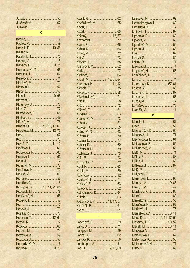| $\mathsf{K}$                 |  |
|------------------------------|--|
|                              |  |
|                              |  |
|                              |  |
|                              |  |
|                              |  |
|                              |  |
|                              |  |
|                              |  |
|                              |  |
|                              |  |
|                              |  |
|                              |  |
|                              |  |
|                              |  |
|                              |  |
|                              |  |
|                              |  |
|                              |  |
| Klinkosch, J. T.  49         |  |
|                              |  |
| Kment, M.  10, 12, 17, 66    |  |
| Kneidlová, M 12, 72          |  |
|                              |  |
|                              |  |
|                              |  |
|                              |  |
|                              |  |
|                              |  |
|                              |  |
|                              |  |
|                              |  |
|                              |  |
|                              |  |
|                              |  |
| Königová, R.  10, 11, 21, 68 |  |
|                              |  |
| Kopřivová, H 56              |  |
|                              |  |
|                              |  |
|                              |  |
|                              |  |
| Kostrhun, T.  12, 61         |  |
|                              |  |
|                              |  |
|                              |  |
|                              |  |
|                              |  |
|                              |  |
|                              |  |

| Kožený, J.  12, 77               |  |
|----------------------------------|--|
|                                  |  |
|                                  |  |
|                                  |  |
|                                  |  |
|                                  |  |
|                                  |  |
|                                  |  |
|                                  |  |
|                                  |  |
|                                  |  |
| Kršiak, M. 9, 12, 21, 64         |  |
| Krumlová, H.  11, 12             |  |
|                                  |  |
| Křikava, K.  9, 21, 58           |  |
| Křivohlávková, J. 71             |  |
|                                  |  |
|                                  |  |
|                                  |  |
|                                  |  |
|                                  |  |
| Kubecová, M73                    |  |
|                                  |  |
|                                  |  |
|                                  |  |
|                                  |  |
|                                  |  |
|                                  |  |
| Kučerová, M59                    |  |
|                                  |  |
|                                  |  |
|                                  |  |
|                                  |  |
|                                  |  |
|                                  |  |
| Kulichová, D12                   |  |
|                                  |  |
|                                  |  |
|                                  |  |
|                                  |  |
|                                  |  |
| Kvasnicová, V.  11, 17, 57       |  |
|                                  |  |
|                                  |  |
|                                  |  |
| <u>Linda al III-lea de la Ba</u> |  |
| Lahodová, E59                    |  |
|                                  |  |
|                                  |  |
|                                  |  |
|                                  |  |
| Laufberger, V. 51                |  |
|                                  |  |
|                                  |  |

| Lichtenbergová, L.  62 |  |
|------------------------|--|
|                        |  |
|                        |  |
|                        |  |
|                        |  |
|                        |  |
|                        |  |
|                        |  |
|                        |  |
|                        |  |
|                        |  |
|                        |  |
|                        |  |
|                        |  |
| Lorencová, K. 57, 61   |  |
|                        |  |
|                        |  |
|                        |  |
|                        |  |
|                        |  |
|                        |  |
| M                      |  |
|                        |  |
|                        |  |

| Macharáček, D 66                             |  |
|----------------------------------------------|--|
|                                              |  |
|                                              |  |
| Mairychová, B.  64                           |  |
| Maixnerová, M. 58                            |  |
|                                              |  |
|                                              |  |
|                                              |  |
|                                              |  |
|                                              |  |
|                                              |  |
|                                              |  |
| Mandys, V. 9, 63                             |  |
|                                              |  |
| Mardešičová, L 69                            |  |
|                                              |  |
| Marešková, O.,,,,,,,,,,,,,,,,,,,,,,,,,,,,,58 |  |
| Marešová, H.  62                             |  |
|                                              |  |
| Maršálková, A. 6, 11                         |  |
| Marx, D.  10, 11, 17, 69                     |  |
| Masaryk, T. G50, 52                          |  |
|                                              |  |
|                                              |  |
| Matějovská, I.  62                           |  |
|                                              |  |
| Matonohová, H71                              |  |
|                                              |  |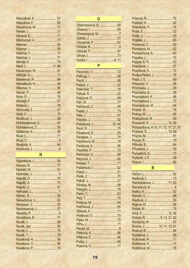| <u>Matoušová, K.  57</u> |  |
|--------------------------|--|
|                          |  |
| Mazancová, M. 71         |  |
|                          |  |
|                          |  |
| Měchurová, A. 77         |  |
|                          |  |
|                          |  |
|                          |  |
|                          |  |
|                          |  |
|                          |  |
| Mesanyová, M.  61        |  |
|                          |  |
|                          |  |
| Michaliková, H.  69      |  |
|                          |  |
|                          |  |
|                          |  |
|                          |  |
|                          |  |
|                          |  |
|                          |  |
|                          |  |
| Mühlbergerová, G.  67    |  |
| Mühlsteinová, Z 56       |  |
|                          |  |
|                          |  |
|                          |  |
|                          |  |
|                          |  |

#### N

| Neubauerová, J 57 |  |
|-------------------|--|
|                   |  |
|                   |  |
|                   |  |
|                   |  |
|                   |  |
|                   |  |
|                   |  |
|                   |  |
|                   |  |

#### $\mathbf 0$

| Obermannová, B. 69    |  |
|-----------------------|--|
|                       |  |
| Ohnesorgová, M7       |  |
|                       |  |
|                       |  |
|                       |  |
|                       |  |
|                       |  |
|                       |  |
| and the <b>P</b> olon |  |

#### Patočková, J. ........................... 21, 64 Pavlíčková, M. .................................74

| Polívková, Z59                        |  |
|---------------------------------------|--|
|                                       |  |
|                                       |  |
|                                       |  |
|                                       |  |
|                                       |  |
|                                       |  |
| Praško Pavlov, J.  76                 |  |
|                                       |  |
| Príkazský, V.  58                     |  |
| Procháska, J 49                       |  |
|                                       |  |
|                                       |  |
| Procházková, L. 73                    |  |
|                                       |  |
|                                       |  |
|                                       |  |
| Prokopičová, M.  59                   |  |
| Provazník, K.  10, 58                 |  |
| Provazníková, H.10, 11, 12, 17, 21, 5 |  |
| Průhová, Š 12, 69                     |  |
|                                       |  |
|                                       |  |
|                                       |  |
|                                       |  |
| Pumprlová, A73                        |  |
| Purkyně, J. E.  49                    |  |
|                                       |  |
| R.                                    |  |
|                                       |  |
|                                       |  |

| Rambousková, J 11, 63     |  |
|---------------------------|--|
|                           |  |
|                           |  |
|                           |  |
|                           |  |
|                           |  |
|                           |  |
|                           |  |
| Rokyta, R.  9, 12, 21, 62 |  |
|                           |  |
| Rosina, J 10, 11, 12, 61  |  |
|                           |  |
|                           |  |
|                           |  |
| Růžičková, K.  11         |  |
|                           |  |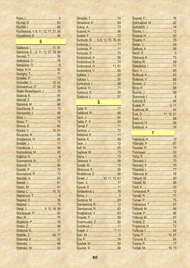| Rychterová, V.9, 11, 12, 17, 21, 64 |  |
|-------------------------------------|--|
| Rypáčková, B.  56                   |  |
| S                                   |  |
| Saláková, L.  11, 61                |  |
| Samcová, E5, 11, 12, 57, 78, 80     |  |
|                                     |  |
|                                     |  |
|                                     |  |
|                                     |  |
|                                     |  |
|                                     |  |
| Schindler, J.  10, 62               |  |
| Schneidrová, D.  17, 58             |  |
| Skála-Rosenbaum, J.  72             |  |
|                                     |  |
|                                     |  |
|                                     |  |
|                                     |  |
| Slavkovský, L.  68                  |  |
|                                     |  |
|                                     |  |
|                                     |  |
| Slouka, V. 10, 61                   |  |
|                                     |  |
|                                     |  |
|                                     |  |
|                                     |  |
| Sodomková, M.  65                   |  |
|                                     |  |
| Sommerová, B. 57                    |  |
|                                     |  |
|                                     |  |
|                                     |  |
|                                     |  |
|                                     |  |
|                                     |  |
|                                     |  |
|                                     |  |
|                                     |  |
|                                     |  |
| Stingl, J.  9, 12, 16, 56           |  |
|                                     |  |
|                                     |  |
|                                     |  |
|                                     |  |
|                                     |  |
|                                     |  |
|                                     |  |
|                                     |  |
| Stránský M                          |  |

| Svoboda, B.  5, 6, 12, 70, 78, 80 |  |
|-----------------------------------|--|
|                                   |  |
|                                   |  |
|                                   |  |
| Svobodová, A. 56                  |  |
| Svobodová, B. 74                  |  |
| Svobodová, H.  11, 61             |  |
|                                   |  |
|                                   |  |
|                                   |  |
|                                   |  |
|                                   |  |
|                                   |  |
|                                   |  |
|                                   |  |

#### S

| Šilhánová, E59            |  |
|---------------------------|--|
| <u>Šimánková, E. 68</u>   |  |
| Šimek, J.  10, 11, 12, 61 |  |
|                           |  |
|                           |  |
| <u>Škrdlantová, L. 76</u> |  |
|                           |  |
|                           |  |
|                           |  |
|                           |  |
| Šmejkalová, V63           |  |
|                           |  |
|                           |  |
|                           |  |
|                           |  |
|                           |  |
|                           |  |
|                           |  |
|                           |  |

| Šplíchalová, M 62                     |  |
|---------------------------------------|--|
|                                       |  |
| <u>Štácha, I. martin argametra (2</u> |  |
|                                       |  |
|                                       |  |
|                                       |  |
|                                       |  |
|                                       |  |
|                                       |  |
|                                       |  |
|                                       |  |
|                                       |  |
|                                       |  |
|                                       |  |
|                                       |  |
|                                       |  |
|                                       |  |
|                                       |  |
|                                       |  |
|                                       |  |
|                                       |  |
| Suta, D. 11, 12, 61                   |  |
|                                       |  |
|                                       |  |
|                                       |  |
|                                       |  |

| Tejkalová, H 12 |  |
|-----------------|--|
|                 |  |
|                 |  |
|                 |  |
|                 |  |
|                 |  |
|                 |  |
|                 |  |
|                 |  |
|                 |  |
|                 |  |
|                 |  |
| Tomanová, P 12  |  |
|                 |  |
|                 |  |
|                 |  |
|                 |  |
|                 |  |
|                 |  |
|                 |  |
| Trojanová, H72  |  |
|                 |  |
|                 |  |
|                 |  |
|                 |  |
|                 |  |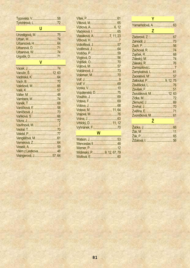| Typovská, V58           |  |
|-------------------------|--|
|                         |  |
| U                       |  |
| Unzeitigová, M.  75     |  |
|                         |  |
|                         |  |
| Urbanová, D. 71         |  |
|                         |  |
|                         |  |
| $\overline{\mathsf{v}}$ |  |
|                         |  |
|                         |  |
|                         |  |
|                         |  |
|                         |  |
|                         |  |
|                         |  |
|                         |  |
|                         |  |
|                         |  |
| Vaníčková, J73          |  |
|                         |  |
|                         |  |
|                         |  |
|                         |  |
|                         |  |
|                         |  |
|                         |  |
|                         |  |
| Vilém z Lestkova 48     |  |
| Visingerová, J. 57, 64  |  |

| Vlasáková, A.  7, 11, 23 |  |
|--------------------------|--|
|                          |  |
| Vobořilová, J. 57        |  |
|                          |  |
|                          |  |
|                          |  |
|                          |  |
|                          |  |
| Voldánová, J. 73         |  |
|                          |  |
| Volf, J………………………………………9  |  |
| Volf, V………………………………………69 |  |
|                          |  |
| Vopálenská, D. 75        |  |
|                          |  |
|                          |  |
|                          |  |
| Votava, M.  11, 64       |  |
|                          |  |
|                          |  |
|                          |  |
| Vyhnánek, F70            |  |
| W                        |  |

| Widimský, P. 9, 12, 67, 79 |  |
|----------------------------|--|
|                            |  |

| Yamamotová, A.  63    |  |
|-----------------------|--|
| Z                     |  |
|                       |  |
|                       |  |
|                       |  |
|                       |  |
| Zajíček, R. 1990)     |  |
|                       |  |
|                       |  |
|                       |  |
| Zamykalová, L 61      |  |
|                       |  |
| Zatloukal, P9, 12, 75 |  |
|                       |  |
|                       |  |
| Zezuláková, M 12, 63  |  |
| Zídka, M.             |  |
|                       |  |
|                       |  |
|                       |  |
|                       |  |
|                       |  |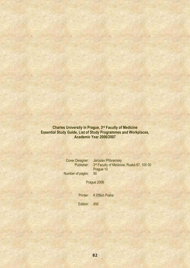**Charles University in Prague, 3rd Faculty of Medicine Essential Study Guide, List of Study Programmes and Workplaces, Academic Year 2006/2007** 

**Cover Designer: Jaroslav Příbramský Publisher:** 3rd Faculty of Medicine, Ruská 87, 100 00 Prague 10 Number of pages: 90

Prague 2006

Printer: K Effect Praha

Edition: 450